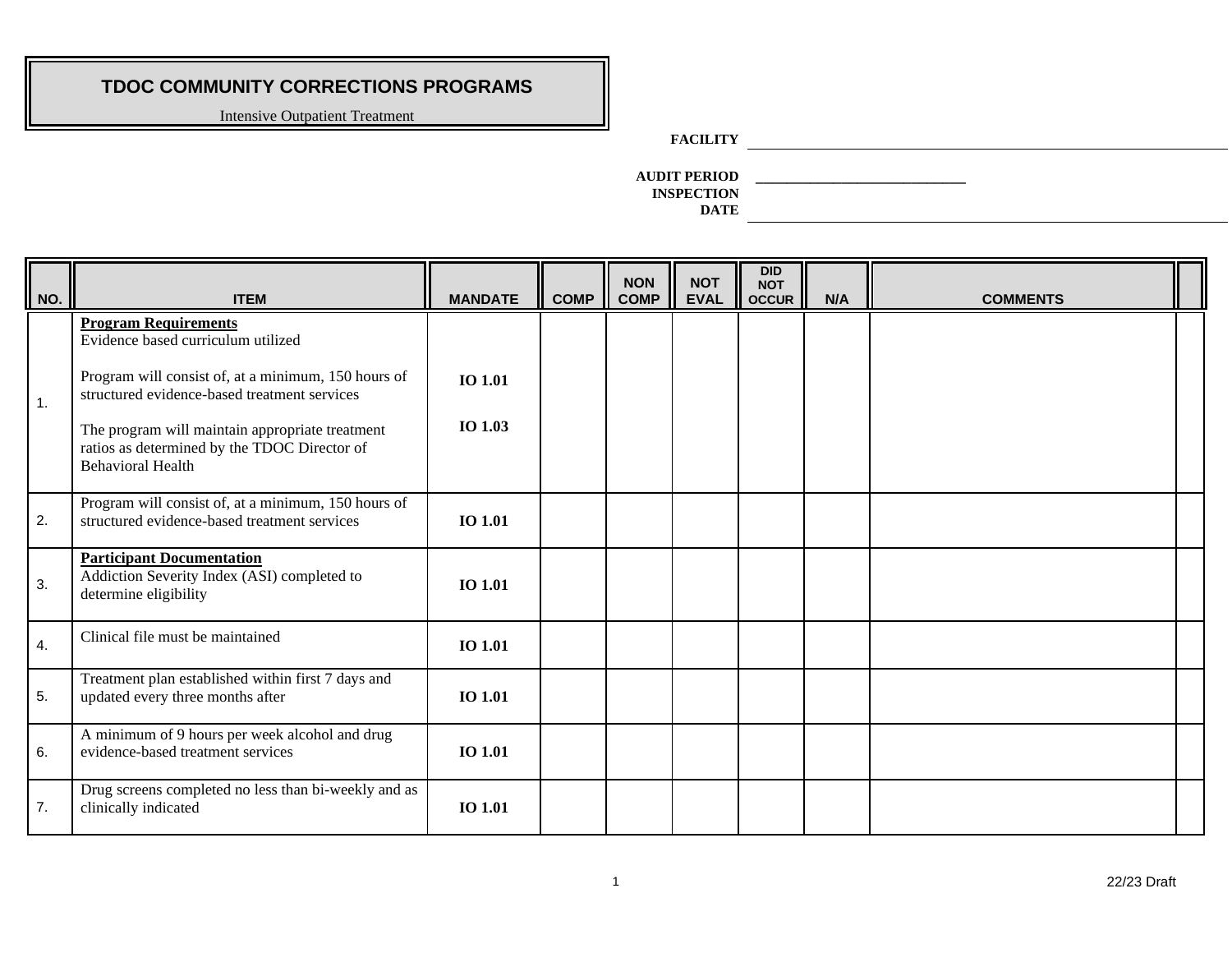Intensive Outpatient Treatment

### **FACILITY**

**AUDIT PERIOD \_\_\_\_\_\_\_\_\_\_\_\_\_\_\_\_\_\_\_\_\_\_\_\_\_\_\_ INSPECTION DATE**

| $\vert$ NO.      | <b>ITEM</b>                                                                                                                 | <b>MANDATE</b> | <b>COMP</b> | <b>NON</b><br><b>COMP</b> | <b>NOT</b><br><b>EVAL</b> | <b>DID</b><br><b>NOT</b><br><b>OCCUR</b> | N/A | <b>COMMENTS</b> |  |
|------------------|-----------------------------------------------------------------------------------------------------------------------------|----------------|-------------|---------------------------|---------------------------|------------------------------------------|-----|-----------------|--|
|                  | <b>Program Requirements</b><br>Evidence based curriculum utilized                                                           |                |             |                           |                           |                                          |     |                 |  |
| $\mathbf{1}$ .   | Program will consist of, at a minimum, 150 hours of<br>structured evidence-based treatment services                         | <b>IO 1.01</b> |             |                           |                           |                                          |     |                 |  |
|                  | The program will maintain appropriate treatment<br>ratios as determined by the TDOC Director of<br><b>Behavioral Health</b> | IO 1.03        |             |                           |                           |                                          |     |                 |  |
| 2.               | Program will consist of, at a minimum, 150 hours of<br>structured evidence-based treatment services                         | <b>IO 1.01</b> |             |                           |                           |                                          |     |                 |  |
| 3.               | <b>Participant Documentation</b><br>Addiction Severity Index (ASI) completed to<br>determine eligibility                    | <b>IO 1.01</b> |             |                           |                           |                                          |     |                 |  |
| $\overline{4}$ . | Clinical file must be maintained                                                                                            | <b>IO 1.01</b> |             |                           |                           |                                          |     |                 |  |
| 5.               | Treatment plan established within first 7 days and<br>updated every three months after                                      | IO 1.01        |             |                           |                           |                                          |     |                 |  |
| 6.               | A minimum of 9 hours per week alcohol and drug<br>evidence-based treatment services                                         | <b>IO 1.01</b> |             |                           |                           |                                          |     |                 |  |
| 7.               | Drug screens completed no less than bi-weekly and as<br>clinically indicated                                                | IO 1.01        |             |                           |                           |                                          |     |                 |  |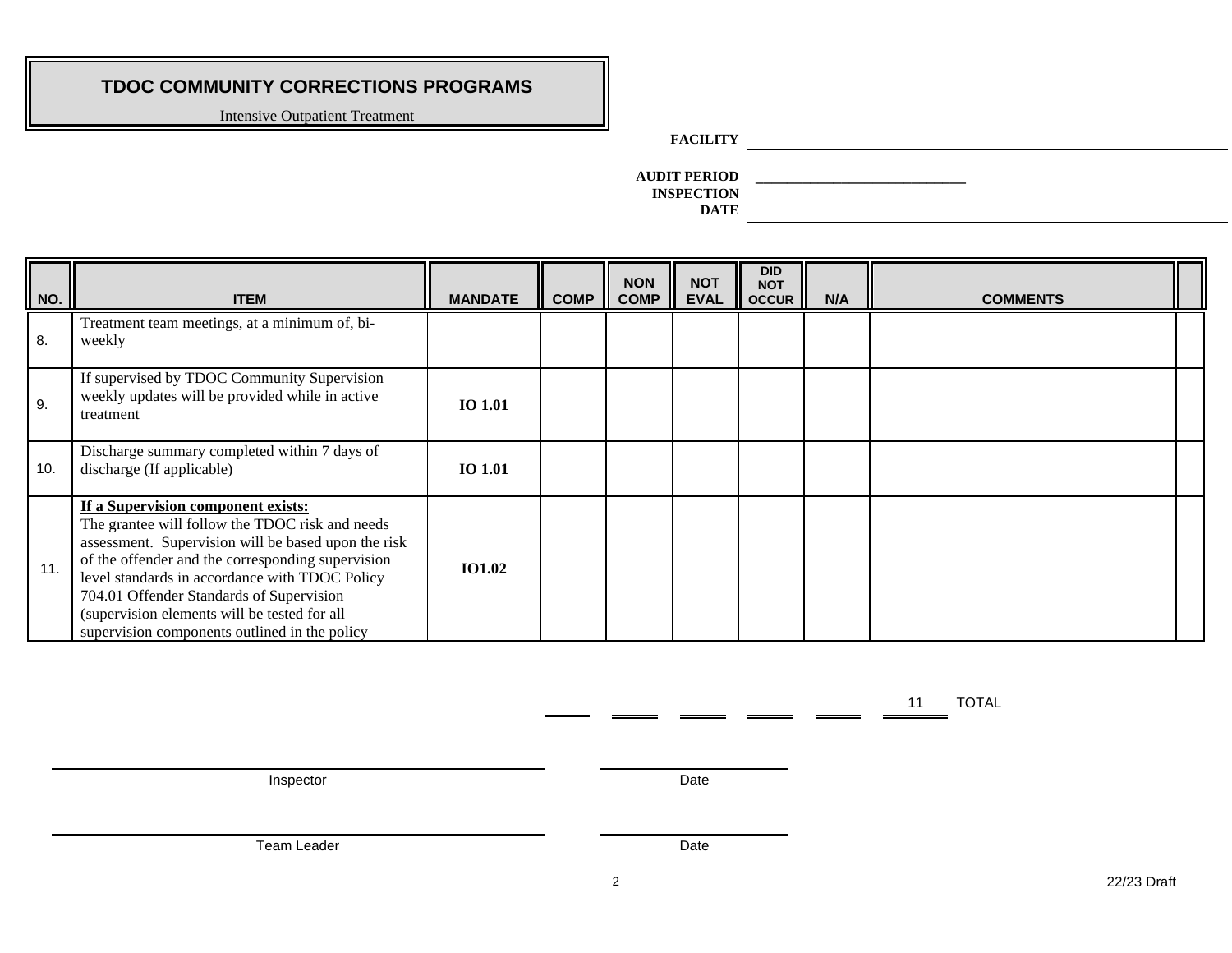Intensive Outpatient Treatment

### **FACILITY**

**AUDIT PERIOD \_\_\_\_\_\_\_\_\_\_\_\_\_\_\_\_\_\_\_\_\_\_\_\_\_\_\_ INSPECTION DATE**

| NO. | <b>ITEM</b>                                                                                                                                                                                                                                                                                                                                                                                      | <b>MANDATE</b> | <b>COMP</b> | <b>NON</b><br><b>COMP</b> | <b>NOT</b><br><b>EVAL</b> | <b>DID</b><br><b>NOT</b><br><b>OCCUR</b> | N/A | <b>COMMENTS</b> |  |
|-----|--------------------------------------------------------------------------------------------------------------------------------------------------------------------------------------------------------------------------------------------------------------------------------------------------------------------------------------------------------------------------------------------------|----------------|-------------|---------------------------|---------------------------|------------------------------------------|-----|-----------------|--|
| 8.  | Treatment team meetings, at a minimum of, bi-<br>weekly                                                                                                                                                                                                                                                                                                                                          |                |             |                           |                           |                                          |     |                 |  |
| 9.  | If supervised by TDOC Community Supervision<br>weekly updates will be provided while in active<br>treatment                                                                                                                                                                                                                                                                                      | <b>IO 1.01</b> |             |                           |                           |                                          |     |                 |  |
| 10. | Discharge summary completed within 7 days of<br>discharge (If applicable)                                                                                                                                                                                                                                                                                                                        | <b>IO 1.01</b> |             |                           |                           |                                          |     |                 |  |
| 11. | If a Supervision component exists:<br>The grantee will follow the TDOC risk and needs<br>assessment. Supervision will be based upon the risk<br>of the offender and the corresponding supervision<br>level standards in accordance with TDOC Policy<br>704.01 Offender Standards of Supervision<br>(supervision elements will be tested for all<br>supervision components outlined in the policy | <b>IO1.02</b>  |             |                           |                           |                                          |     |                 |  |

Inspector Date

Team Leader Date

11 TOTAL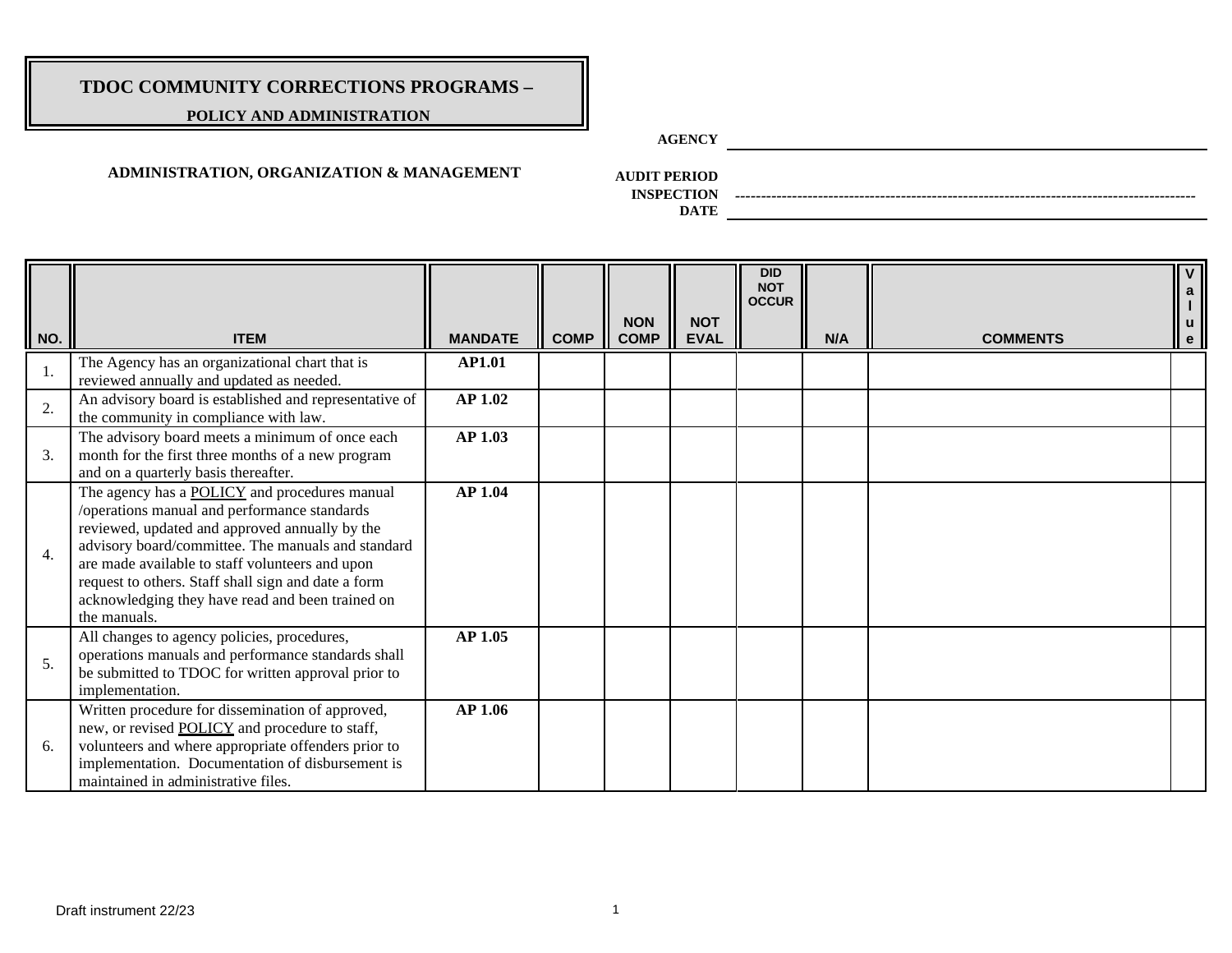### **POLICY AND ADMINISTRATION**

**AGENCY**

### **ADMINISTRATION, ORGANIZATION & MANAGEMENT**

**AUDIT PERIOD**

**INSPECTION** *-----------------------------------------------------------------------------------------*

| NO. | <b>ITEM</b>                                                                                                                                                                                                                                                                                                                                                                                | <b>MANDATE</b> | <b>COMP</b> | <b>NON</b><br><b>COMP</b> | <b>NOT</b><br><b>EVAL</b> | <b>DID</b><br><b>NOT</b><br><b>OCCUR</b> | N/A | <b>COMMENTS</b> | $\mathbf{V}$<br>a<br>$\mathbf{u}$<br>$\mathbf{e}$ |
|-----|--------------------------------------------------------------------------------------------------------------------------------------------------------------------------------------------------------------------------------------------------------------------------------------------------------------------------------------------------------------------------------------------|----------------|-------------|---------------------------|---------------------------|------------------------------------------|-----|-----------------|---------------------------------------------------|
|     | The Agency has an organizational chart that is<br>reviewed annually and updated as needed.                                                                                                                                                                                                                                                                                                 | <b>AP1.01</b>  |             |                           |                           |                                          |     |                 |                                                   |
| 2.  | An advisory board is established and representative of<br>the community in compliance with law.                                                                                                                                                                                                                                                                                            | <b>AP 1.02</b> |             |                           |                           |                                          |     |                 |                                                   |
| 3.  | The advisory board meets a minimum of once each<br>month for the first three months of a new program<br>and on a quarterly basis thereafter.                                                                                                                                                                                                                                               | AP 1.03        |             |                           |                           |                                          |     |                 |                                                   |
| 4.  | The agency has a <b>POLICY</b> and procedures manual<br>/operations manual and performance standards<br>reviewed, updated and approved annually by the<br>advisory board/committee. The manuals and standard<br>are made available to staff volunteers and upon<br>request to others. Staff shall sign and date a form<br>acknowledging they have read and been trained on<br>the manuals. | <b>AP 1.04</b> |             |                           |                           |                                          |     |                 |                                                   |
| 5.  | All changes to agency policies, procedures,<br>operations manuals and performance standards shall<br>be submitted to TDOC for written approval prior to<br>implementation.                                                                                                                                                                                                                 | <b>AP 1.05</b> |             |                           |                           |                                          |     |                 |                                                   |
| 6.  | Written procedure for dissemination of approved,<br>new, or revised <b>POLICY</b> and procedure to staff,<br>volunteers and where appropriate offenders prior to<br>implementation. Documentation of disbursement is<br>maintained in administrative files.                                                                                                                                | <b>AP 1.06</b> |             |                           |                           |                                          |     |                 |                                                   |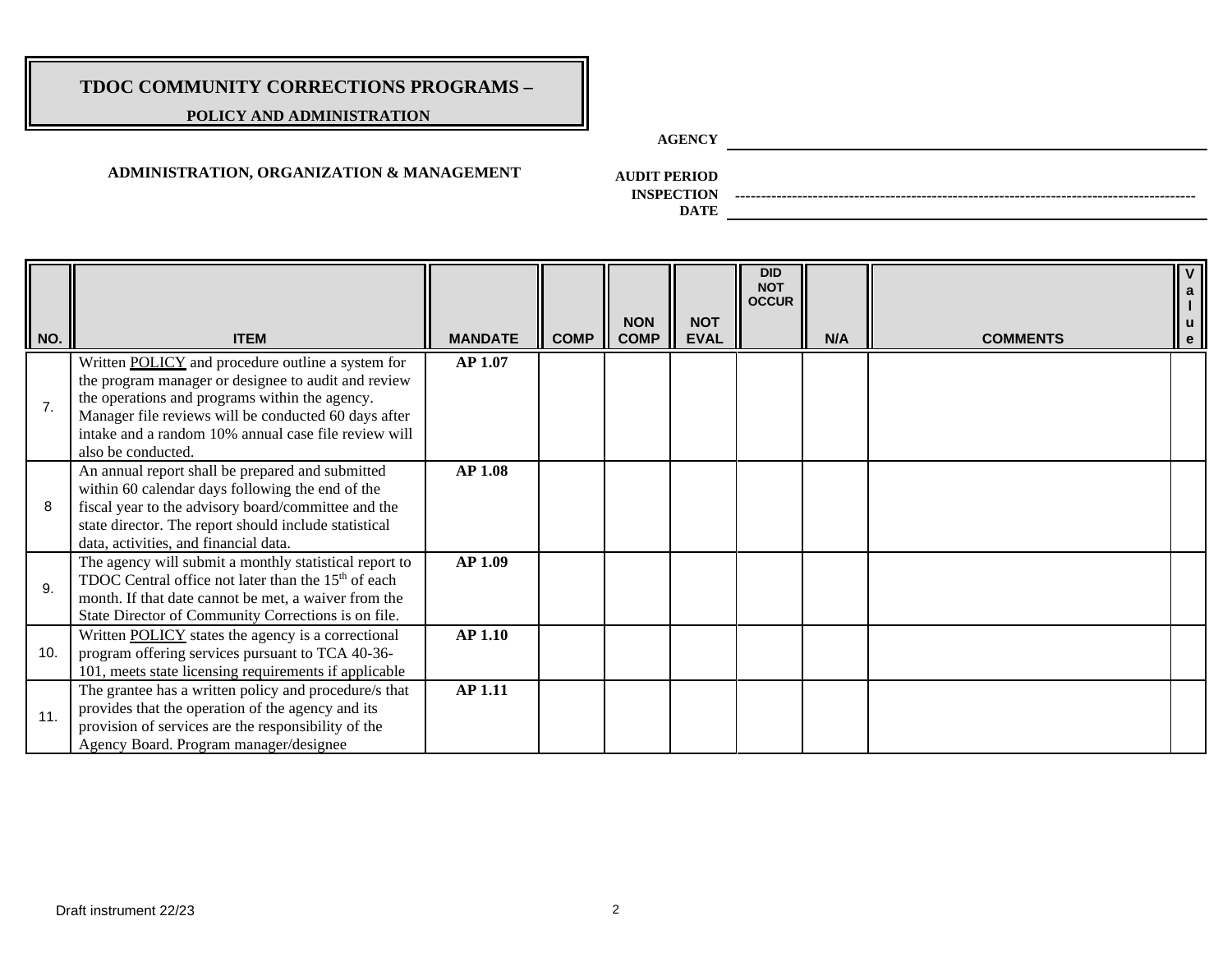### **POLICY AND ADMINISTRATION**

**AGENCY**

### **ADMINISTRATION, ORGANIZATION & MANAGEMENT**

**AUDIT PERIOD**

**INSPECTION** *-----------------------------------------------------------------------------------------*

| NO. | <b>ITEM</b>                                                                                                                                                                                                                                                                                             | <b>MANDATE</b> | <b>COMP</b> | <b>NON</b><br><b>COMP</b> | <b>NOT</b><br><b>EVAL</b> | <b>DID</b><br><b>NOT</b><br><b>OCCUR</b> | N/A | <b>COMMENTS</b> | u<br>e |
|-----|---------------------------------------------------------------------------------------------------------------------------------------------------------------------------------------------------------------------------------------------------------------------------------------------------------|----------------|-------------|---------------------------|---------------------------|------------------------------------------|-----|-----------------|--------|
| 7.  | Written <b>POLICY</b> and procedure outline a system for<br>the program manager or designee to audit and review<br>the operations and programs within the agency.<br>Manager file reviews will be conducted 60 days after<br>intake and a random 10% annual case file review will<br>also be conducted. | AP 1.07        |             |                           |                           |                                          |     |                 |        |
| 8   | An annual report shall be prepared and submitted<br>within 60 calendar days following the end of the<br>fiscal year to the advisory board/committee and the<br>state director. The report should include statistical<br>data, activities, and financial data.                                           | <b>AP 1.08</b> |             |                           |                           |                                          |     |                 |        |
| 9.  | The agency will submit a monthly statistical report to<br>TDOC Central office not later than the 15 <sup>th</sup> of each<br>month. If that date cannot be met, a waiver from the<br>State Director of Community Corrections is on file.                                                                | <b>AP 1.09</b> |             |                           |                           |                                          |     |                 |        |
| 10. | Written <b>POLICY</b> states the agency is a correctional<br>program offering services pursuant to TCA 40-36-<br>101, meets state licensing requirements if applicable                                                                                                                                  | <b>AP 1.10</b> |             |                           |                           |                                          |     |                 |        |
| 11. | The grantee has a written policy and procedure/s that<br>provides that the operation of the agency and its<br>provision of services are the responsibility of the<br>Agency Board. Program manager/designee                                                                                             | <b>AP 1.11</b> |             |                           |                           |                                          |     |                 |        |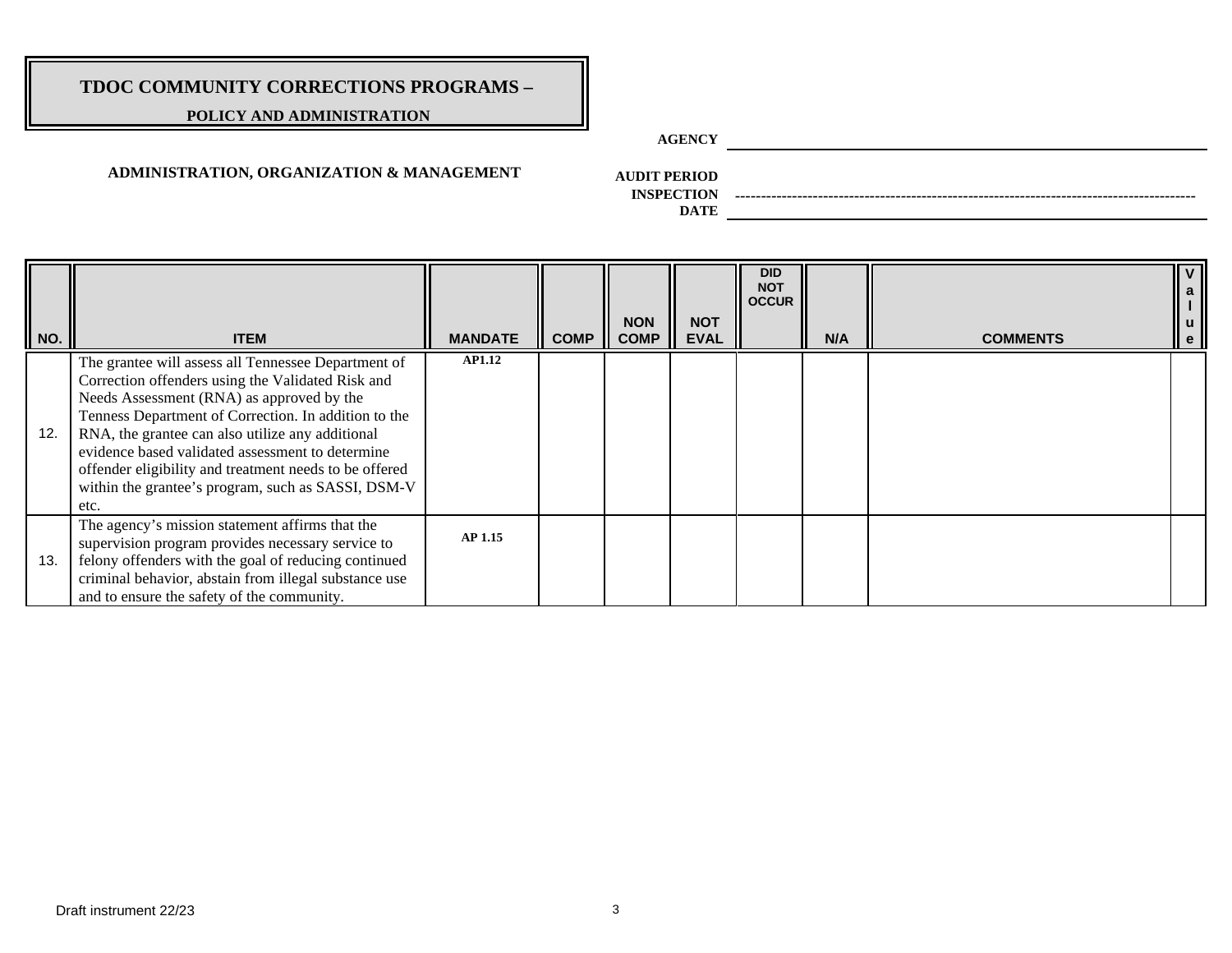### **POLICY AND ADMINISTRATION**

**AGENCY**

### **ADMINISTRATION, ORGANIZATION & MANAGEMENT**

**AUDIT PERIOD**

**INSPECTION** *-----------------------------------------------------------------------------------------*

| NO. | <b>ITEM</b>                                                                                                                                                                                                                                                                                                                                                                                                                                   | <b>MANDATE</b> | <b>COMP</b> | <b>NON</b><br><b>COMP</b> | <b>NOT</b><br><b>EVAL</b> | <b>DID</b><br><b>NOT</b><br><b>OCCUR</b> | N/A | <b>COMMENTS</b> |  |
|-----|-----------------------------------------------------------------------------------------------------------------------------------------------------------------------------------------------------------------------------------------------------------------------------------------------------------------------------------------------------------------------------------------------------------------------------------------------|----------------|-------------|---------------------------|---------------------------|------------------------------------------|-----|-----------------|--|
| 12. | The grantee will assess all Tennessee Department of<br>Correction offenders using the Validated Risk and<br>Needs Assessment (RNA) as approved by the<br>Tenness Department of Correction. In addition to the<br>RNA, the grantee can also utilize any additional<br>evidence based validated assessment to determine<br>offender eligibility and treatment needs to be offered<br>within the grantee's program, such as SASSI, DSM-V<br>etc. | <b>AP1.12</b>  |             |                           |                           |                                          |     |                 |  |
| 13. | The agency's mission statement affirms that the<br>supervision program provides necessary service to<br>felony offenders with the goal of reducing continued<br>criminal behavior, abstain from illegal substance use<br>and to ensure the safety of the community.                                                                                                                                                                           | <b>AP 1.15</b> |             |                           |                           |                                          |     |                 |  |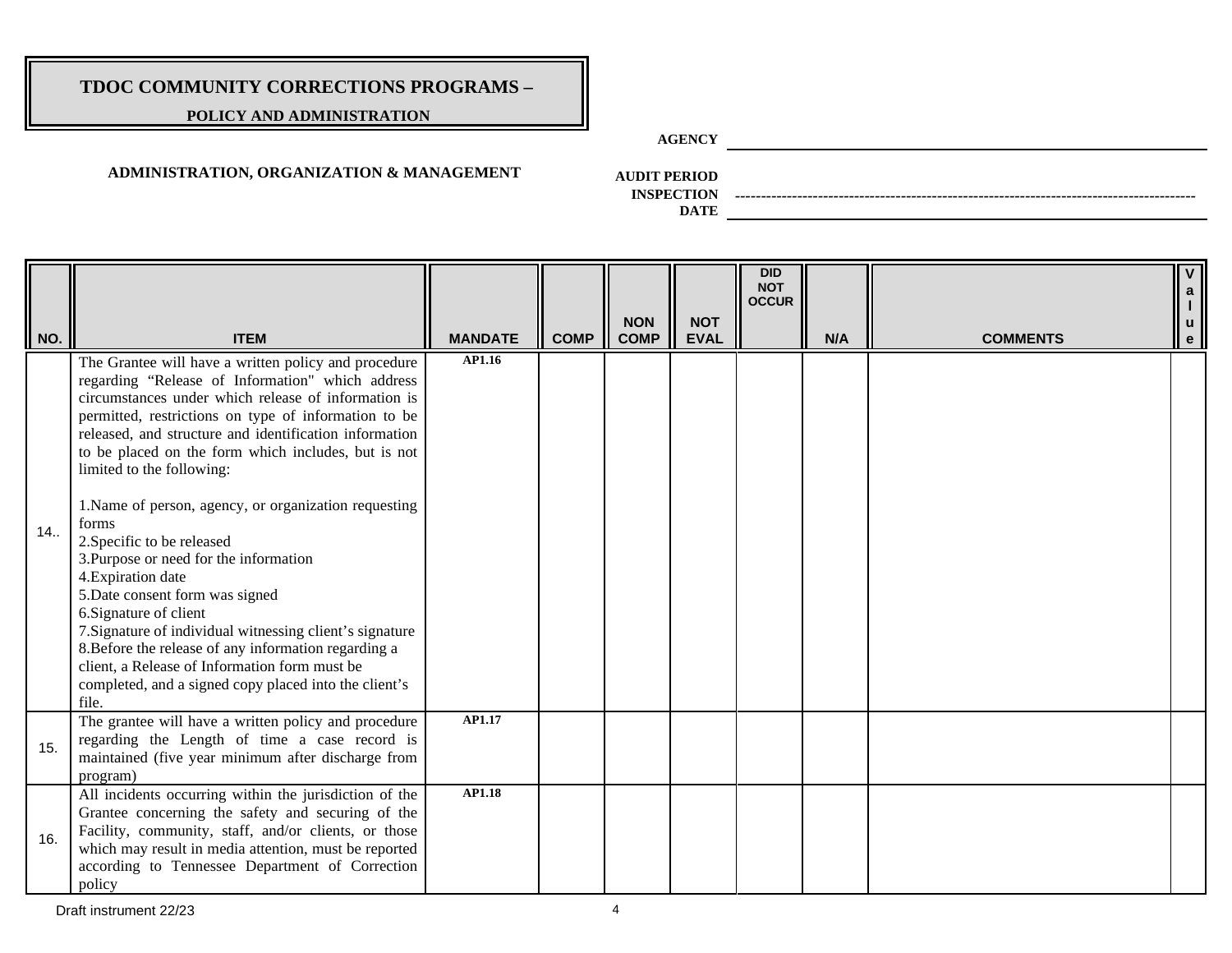### **POLICY AND ADMINISTRATION**

**AGENCY**

### **ADMINISTRATION, ORGANIZATION & MANAGEMENT**

**AUDIT PERIOD**

**INSPECTION** *-----------------------------------------------------------------------------------------*

**DATE**

| NO. | <b>ITEM</b>                                                                                                                                                                                                                                                                                                                                                                                                                                                                                                                                                                                                                                                                                                                                                                                                                               | <b>MANDATE</b> | <b>COMP</b> | <b>NON</b><br><b>COMP</b> | <b>NOT</b><br><b>EVAL</b> | <b>DID</b><br><b>NOT</b><br><b>OCCUR</b> | N/A | <b>COMMENTS</b> | $\mathbf{V}$<br>$\mathsf{a}$<br><b>u</b><br>$\mathbf{e}$ |
|-----|-------------------------------------------------------------------------------------------------------------------------------------------------------------------------------------------------------------------------------------------------------------------------------------------------------------------------------------------------------------------------------------------------------------------------------------------------------------------------------------------------------------------------------------------------------------------------------------------------------------------------------------------------------------------------------------------------------------------------------------------------------------------------------------------------------------------------------------------|----------------|-------------|---------------------------|---------------------------|------------------------------------------|-----|-----------------|----------------------------------------------------------|
| 14. | The Grantee will have a written policy and procedure<br>regarding "Release of Information" which address<br>circumstances under which release of information is<br>permitted, restrictions on type of information to be<br>released, and structure and identification information<br>to be placed on the form which includes, but is not<br>limited to the following:<br>1. Name of person, agency, or organization requesting<br>forms<br>2. Specific to be released<br>3. Purpose or need for the information<br>4. Expiration date<br>5. Date consent form was signed<br>6. Signature of client<br>7. Signature of individual witnessing client's signature<br>8. Before the release of any information regarding a<br>client, a Release of Information form must be<br>completed, and a signed copy placed into the client's<br>file. | AP1.16         |             |                           |                           |                                          |     |                 |                                                          |
| 15. | The grantee will have a written policy and procedure<br>regarding the Length of time a case record is<br>maintained (five year minimum after discharge from<br>program)                                                                                                                                                                                                                                                                                                                                                                                                                                                                                                                                                                                                                                                                   | AP1.17         |             |                           |                           |                                          |     |                 |                                                          |
| 16. | All incidents occurring within the jurisdiction of the<br>Grantee concerning the safety and securing of the<br>Facility, community, staff, and/or clients, or those<br>which may result in media attention, must be reported<br>according to Tennessee Department of Correction<br>policy                                                                                                                                                                                                                                                                                                                                                                                                                                                                                                                                                 | <b>AP1.18</b>  |             |                           |                           |                                          |     |                 |                                                          |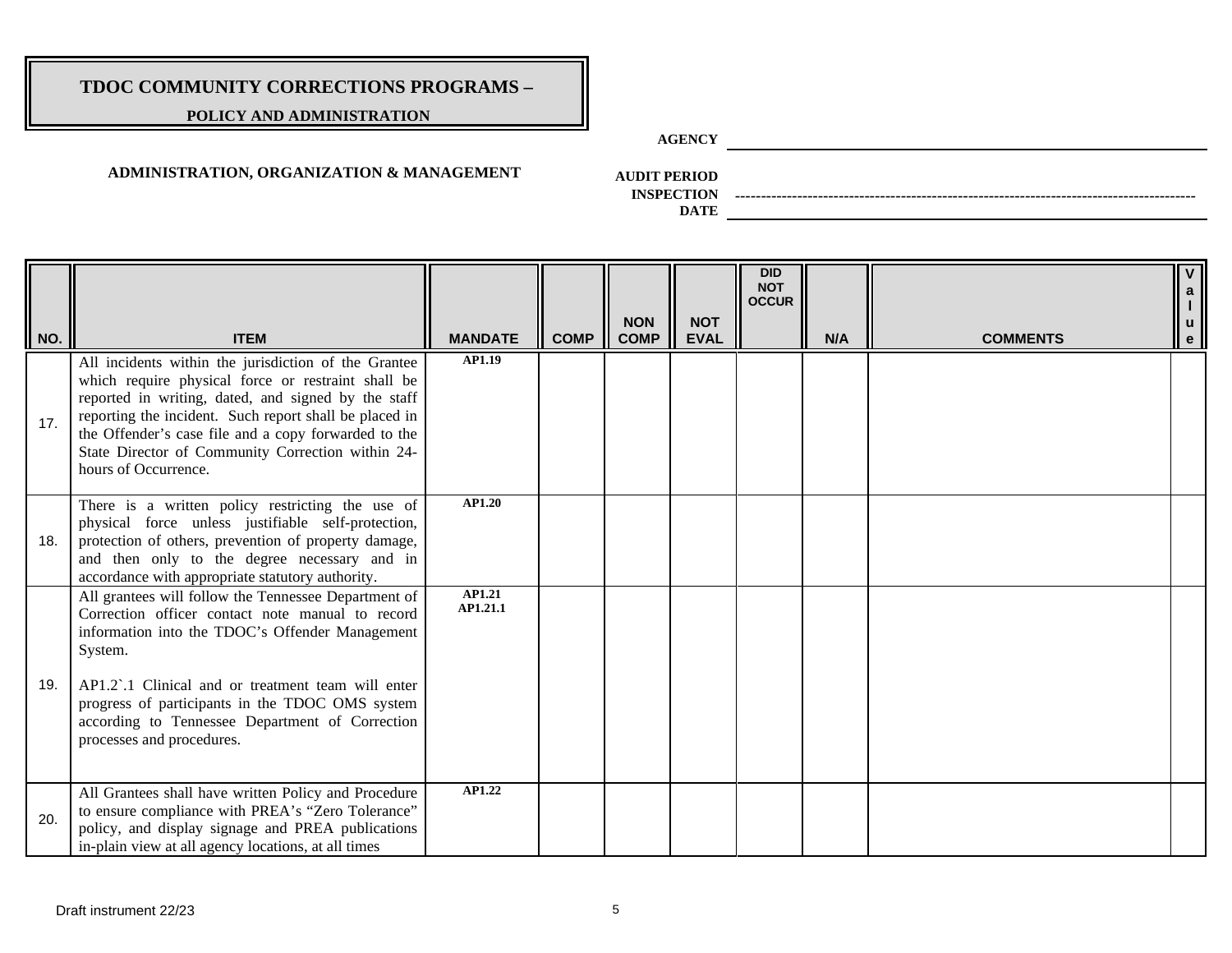### **POLICY AND ADMINISTRATION**

**AGENCY**

### **ADMINISTRATION, ORGANIZATION & MANAGEMENT**

**AUDIT PERIOD**

**INSPECTION** *-----------------------------------------------------------------------------------------*

| NO. | <b>ITEM</b>                                                                                                                                                                                                                                                                                                                                                      | <b>MANDATE</b>     | <b>COMP</b> | <b>NON</b><br><b>COMP</b> | <b>NOT</b><br><b>EVAL</b> | <b>DID</b><br><b>NOT</b><br><b>OCCUR</b> | N/A | <b>COMMENTS</b> | $\overline{V}$<br>$\mathbf{a}$<br>$\mathsf{u}$<br>$\mathbf{e}$ |
|-----|------------------------------------------------------------------------------------------------------------------------------------------------------------------------------------------------------------------------------------------------------------------------------------------------------------------------------------------------------------------|--------------------|-------------|---------------------------|---------------------------|------------------------------------------|-----|-----------------|----------------------------------------------------------------|
| 17. | All incidents within the jurisdiction of the Grantee<br>which require physical force or restraint shall be<br>reported in writing, dated, and signed by the staff<br>reporting the incident. Such report shall be placed in<br>the Offender's case file and a copy forwarded to the<br>State Director of Community Correction within 24-<br>hours of Occurrence. | AP1.19             |             |                           |                           |                                          |     |                 |                                                                |
| 18. | There is a written policy restricting the use of<br>physical force unless justifiable self-protection,<br>protection of others, prevention of property damage,<br>and then only to the degree necessary and in<br>accordance with appropriate statutory authority.                                                                                               | <b>AP1.20</b>      |             |                           |                           |                                          |     |                 |                                                                |
| 19. | All grantees will follow the Tennessee Department of<br>Correction officer contact note manual to record<br>information into the TDOC's Offender Management<br>System.<br>AP1.2.1 Clinical and or treatment team will enter<br>progress of participants in the TDOC OMS system<br>according to Tennessee Department of Correction<br>processes and procedures.   | AP1.21<br>AP1.21.1 |             |                           |                           |                                          |     |                 |                                                                |
| 20. | All Grantees shall have written Policy and Procedure<br>to ensure compliance with PREA's "Zero Tolerance"<br>policy, and display signage and PREA publications<br>in-plain view at all agency locations, at all times                                                                                                                                            | AP1.22             |             |                           |                           |                                          |     |                 |                                                                |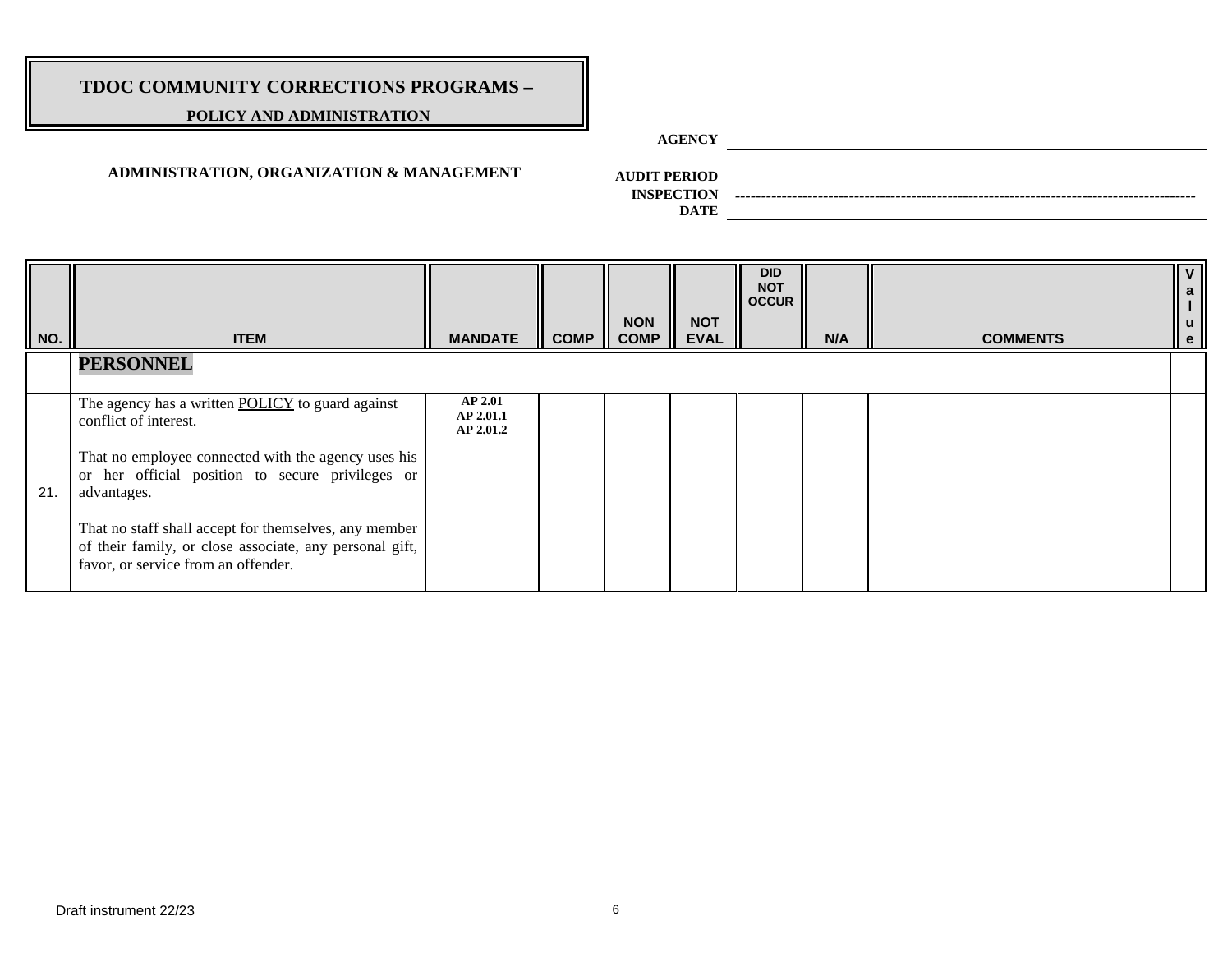### **POLICY AND ADMINISTRATION**

**AGENCY**

### **ADMINISTRATION, ORGANIZATION & MANAGEMENT**

**AUDIT PERIOD**

**INSPECTION** *-----------------------------------------------------------------------------------------*

**DATE**

| NO. | <b>ITEM</b>                                                                                                                                                                                                                                                                                                                                                           | <b>MANDATE</b>                           | <b>COMP</b> | <b>NON</b><br><b>COMP</b> | <b>NOT</b><br><b>EVAL</b> | <b>DID</b><br><b>NOT</b><br><b>OCCUR</b> | N/A | <b>COMMENTS</b> | $\mathsf{v}$<br>a II<br>$\begin{vmatrix} 1 \\ u \end{vmatrix}$<br>$\cdot$ |
|-----|-----------------------------------------------------------------------------------------------------------------------------------------------------------------------------------------------------------------------------------------------------------------------------------------------------------------------------------------------------------------------|------------------------------------------|-------------|---------------------------|---------------------------|------------------------------------------|-----|-----------------|---------------------------------------------------------------------------|
|     | <b>PERSONNEL</b>                                                                                                                                                                                                                                                                                                                                                      |                                          |             |                           |                           |                                          |     |                 |                                                                           |
| 21. | The agency has a written <b>POLICY</b> to guard against<br>conflict of interest.<br>That no employee connected with the agency uses his<br>or her official position to secure privileges or<br>advantages.<br>That no staff shall accept for themselves, any member<br>of their family, or close associate, any personal gift,<br>favor, or service from an offender. | <b>AP 2.01</b><br>AP 2.01.1<br>AP 2.01.2 |             |                           |                           |                                          |     |                 |                                                                           |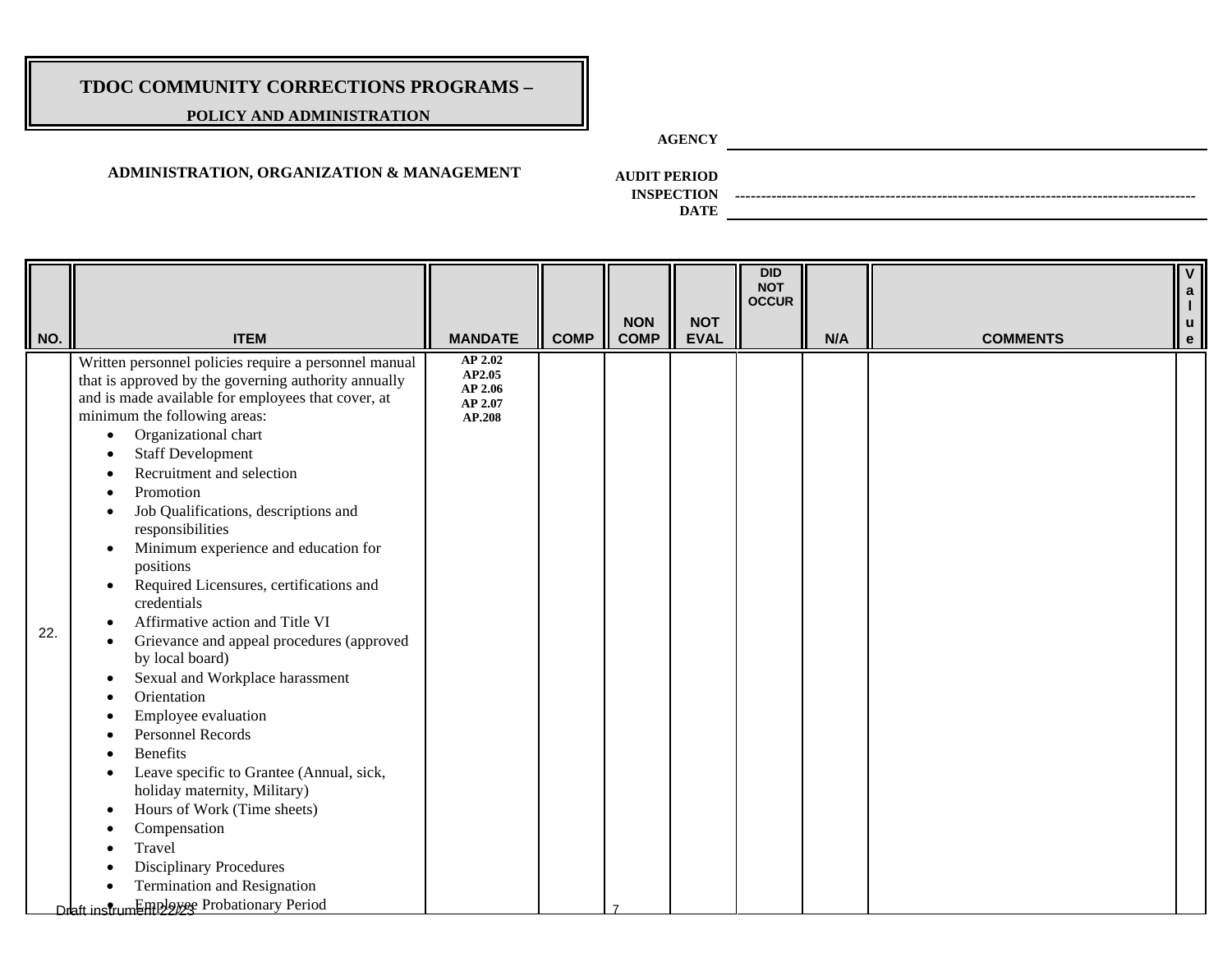### **POLICY AND ADMINISTRATION**

**AGENCY**

### **ADMINISTRATION, ORGANIZATION & MANAGEMENT**

**AUDIT PERIOD**

**INSPECTION** *-----------------------------------------------------------------------------------------*

**DATE**

| NO. | <b>ITEM</b>                                                                                                                                                                                                                                                                                                                                                                                                                                                                                                                                                                                                                                                                                                                                                                                                                                                                                                                                                                                           | <b>MANDATE</b>                                    | <b>COMP</b> | <b>NON</b><br><b>COMP</b> | <b>NOT</b><br><b>EVAL</b> | <b>DID</b><br><b>NOT</b><br><b>OCCUR</b> | N/A | <b>COMMENTS</b> | a<br>u<br>e |
|-----|-------------------------------------------------------------------------------------------------------------------------------------------------------------------------------------------------------------------------------------------------------------------------------------------------------------------------------------------------------------------------------------------------------------------------------------------------------------------------------------------------------------------------------------------------------------------------------------------------------------------------------------------------------------------------------------------------------------------------------------------------------------------------------------------------------------------------------------------------------------------------------------------------------------------------------------------------------------------------------------------------------|---------------------------------------------------|-------------|---------------------------|---------------------------|------------------------------------------|-----|-----------------|-------------|
| 22. | Written personnel policies require a personnel manual<br>that is approved by the governing authority annually<br>and is made available for employees that cover, at<br>minimum the following areas:<br>Organizational chart<br>$\bullet$<br><b>Staff Development</b><br>Recruitment and selection<br>Promotion<br>$\bullet$<br>Job Qualifications, descriptions and<br>responsibilities<br>Minimum experience and education for<br>٠<br>positions<br>Required Licensures, certifications and<br>٠<br>credentials<br>Affirmative action and Title VI<br>Grievance and appeal procedures (approved<br>by local board)<br>Sexual and Workplace harassment<br>Orientation<br>Employee evaluation<br><b>Personnel Records</b><br><b>Benefits</b><br>Leave specific to Grantee (Annual, sick,<br>holiday maternity, Military)<br>Hours of Work (Time sheets)<br>Compensation<br>Travel<br><b>Disciplinary Procedures</b><br><b>Termination and Resignation</b><br>Draft instrumEmployee Probationary Period | AP 2.02<br>AP2.05<br>AP 2.06<br>AP 2.07<br>AP.208 |             |                           |                           |                                          |     |                 |             |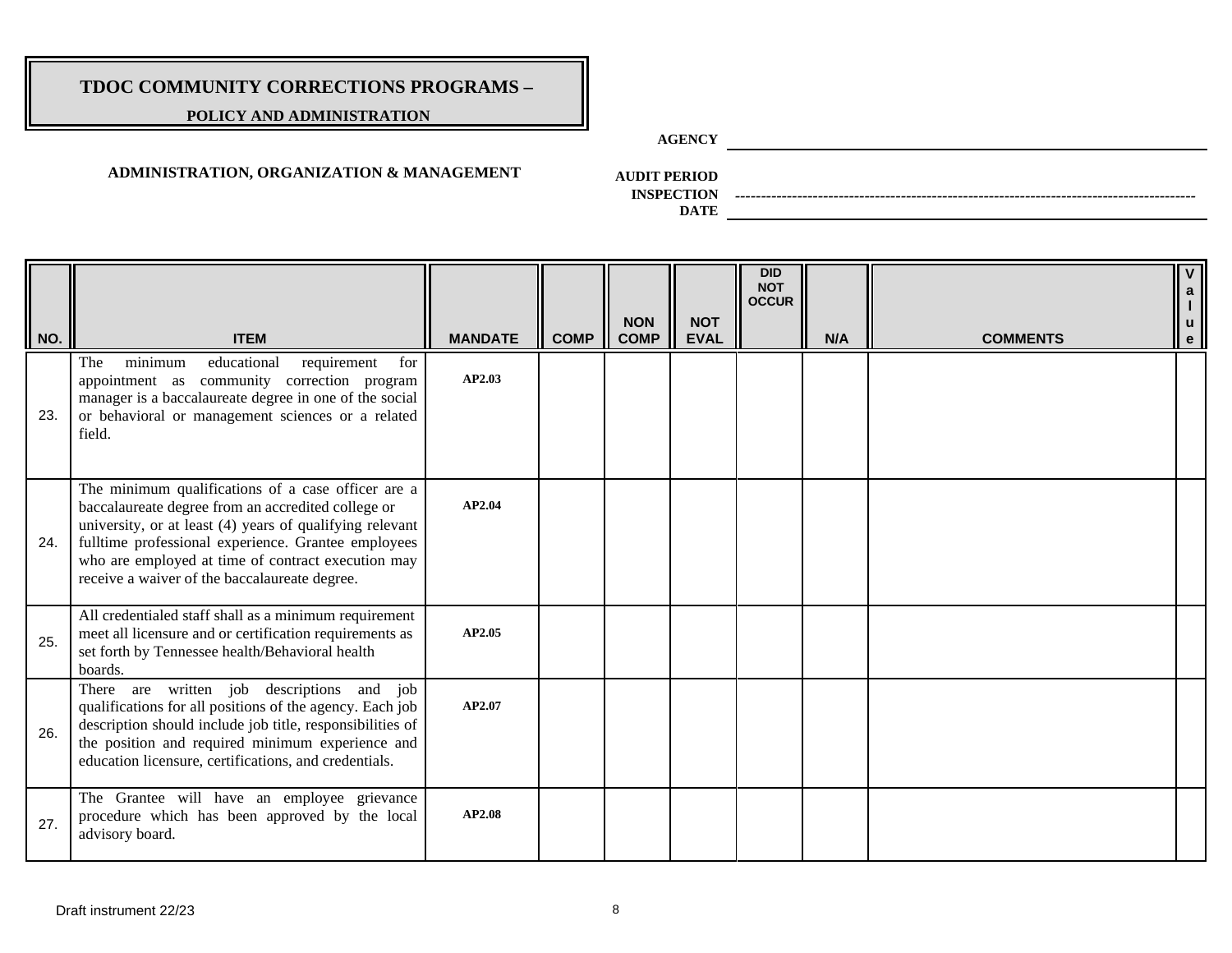### **POLICY AND ADMINISTRATION**

**AGENCY**

### **ADMINISTRATION, ORGANIZATION & MANAGEMENT**

**AUDIT PERIOD**

**INSPECTION** *-----------------------------------------------------------------------------------------*

| NO. | <b>ITEM</b>                                                                                                                                                                                                                                                                                                                        | <b>MANDATE</b> | <b>COMP</b> | <b>NON</b><br><b>COMP</b> | <b>NOT</b><br><b>EVAL</b> | <b>DID</b><br><b>NOT</b><br><b>OCCUR</b> | N/A | <b>COMMENTS</b> | $\mathbf V$<br>$\mathbf{a}$<br>$\mathsf{u}$<br>$\mathbf{e}$ |
|-----|------------------------------------------------------------------------------------------------------------------------------------------------------------------------------------------------------------------------------------------------------------------------------------------------------------------------------------|----------------|-------------|---------------------------|---------------------------|------------------------------------------|-----|-----------------|-------------------------------------------------------------|
| 23. | minimum<br>educational<br>requirement<br>for<br>The<br>appointment as community correction program<br>manager is a baccalaureate degree in one of the social<br>or behavioral or management sciences or a related<br>field.                                                                                                        | AP2.03         |             |                           |                           |                                          |     |                 |                                                             |
| 24. | The minimum qualifications of a case officer are a<br>baccalaureate degree from an accredited college or<br>university, or at least (4) years of qualifying relevant<br>fulltime professional experience. Grantee employees<br>who are employed at time of contract execution may<br>receive a waiver of the baccalaureate degree. | AP2.04         |             |                           |                           |                                          |     |                 |                                                             |
| 25. | All credentialed staff shall as a minimum requirement<br>meet all licensure and or certification requirements as<br>set forth by Tennessee health/Behavioral health<br>boards.                                                                                                                                                     | AP2.05         |             |                           |                           |                                          |     |                 |                                                             |
| 26. | There are written job descriptions and job<br>qualifications for all positions of the agency. Each job<br>description should include job title, responsibilities of<br>the position and required minimum experience and<br>education licensure, certifications, and credentials.                                                   | AP2.07         |             |                           |                           |                                          |     |                 |                                                             |
| 27. | The Grantee will have an employee grievance<br>procedure which has been approved by the local<br>advisory board.                                                                                                                                                                                                                   | <b>AP2.08</b>  |             |                           |                           |                                          |     |                 |                                                             |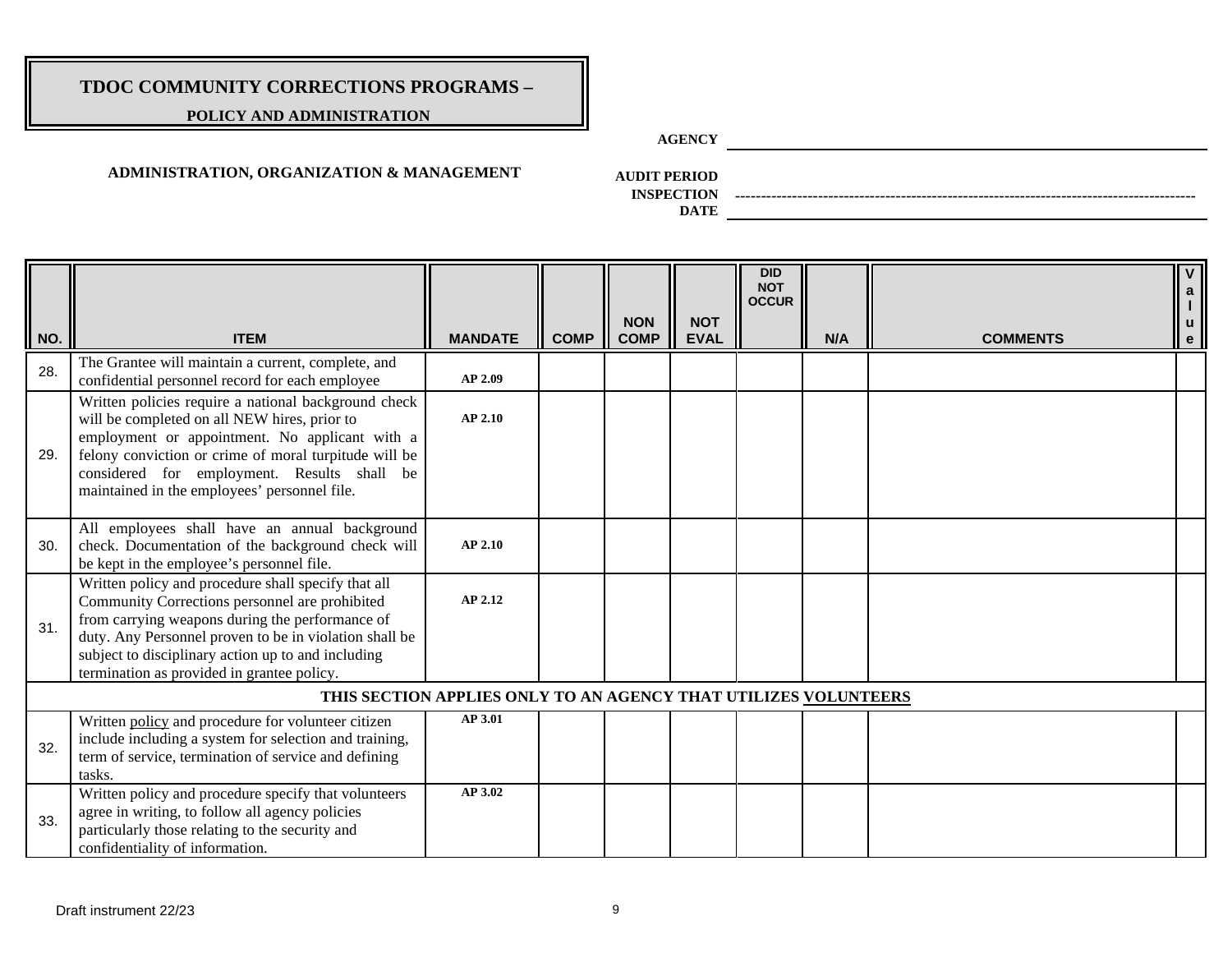### **POLICY AND ADMINISTRATION**

**AGENCY**

### **ADMINISTRATION, ORGANIZATION & MANAGEMENT**

**AUDIT PERIOD**

**INSPECTION** *-----------------------------------------------------------------------------------------*

| NO. | <b>ITEM</b>                                                                                                                                                                                                                                                                                                            | <b>MANDATE</b>                                                  | <b>COMP</b> | <b>NON</b><br><b>COMP</b> | <b>NOT</b><br><b>EVAL</b> | <b>DID</b><br><b>NOT</b><br><b>OCCUR</b> | N/A | <b>COMMENTS</b> | $\overline{V}$<br>$\mathbf{a}$<br>$\mathbf{e}$ |
|-----|------------------------------------------------------------------------------------------------------------------------------------------------------------------------------------------------------------------------------------------------------------------------------------------------------------------------|-----------------------------------------------------------------|-------------|---------------------------|---------------------------|------------------------------------------|-----|-----------------|------------------------------------------------|
| 28. | The Grantee will maintain a current, complete, and<br>confidential personnel record for each employee                                                                                                                                                                                                                  | AP 2.09                                                         |             |                           |                           |                                          |     |                 |                                                |
| 29. | Written policies require a national background check<br>will be completed on all NEW hires, prior to<br>employment or appointment. No applicant with a<br>felony conviction or crime of moral turpitude will be<br>considered for employment. Results shall be<br>maintained in the employees' personnel file.         | <b>AP 2.10</b>                                                  |             |                           |                           |                                          |     |                 |                                                |
| 30. | All employees shall have an annual background<br>check. Documentation of the background check will<br>be kept in the employee's personnel file.                                                                                                                                                                        | AP 2.10                                                         |             |                           |                           |                                          |     |                 |                                                |
| 31. | Written policy and procedure shall specify that all<br>Community Corrections personnel are prohibited<br>from carrying weapons during the performance of<br>duty. Any Personnel proven to be in violation shall be<br>subject to disciplinary action up to and including<br>termination as provided in grantee policy. | AP 2.12                                                         |             |                           |                           |                                          |     |                 |                                                |
|     |                                                                                                                                                                                                                                                                                                                        | THIS SECTION APPLIES ONLY TO AN AGENCY THAT UTILIZES VOLUNTEERS |             |                           |                           |                                          |     |                 |                                                |
| 32. | Written policy and procedure for volunteer citizen<br>include including a system for selection and training,<br>term of service, termination of service and defining<br>tasks.                                                                                                                                         | AP 3.01                                                         |             |                           |                           |                                          |     |                 |                                                |
| 33. | Written policy and procedure specify that volunteers<br>agree in writing, to follow all agency policies<br>particularly those relating to the security and<br>confidentiality of information.                                                                                                                          | AP 3.02                                                         |             |                           |                           |                                          |     |                 |                                                |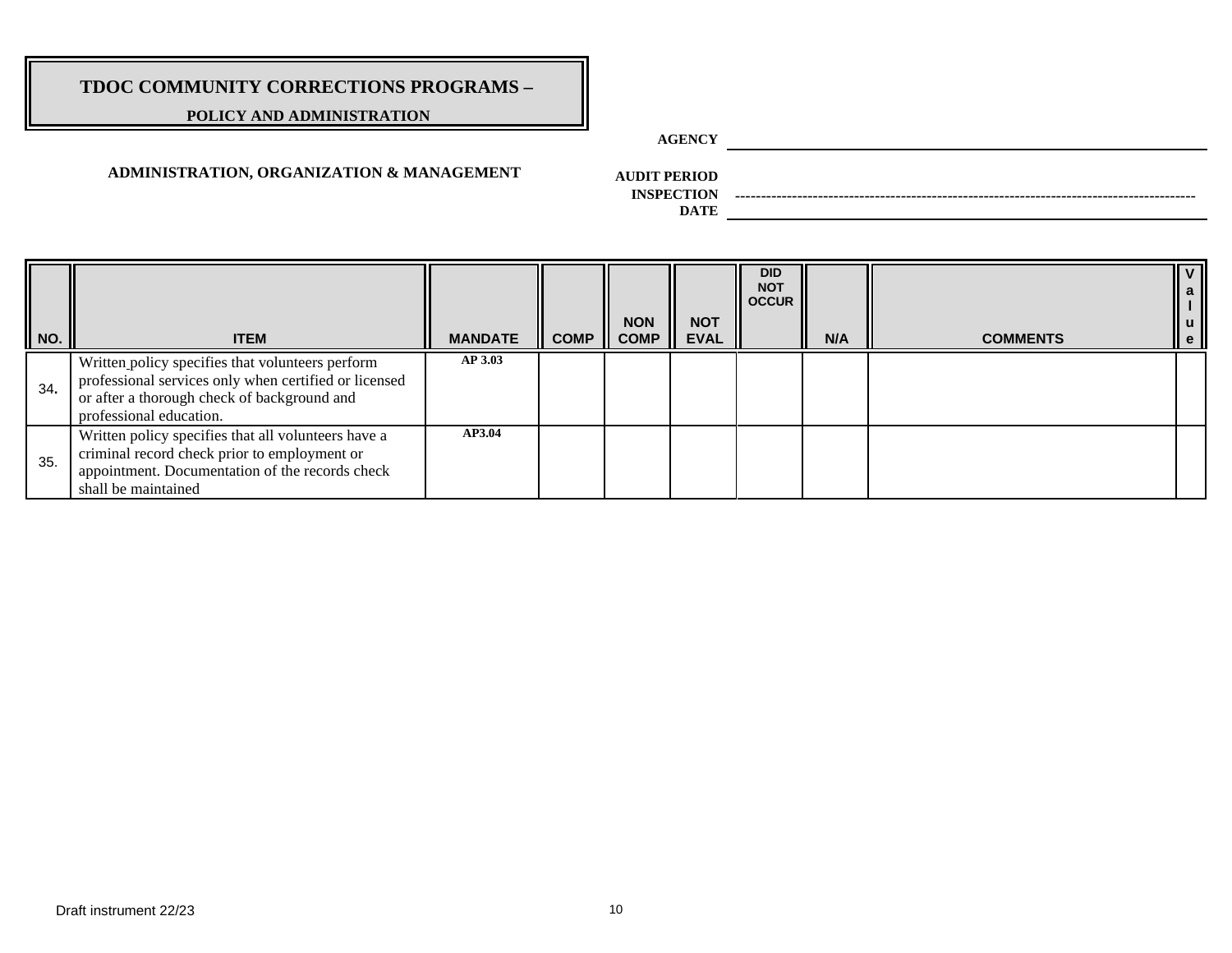### **POLICY AND ADMINISTRATION**

**AGENCY**

### **ADMINISTRATION, ORGANIZATION & MANAGEMENT**

**AUDIT PERIOD**

**INSPECTION** *-----------------------------------------------------------------------------------------*

| $\ $ NO. | <b>ITEM</b>                                                                                                                                                                         | <b>MANDATE</b> | <b>COMP</b> | <b>NON</b><br><b>COMP</b> | <b>NOT</b><br><b>EVAL</b> | <b>DID</b><br><b>NOT</b><br><b>OCCUR</b> | N/A | <b>COMMENTS</b> | ll v<br>∥ a<br>I ∣<br>∥ u<br>II e |
|----------|-------------------------------------------------------------------------------------------------------------------------------------------------------------------------------------|----------------|-------------|---------------------------|---------------------------|------------------------------------------|-----|-----------------|-----------------------------------|
| 34.      | Written policy specifies that volunteers perform<br>professional services only when certified or licensed<br>or after a thorough check of background and<br>professional education. | <b>AP 3.03</b> |             |                           |                           |                                          |     |                 |                                   |
| 35.      | Written policy specifies that all volunteers have a<br>criminal record check prior to employment or<br>appointment. Documentation of the records check<br>shall be maintained       | AP3.04         |             |                           |                           |                                          |     |                 |                                   |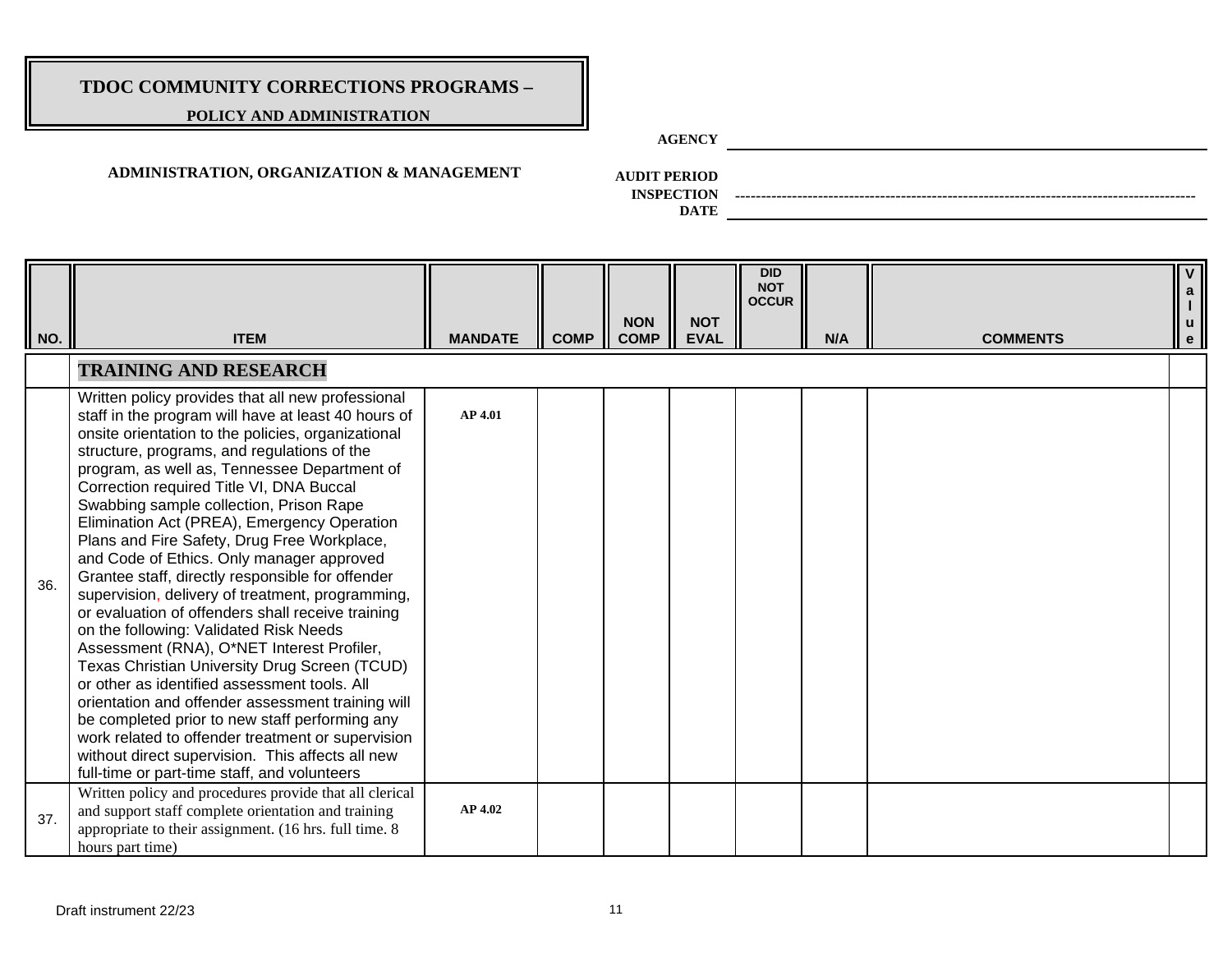### **POLICY AND ADMINISTRATION**

**AGENCY**

### **ADMINISTRATION, ORGANIZATION & MANAGEMENT**

**AUDIT PERIOD**

**INSPECTION** *-----------------------------------------------------------------------------------------*

| NO. | <b>ITEM</b>                                                                                                                                                                                                                                                                                                                                                                                                                                                                                                                                                                                                                                                                                                                                                                                                                                                                                                                                                                                                                                                                                                           | <b>MANDATE</b> | <b>COMP</b> | <b>NON</b><br><b>COMP</b> | <b>NOT</b><br><b>EVAL</b> | <b>DID</b><br><b>NOT</b><br><b>OCCUR</b> | N/A | <b>COMMENTS</b> | V<br>$\begin{array}{c} a \\ 1 \end{array}$<br>$\mathsf{u}$<br>e |
|-----|-----------------------------------------------------------------------------------------------------------------------------------------------------------------------------------------------------------------------------------------------------------------------------------------------------------------------------------------------------------------------------------------------------------------------------------------------------------------------------------------------------------------------------------------------------------------------------------------------------------------------------------------------------------------------------------------------------------------------------------------------------------------------------------------------------------------------------------------------------------------------------------------------------------------------------------------------------------------------------------------------------------------------------------------------------------------------------------------------------------------------|----------------|-------------|---------------------------|---------------------------|------------------------------------------|-----|-----------------|-----------------------------------------------------------------|
|     | <b>TRAINING AND RESEARCH</b>                                                                                                                                                                                                                                                                                                                                                                                                                                                                                                                                                                                                                                                                                                                                                                                                                                                                                                                                                                                                                                                                                          |                |             |                           |                           |                                          |     |                 |                                                                 |
| 36. | Written policy provides that all new professional<br>staff in the program will have at least 40 hours of<br>onsite orientation to the policies, organizational<br>structure, programs, and regulations of the<br>program, as well as, Tennessee Department of<br>Correction required Title VI, DNA Buccal<br>Swabbing sample collection, Prison Rape<br>Elimination Act (PREA), Emergency Operation<br>Plans and Fire Safety, Drug Free Workplace,<br>and Code of Ethics. Only manager approved<br>Grantee staff, directly responsible for offender<br>supervision, delivery of treatment, programming,<br>or evaluation of offenders shall receive training<br>on the following: Validated Risk Needs<br>Assessment (RNA), O*NET Interest Profiler,<br>Texas Christian University Drug Screen (TCUD)<br>or other as identified assessment tools. All<br>orientation and offender assessment training will<br>be completed prior to new staff performing any<br>work related to offender treatment or supervision<br>without direct supervision. This affects all new<br>full-time or part-time staff, and volunteers | <b>AP 4.01</b> |             |                           |                           |                                          |     |                 |                                                                 |
| 37. | Written policy and procedures provide that all clerical<br>and support staff complete orientation and training<br>appropriate to their assignment. (16 hrs. full time. 8)<br>hours part time)                                                                                                                                                                                                                                                                                                                                                                                                                                                                                                                                                                                                                                                                                                                                                                                                                                                                                                                         | <b>AP 4.02</b> |             |                           |                           |                                          |     |                 |                                                                 |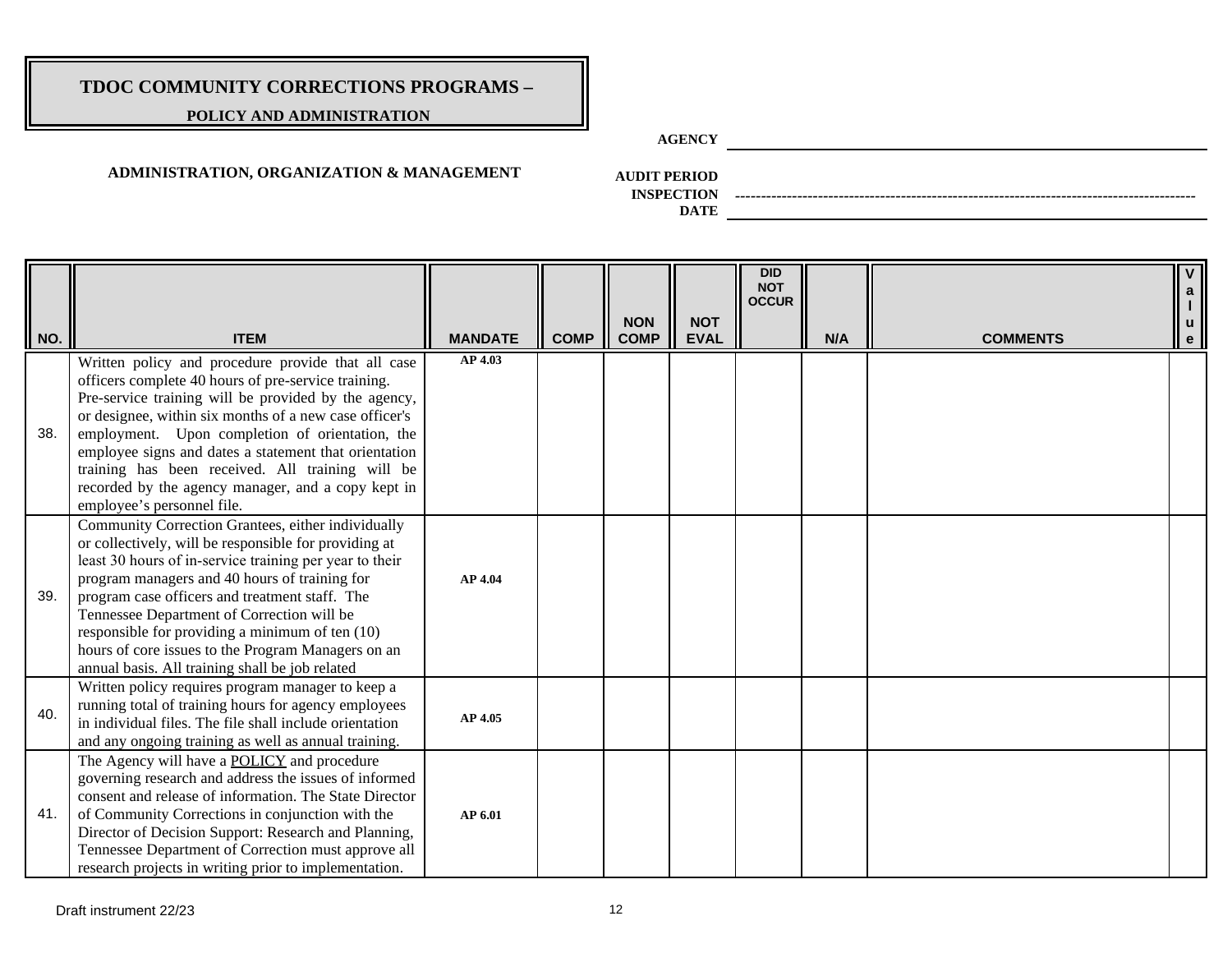### **POLICY AND ADMINISTRATION**

**AGENCY**

### **ADMINISTRATION, ORGANIZATION & MANAGEMENT**

**AUDIT PERIOD**

**INSPECTION** *-----------------------------------------------------------------------------------------*

| NO. | <b>ITEM</b>                                                                                                                                                                                                                                                                                                                                                                                                                                                                         | <b>MANDATE</b> | <b>COMP</b> | <b>NON</b><br><b>COMP</b> | <b>NOT</b><br><b>EVAL</b> | DID<br><b>NOT</b><br><b>OCCUR</b> | N/A | <b>COMMENTS</b> | $\mathbf{v}$<br>$\mathbf{a}$<br>e |
|-----|-------------------------------------------------------------------------------------------------------------------------------------------------------------------------------------------------------------------------------------------------------------------------------------------------------------------------------------------------------------------------------------------------------------------------------------------------------------------------------------|----------------|-------------|---------------------------|---------------------------|-----------------------------------|-----|-----------------|-----------------------------------|
| 38. | Written policy and procedure provide that all case<br>officers complete 40 hours of pre-service training.<br>Pre-service training will be provided by the agency,<br>or designee, within six months of a new case officer's<br>employment. Upon completion of orientation, the<br>employee signs and dates a statement that orientation<br>training has been received. All training will be<br>recorded by the agency manager, and a copy kept in<br>employee's personnel file.     | AP 4.03        |             |                           |                           |                                   |     |                 |                                   |
| 39. | Community Correction Grantees, either individually<br>or collectively, will be responsible for providing at<br>least 30 hours of in-service training per year to their<br>program managers and 40 hours of training for<br>program case officers and treatment staff. The<br>Tennessee Department of Correction will be<br>responsible for providing a minimum of ten (10)<br>hours of core issues to the Program Managers on an<br>annual basis. All training shall be job related | AP 4.04        |             |                           |                           |                                   |     |                 |                                   |
| 40. | Written policy requires program manager to keep a<br>running total of training hours for agency employees<br>in individual files. The file shall include orientation<br>and any ongoing training as well as annual training.                                                                                                                                                                                                                                                        | AP 4.05        |             |                           |                           |                                   |     |                 |                                   |
| 41. | The Agency will have a <b>POLICY</b> and procedure<br>governing research and address the issues of informed<br>consent and release of information. The State Director<br>of Community Corrections in conjunction with the<br>Director of Decision Support: Research and Planning,<br>Tennessee Department of Correction must approve all<br>research projects in writing prior to implementation.                                                                                   | AP 6.01        |             |                           |                           |                                   |     |                 |                                   |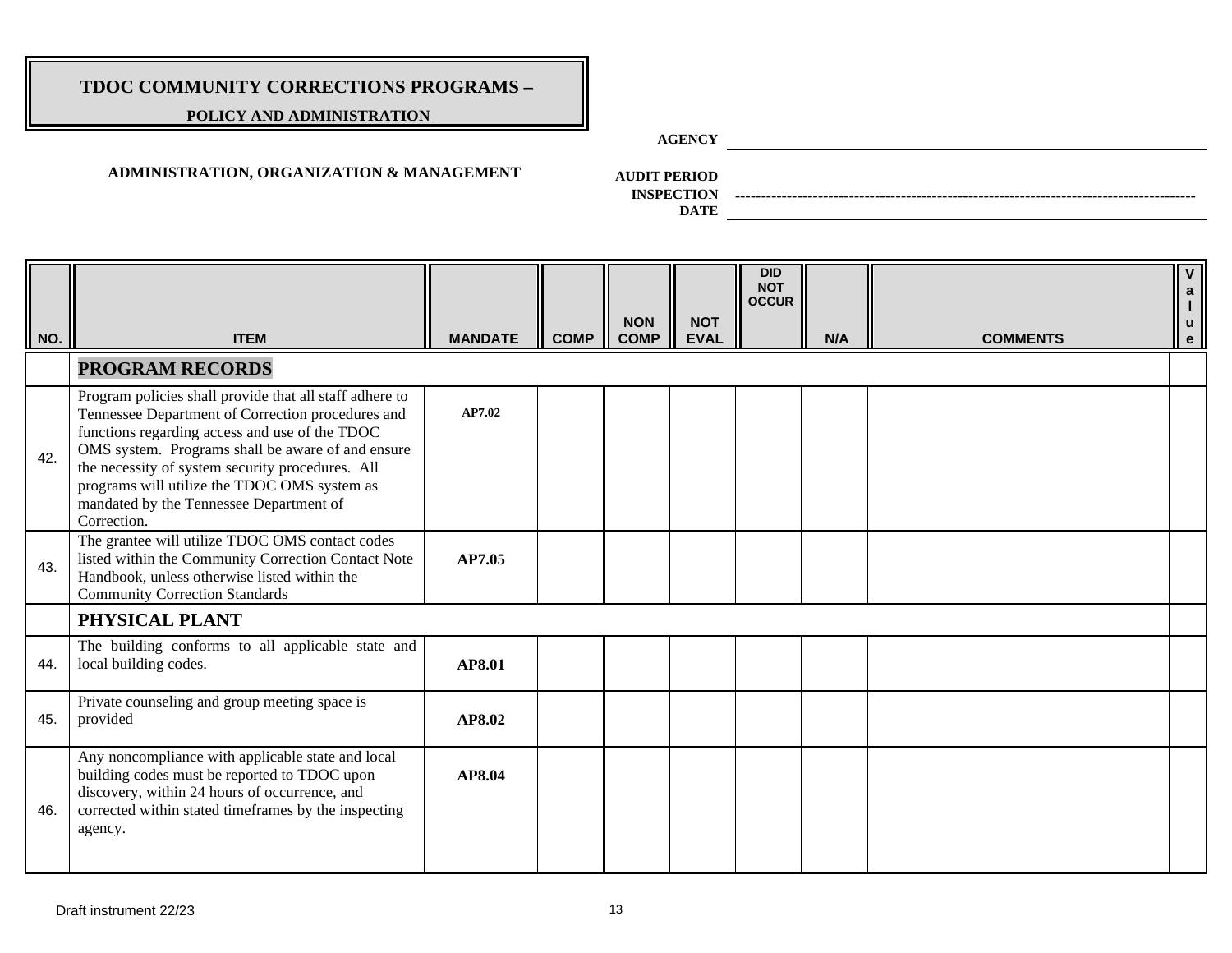### **POLICY AND ADMINISTRATION**

**AGENCY**

### **ADMINISTRATION, ORGANIZATION & MANAGEMENT**

**AUDIT PERIOD**

**INSPECTION** *-----------------------------------------------------------------------------------------*

| NO. | <b>ITEM</b>                                                                                                                                                                                                                                                                                                                                                                       | <b>MANDATE</b> | <b>COMP</b> | <b>NON</b><br><b>COMP</b> | <b>NOT</b><br><b>EVAL</b> | <b>DID</b><br><b>NOT</b><br><b>OCCUR</b> | N/A | <b>COMMENTS</b> | $\checkmark$<br> a <br>u<br>$\mathbf{e}$ |
|-----|-----------------------------------------------------------------------------------------------------------------------------------------------------------------------------------------------------------------------------------------------------------------------------------------------------------------------------------------------------------------------------------|----------------|-------------|---------------------------|---------------------------|------------------------------------------|-----|-----------------|------------------------------------------|
|     | <b>PROGRAM RECORDS</b>                                                                                                                                                                                                                                                                                                                                                            |                |             |                           |                           |                                          |     |                 |                                          |
| 42. | Program policies shall provide that all staff adhere to<br>Tennessee Department of Correction procedures and<br>functions regarding access and use of the TDOC<br>OMS system. Programs shall be aware of and ensure<br>the necessity of system security procedures. All<br>programs will utilize the TDOC OMS system as<br>mandated by the Tennessee Department of<br>Correction. | AP7.02         |             |                           |                           |                                          |     |                 |                                          |
| 43. | The grantee will utilize TDOC OMS contact codes<br>listed within the Community Correction Contact Note<br>Handbook, unless otherwise listed within the<br><b>Community Correction Standards</b>                                                                                                                                                                                   | AP7.05         |             |                           |                           |                                          |     |                 |                                          |
|     | PHYSICAL PLANT                                                                                                                                                                                                                                                                                                                                                                    |                |             |                           |                           |                                          |     |                 |                                          |
| 44. | The building conforms to all applicable state and<br>local building codes.                                                                                                                                                                                                                                                                                                        | AP8.01         |             |                           |                           |                                          |     |                 |                                          |
| 45. | Private counseling and group meeting space is<br>provided                                                                                                                                                                                                                                                                                                                         | AP8.02         |             |                           |                           |                                          |     |                 |                                          |
| 46. | Any noncompliance with applicable state and local<br>building codes must be reported to TDOC upon<br>discovery, within 24 hours of occurrence, and<br>corrected within stated timeframes by the inspecting<br>agency.                                                                                                                                                             | AP8.04         |             |                           |                           |                                          |     |                 |                                          |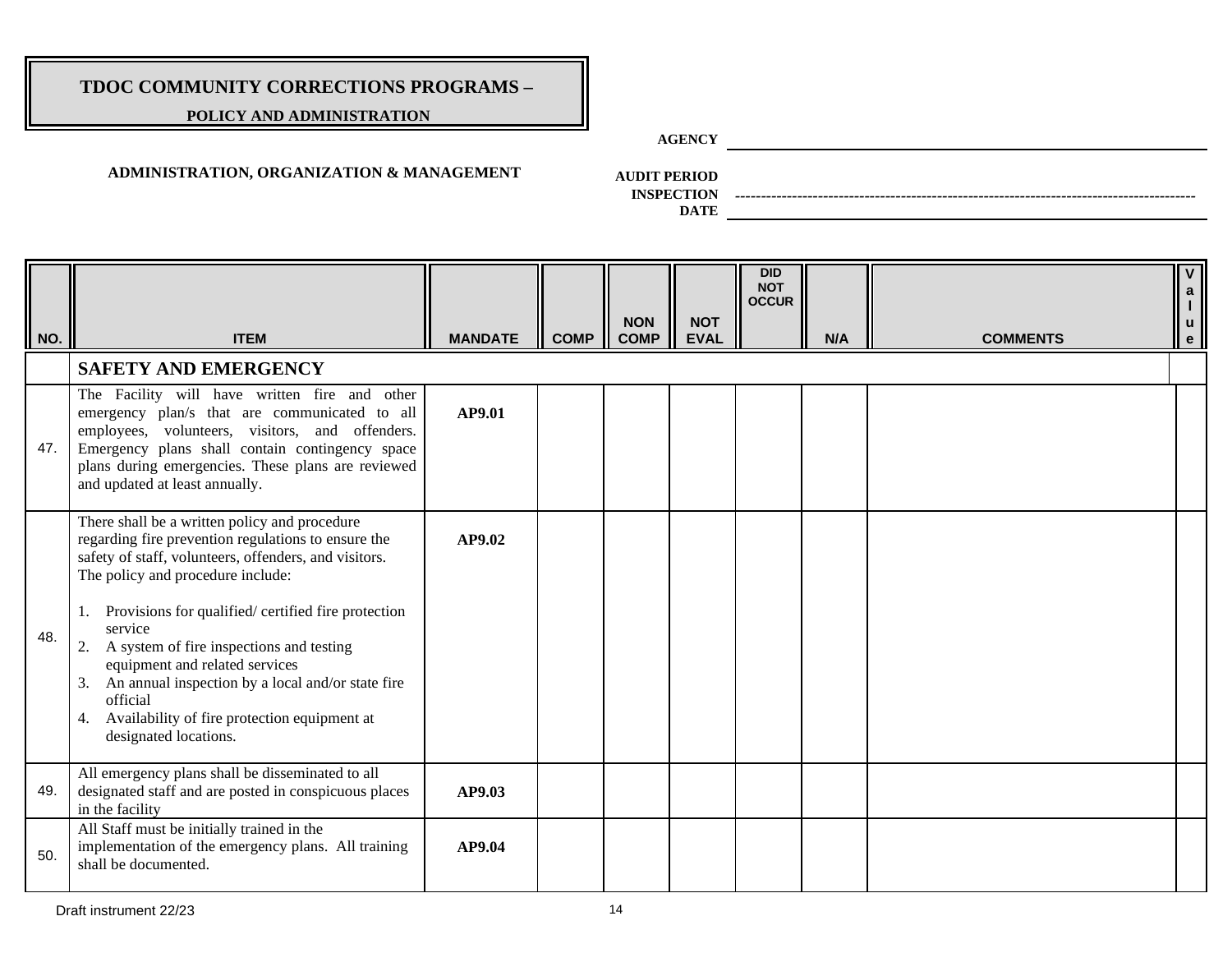### **POLICY AND ADMINISTRATION**

**AGENCY**

### **ADMINISTRATION, ORGANIZATION & MANAGEMENT**

**AUDIT PERIOD**

**INSPECTION** *-----------------------------------------------------------------------------------------*

| $\parallel$ NO. | <b>ITEM</b>                                                                                                                                                                                                                                                                                                                                                                                                                                                                                                 | <b>MANDATE</b> | <b>COMP</b> | <b>NON</b><br><b>COMP</b> | <b>NOT</b><br><b>EVAL</b> | <b>DID</b><br><b>NOT</b><br><b>OCCUR</b> | N/A | <b>COMMENTS</b> | $\overline{\mathbf{v}}$<br>a<br><b>u</b><br>$\mathbf{e}$ |
|-----------------|-------------------------------------------------------------------------------------------------------------------------------------------------------------------------------------------------------------------------------------------------------------------------------------------------------------------------------------------------------------------------------------------------------------------------------------------------------------------------------------------------------------|----------------|-------------|---------------------------|---------------------------|------------------------------------------|-----|-----------------|----------------------------------------------------------|
|                 | <b>SAFETY AND EMERGENCY</b>                                                                                                                                                                                                                                                                                                                                                                                                                                                                                 |                |             |                           |                           |                                          |     |                 |                                                          |
| 47.             | The Facility will have written fire and other<br>emergency plan/s that are communicated to all<br>employees, volunteers, visitors, and offenders.<br>Emergency plans shall contain contingency space<br>plans during emergencies. These plans are reviewed<br>and updated at least annually.                                                                                                                                                                                                                | AP9.01         |             |                           |                           |                                          |     |                 |                                                          |
| 48.             | There shall be a written policy and procedure<br>regarding fire prevention regulations to ensure the<br>safety of staff, volunteers, offenders, and visitors.<br>The policy and procedure include:<br>Provisions for qualified/ certified fire protection<br>service<br>2. A system of fire inspections and testing<br>equipment and related services<br>An annual inspection by a local and/or state fire<br>3.<br>official<br>Availability of fire protection equipment at<br>4.<br>designated locations. | AP9.02         |             |                           |                           |                                          |     |                 |                                                          |
| 49.             | All emergency plans shall be disseminated to all<br>designated staff and are posted in conspicuous places<br>in the facility                                                                                                                                                                                                                                                                                                                                                                                | AP9.03         |             |                           |                           |                                          |     |                 |                                                          |
| 50.             | All Staff must be initially trained in the<br>implementation of the emergency plans. All training<br>shall be documented.                                                                                                                                                                                                                                                                                                                                                                                   | AP9.04         |             |                           |                           |                                          |     |                 |                                                          |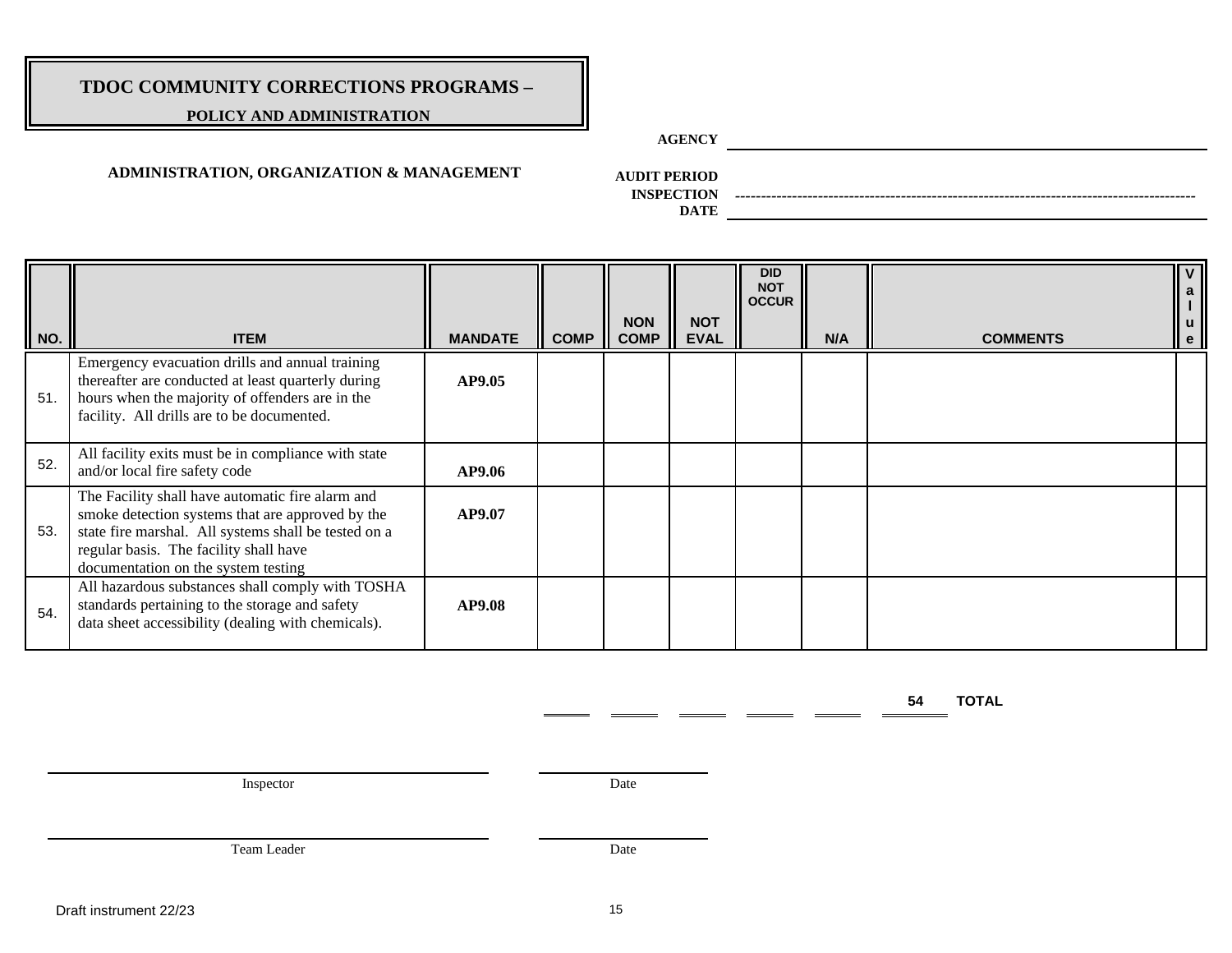### **POLICY AND ADMINISTRATION**

**AGENCY**

### **ADMINISTRATION, ORGANIZATION & MANAGEMENT**

**AUDIT PERIOD**

**INSPECTION** *-----------------------------------------------------------------------------------------*

**DATE**

| NO. | <b>ITEM</b>                                                                                                                                                                                                                                   | <b>MANDATE</b> | <b>COMP</b> | <b>NON</b><br><b>COMP</b> | <b>NOT</b><br><b>EVAL</b> | <b>DID</b><br><b>NOT</b><br><b>OCCUR</b> | N/A | <b>COMMENTS</b> | $\mathbf{V}$<br>a<br><b>u</b><br>$\mathbf{e}$ |
|-----|-----------------------------------------------------------------------------------------------------------------------------------------------------------------------------------------------------------------------------------------------|----------------|-------------|---------------------------|---------------------------|------------------------------------------|-----|-----------------|-----------------------------------------------|
| 51. | Emergency evacuation drills and annual training<br>thereafter are conducted at least quarterly during<br>hours when the majority of offenders are in the<br>facility. All drills are to be documented.                                        | <b>AP9.05</b>  |             |                           |                           |                                          |     |                 |                                               |
| 52. | All facility exits must be in compliance with state<br>and/or local fire safety code                                                                                                                                                          | AP9.06         |             |                           |                           |                                          |     |                 |                                               |
| 53. | The Facility shall have automatic fire alarm and<br>smoke detection systems that are approved by the<br>state fire marshal. All systems shall be tested on a<br>regular basis. The facility shall have<br>documentation on the system testing | AP9.07         |             |                           |                           |                                          |     |                 |                                               |
| 54. | All hazardous substances shall comply with TOSHA<br>standards pertaining to the storage and safety<br>data sheet accessibility (dealing with chemicals).                                                                                      | AP9.08         |             |                           |                           |                                          |     |                 |                                               |

**54 TOTAL** 

Inspector Date

 $\mathbf{r}$ 

Team Leader Date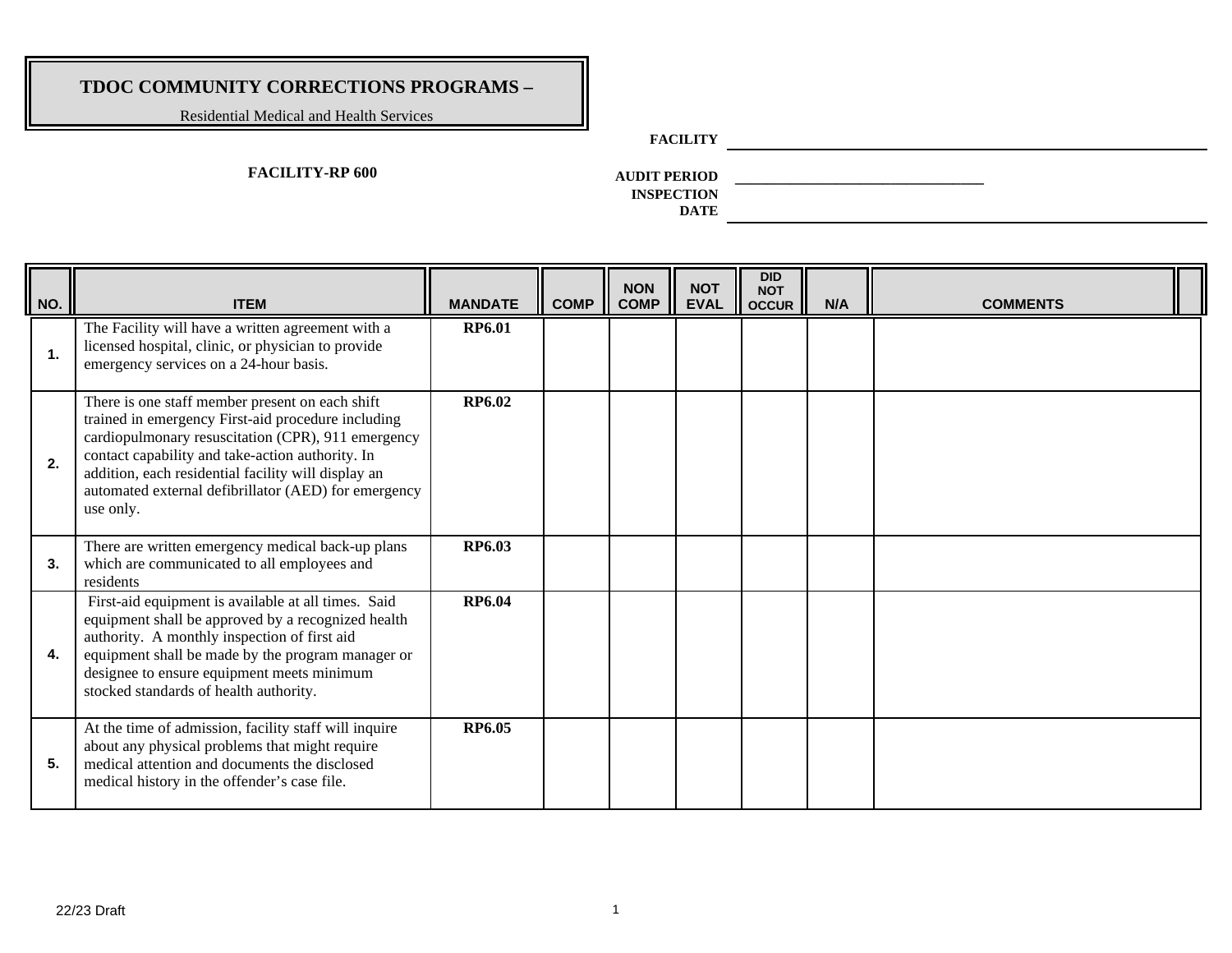Residential Medical and Health Services

### **FACILITY**

### **FACILITY-RP 600**

**AUDIT PERIOD \_\_\_\_\_\_\_\_\_\_\_\_\_\_\_\_\_\_\_\_\_\_\_\_\_\_\_\_\_\_\_\_ INSPECTION** 

| NO.         | <b>ITEM</b>                                                                                                                                                                                                                                                                                                                                 | <b>MANDATE</b> | <b>COMP</b> | <b>NON</b><br><b>COMP</b> | <b>NOT</b><br><b>EVAL</b> | <b>DID</b><br><b>NOT</b><br><b>OCCUR</b> | N/A | <b>COMMENTS</b> |  |
|-------------|---------------------------------------------------------------------------------------------------------------------------------------------------------------------------------------------------------------------------------------------------------------------------------------------------------------------------------------------|----------------|-------------|---------------------------|---------------------------|------------------------------------------|-----|-----------------|--|
| $\mathbf 1$ | The Facility will have a written agreement with a<br>licensed hospital, clinic, or physician to provide<br>emergency services on a 24-hour basis.                                                                                                                                                                                           | <b>RP6.01</b>  |             |                           |                           |                                          |     |                 |  |
| 2.          | There is one staff member present on each shift<br>trained in emergency First-aid procedure including<br>cardiopulmonary resuscitation (CPR), 911 emergency<br>contact capability and take-action authority. In<br>addition, each residential facility will display an<br>automated external defibrillator (AED) for emergency<br>use only. | RP6.02         |             |                           |                           |                                          |     |                 |  |
| 3.          | There are written emergency medical back-up plans<br>which are communicated to all employees and<br>residents                                                                                                                                                                                                                               | RP6.03         |             |                           |                           |                                          |     |                 |  |
| 4.          | First-aid equipment is available at all times. Said<br>equipment shall be approved by a recognized health<br>authority. A monthly inspection of first aid<br>equipment shall be made by the program manager or<br>designee to ensure equipment meets minimum<br>stocked standards of health authority.                                      | <b>RP6.04</b>  |             |                           |                           |                                          |     |                 |  |
| 5.          | At the time of admission, facility staff will inquire<br>about any physical problems that might require<br>medical attention and documents the disclosed<br>medical history in the offender's case file.                                                                                                                                    | <b>RP6.05</b>  |             |                           |                           |                                          |     |                 |  |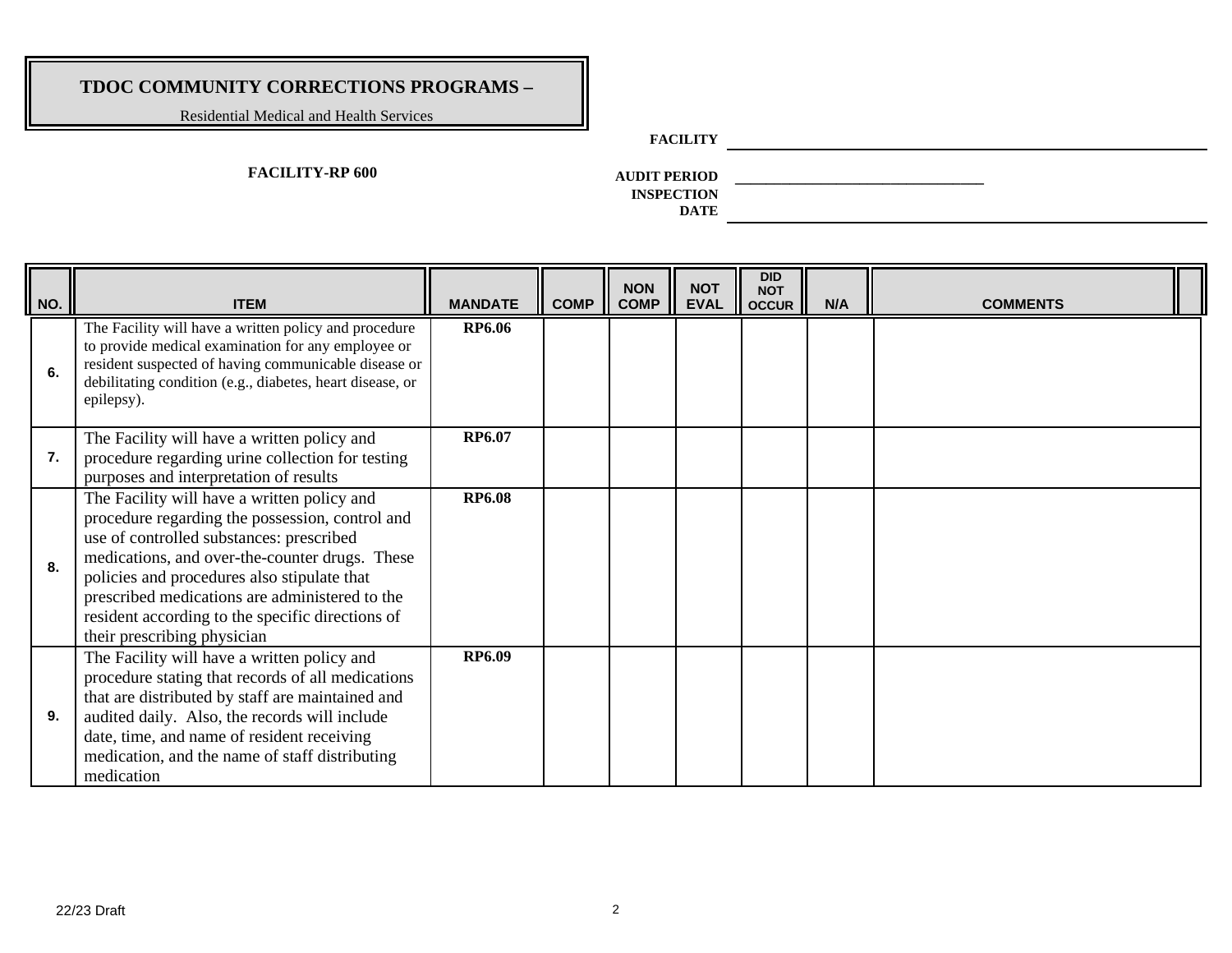Residential Medical and Health Services

### **FACILITY**

### **FACILITY-RP 600**

**AUDIT PERIOD \_\_\_\_\_\_\_\_\_\_\_\_\_\_\_\_\_\_\_\_\_\_\_\_\_\_\_\_\_\_\_\_ INSPECTION** 

| NO. | <b>ITEM</b>                                                                                                                                                                                                                                                                                                                                                                      | <b>MANDATE</b> | <b>COMP</b> | <b>NON</b><br><b>COMP</b> | <b>NOT</b><br><b>EVAL</b> | <b>DID</b><br><b>NOT</b><br><b>OCCUR</b> | N/A | <b>COMMENTS</b> |  |
|-----|----------------------------------------------------------------------------------------------------------------------------------------------------------------------------------------------------------------------------------------------------------------------------------------------------------------------------------------------------------------------------------|----------------|-------------|---------------------------|---------------------------|------------------------------------------|-----|-----------------|--|
| 6.  | The Facility will have a written policy and procedure<br>to provide medical examination for any employee or<br>resident suspected of having communicable disease or<br>debilitating condition (e.g., diabetes, heart disease, or<br>epilepsy).                                                                                                                                   | <b>RP6.06</b>  |             |                           |                           |                                          |     |                 |  |
| 7.  | The Facility will have a written policy and<br>procedure regarding urine collection for testing<br>purposes and interpretation of results                                                                                                                                                                                                                                        | RP6.07         |             |                           |                           |                                          |     |                 |  |
| 8.  | The Facility will have a written policy and<br>procedure regarding the possession, control and<br>use of controlled substances: prescribed<br>medications, and over-the-counter drugs. These<br>policies and procedures also stipulate that<br>prescribed medications are administered to the<br>resident according to the specific directions of<br>their prescribing physician | <b>RP6.08</b>  |             |                           |                           |                                          |     |                 |  |
| 9.  | The Facility will have a written policy and<br>procedure stating that records of all medications<br>that are distributed by staff are maintained and<br>audited daily. Also, the records will include<br>date, time, and name of resident receiving<br>medication, and the name of staff distributing<br>medication                                                              | <b>RP6.09</b>  |             |                           |                           |                                          |     |                 |  |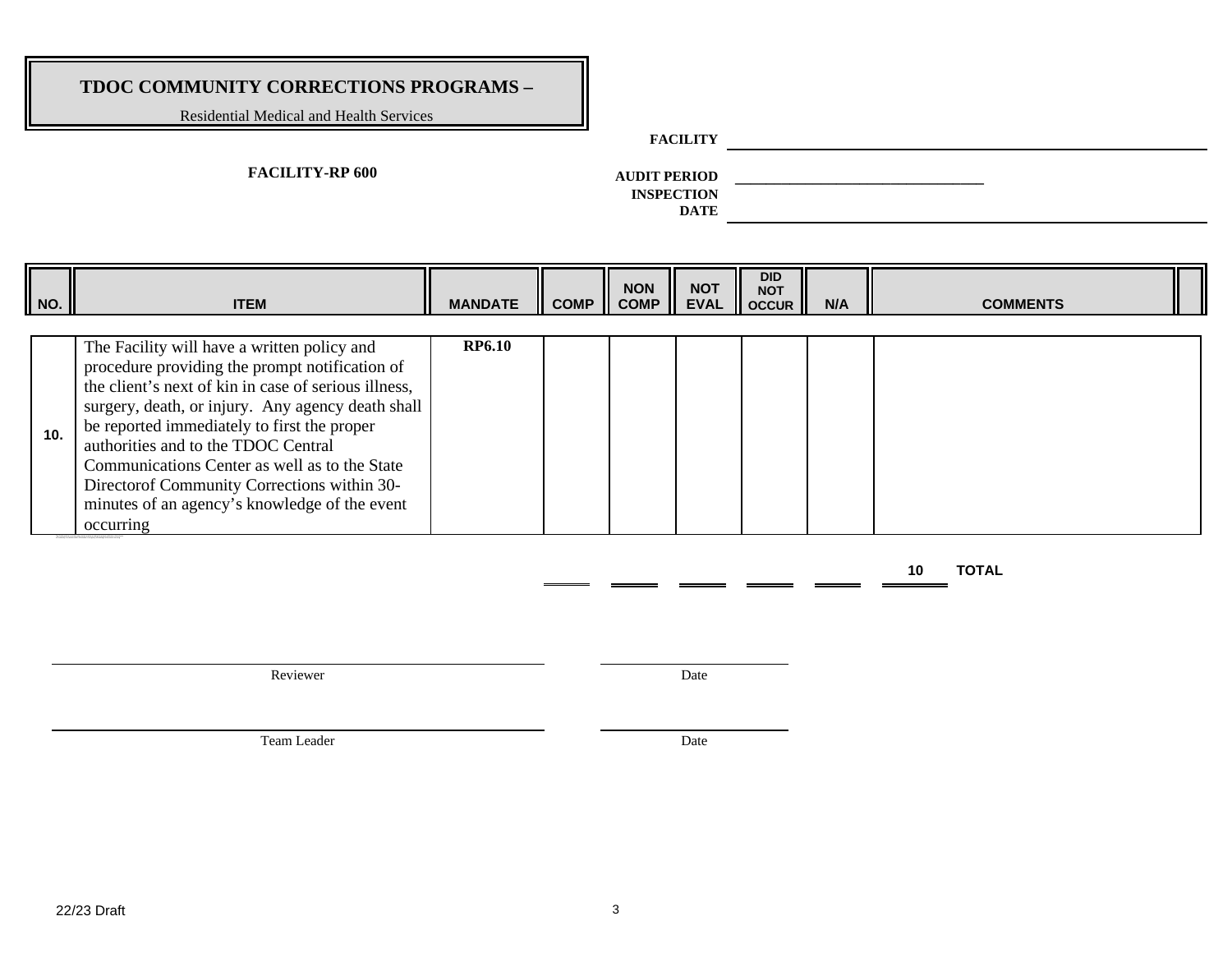Residential Medical and Health Services

### **FACILITY**

### **FACILITY-RP 600**

**AUDIT PERIOD \_\_\_\_\_\_\_\_\_\_\_\_\_\_\_\_\_\_\_\_\_\_\_\_\_\_\_\_\_\_\_\_ INSPECTION** 

**DATE**

| $\vert$ NO. | <b>ITEM</b>                                                                                                                                                                                                                                                                                                                                                                                                                                                     | <b>MANDATE</b> | COMP <sub>II</sub> | <b>NON</b><br><b>COMP</b> | <b>NOT</b> | <b>DID</b><br>NOT NOT<br>EVAL OCCUR | N/A | <b>COMMENTS</b> |
|-------------|-----------------------------------------------------------------------------------------------------------------------------------------------------------------------------------------------------------------------------------------------------------------------------------------------------------------------------------------------------------------------------------------------------------------------------------------------------------------|----------------|--------------------|---------------------------|------------|-------------------------------------|-----|-----------------|
| 10.         | The Facility will have a written policy and<br>procedure providing the prompt notification of<br>the client's next of kin in case of serious illness,<br>surgery, death, or injury. Any agency death shall<br>be reported immediately to first the proper<br>authorities and to the TDOC Central<br>Communications Center as well as to the State<br>Director of Community Corrections within 30-<br>minutes of an agency's knowledge of the event<br>occurring | <b>RP6.10</b>  |                    |                           |            |                                     |     |                 |

**10 TOTAL** 

Reviewer Date

Team Leader Date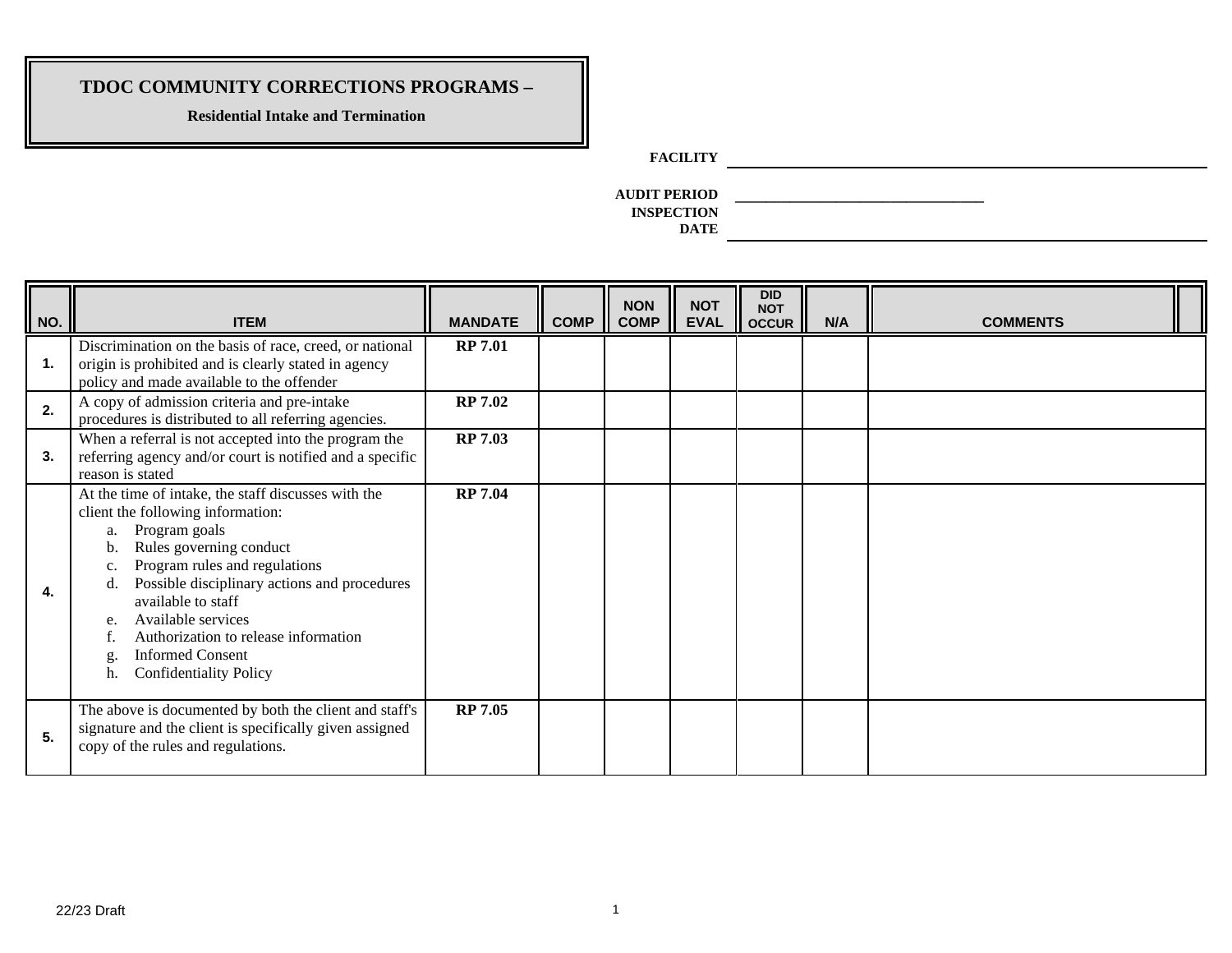**Residential Intake and Termination**

**FACILITY**

**AUDIT PERIOD \_\_\_\_\_\_\_\_\_\_\_\_\_\_\_\_\_\_\_\_\_\_\_\_\_\_\_\_\_\_\_\_ INSPECTION** 

| $\parallel$ NO. | <b>ITEM</b>                                                                                                                                                                                                                                                                                                                                                                                            | <b>MANDATE</b> | <b>COMP</b> | <b>NON</b><br><b>COMP</b> | <b>NOT</b><br><b>EVAL</b> | <b>DID</b><br><b>NOT</b><br><b>OCCUR</b> | N/A | <b>COMMENTS</b> |  |
|-----------------|--------------------------------------------------------------------------------------------------------------------------------------------------------------------------------------------------------------------------------------------------------------------------------------------------------------------------------------------------------------------------------------------------------|----------------|-------------|---------------------------|---------------------------|------------------------------------------|-----|-----------------|--|
| 1.              | Discrimination on the basis of race, creed, or national<br>origin is prohibited and is clearly stated in agency<br>policy and made available to the offender                                                                                                                                                                                                                                           | <b>RP 7.01</b> |             |                           |                           |                                          |     |                 |  |
| 2.              | A copy of admission criteria and pre-intake<br>procedures is distributed to all referring agencies.                                                                                                                                                                                                                                                                                                    | <b>RP 7.02</b> |             |                           |                           |                                          |     |                 |  |
| 3.              | When a referral is not accepted into the program the<br>referring agency and/or court is notified and a specific<br>reason is stated                                                                                                                                                                                                                                                                   | <b>RP 7.03</b> |             |                           |                           |                                          |     |                 |  |
| 4.              | At the time of intake, the staff discusses with the<br>client the following information:<br>Program goals<br>a.<br>Rules governing conduct<br>Program rules and regulations<br>c.<br>Possible disciplinary actions and procedures<br>available to staff<br>Available services<br>e.<br>Authorization to release information<br><b>Informed Consent</b><br>$g$ .<br><b>Confidentiality Policy</b><br>h. | <b>RP 7.04</b> |             |                           |                           |                                          |     |                 |  |
| 5.              | The above is documented by both the client and staff's<br>signature and the client is specifically given assigned<br>copy of the rules and regulations.                                                                                                                                                                                                                                                | <b>RP 7.05</b> |             |                           |                           |                                          |     |                 |  |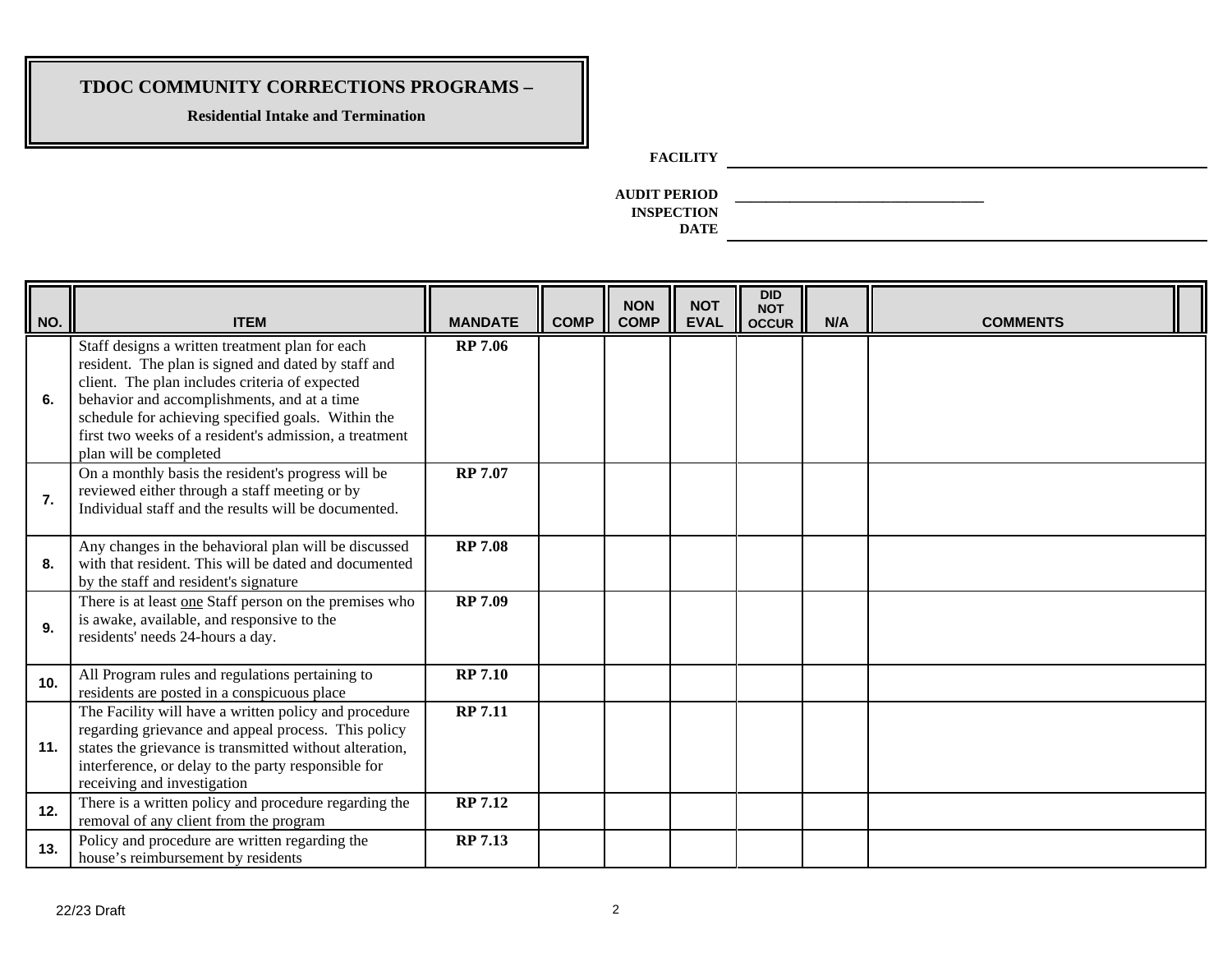**Residential Intake and Termination**

**FACILITY**

**AUDIT PERIOD \_\_\_\_\_\_\_\_\_\_\_\_\_\_\_\_\_\_\_\_\_\_\_\_\_\_\_\_\_\_\_\_ INSPECTION** 

| NO. | <b>ITEM</b>                                                                                                                                                                                                                                                                                                                                       | <b>MANDATE</b> | <b>COMP</b> | <b>NON</b><br><b>COMP</b> | <b>NOT</b><br><b>EVAL</b> | <b>DID</b><br><b>NOT</b><br><b>OCCUR</b> | N/A | <b>COMMENTS</b> |  |
|-----|---------------------------------------------------------------------------------------------------------------------------------------------------------------------------------------------------------------------------------------------------------------------------------------------------------------------------------------------------|----------------|-------------|---------------------------|---------------------------|------------------------------------------|-----|-----------------|--|
| 6.  | Staff designs a written treatment plan for each<br>resident. The plan is signed and dated by staff and<br>client. The plan includes criteria of expected<br>behavior and accomplishments, and at a time<br>schedule for achieving specified goals. Within the<br>first two weeks of a resident's admission, a treatment<br>plan will be completed | <b>RP 7.06</b> |             |                           |                           |                                          |     |                 |  |
| 7.  | On a monthly basis the resident's progress will be<br>reviewed either through a staff meeting or by<br>Individual staff and the results will be documented.                                                                                                                                                                                       | <b>RP 7.07</b> |             |                           |                           |                                          |     |                 |  |
| 8.  | Any changes in the behavioral plan will be discussed<br>with that resident. This will be dated and documented<br>by the staff and resident's signature                                                                                                                                                                                            | <b>RP 7.08</b> |             |                           |                           |                                          |     |                 |  |
| 9.  | There is at least one Staff person on the premises who<br>is awake, available, and responsive to the<br>residents' needs 24-hours a day.                                                                                                                                                                                                          | <b>RP 7.09</b> |             |                           |                           |                                          |     |                 |  |
| 10. | All Program rules and regulations pertaining to<br>residents are posted in a conspicuous place                                                                                                                                                                                                                                                    | <b>RP 7.10</b> |             |                           |                           |                                          |     |                 |  |
| 11. | The Facility will have a written policy and procedure<br>regarding grievance and appeal process. This policy<br>states the grievance is transmitted without alteration,<br>interference, or delay to the party responsible for<br>receiving and investigation                                                                                     | <b>RP 7.11</b> |             |                           |                           |                                          |     |                 |  |
| 12. | There is a written policy and procedure regarding the<br>removal of any client from the program                                                                                                                                                                                                                                                   | <b>RP 7.12</b> |             |                           |                           |                                          |     |                 |  |
| 13. | Policy and procedure are written regarding the<br>house's reimbursement by residents                                                                                                                                                                                                                                                              | <b>RP 7.13</b> |             |                           |                           |                                          |     |                 |  |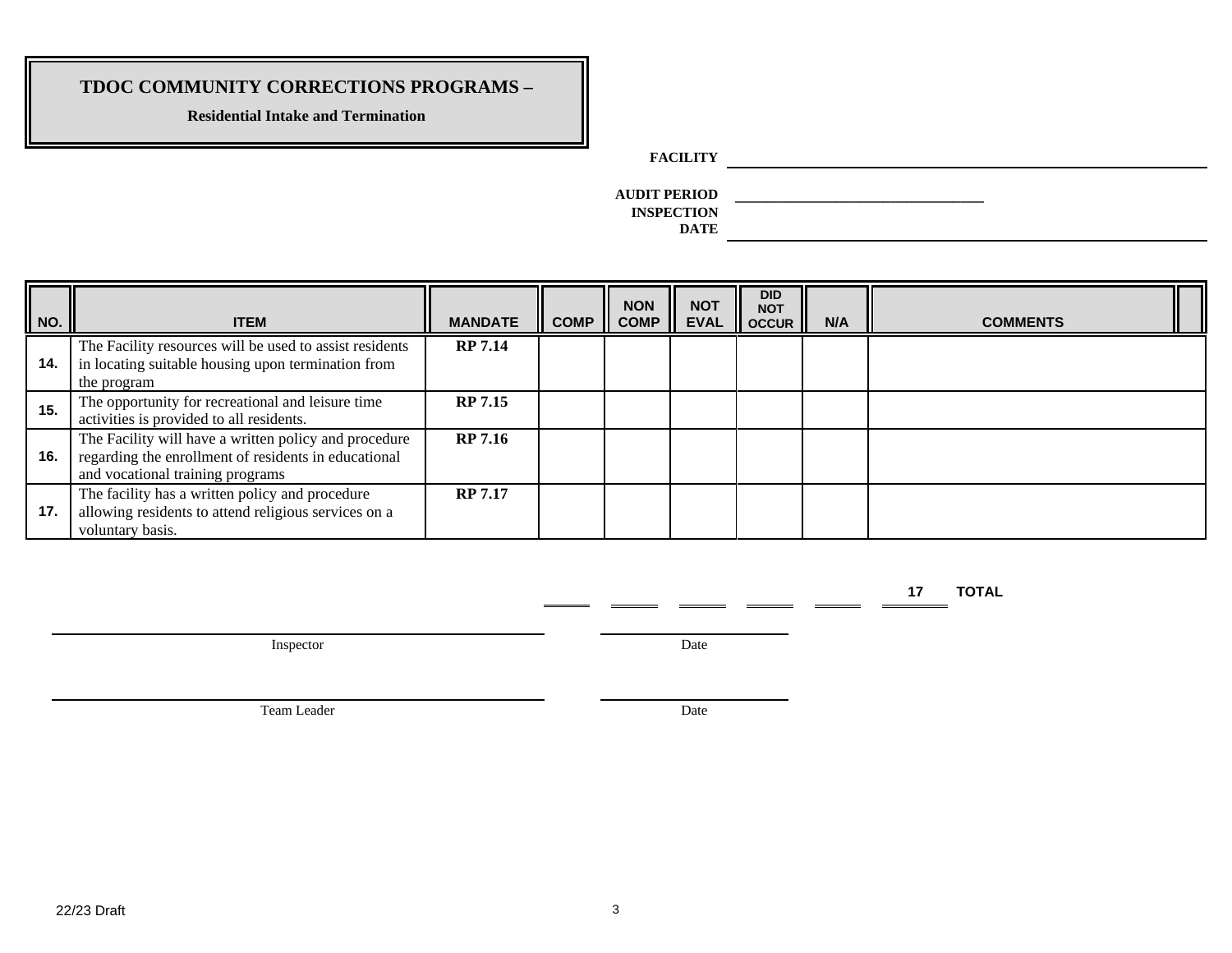**Residential Intake and Termination**

**FACILITY**

**AUDIT PERIOD \_\_\_\_\_\_\_\_\_\_\_\_\_\_\_\_\_\_\_\_\_\_\_\_\_\_\_\_\_\_\_\_ INSPECTION** 

**DATE**

| NO. | <b>ITEM</b>                                                                                                                                       | <b>MANDATE</b> | <b>COMP</b> | <b>NON</b><br><b>COMP</b> | <b>NOT</b><br><b>EVAL</b> | <b>DID</b><br><b>NOT</b><br><b>OCCUR</b> | N/A | <b>COMMENTS</b> |
|-----|---------------------------------------------------------------------------------------------------------------------------------------------------|----------------|-------------|---------------------------|---------------------------|------------------------------------------|-----|-----------------|
| 14. | The Facility resources will be used to assist residents<br>in locating suitable housing upon termination from<br>the program                      | <b>RP 7.14</b> |             |                           |                           |                                          |     |                 |
| 15. | The opportunity for recreational and leisure time<br>activities is provided to all residents.                                                     | <b>RP 7.15</b> |             |                           |                           |                                          |     |                 |
| 16. | The Facility will have a written policy and procedure<br>regarding the enrollment of residents in educational<br>and vocational training programs | <b>RP 7.16</b> |             |                           |                           |                                          |     |                 |
| 17. | The facility has a written policy and procedure<br>allowing residents to attend religious services on a<br>voluntary basis.                       | <b>RP 7.17</b> |             |                           |                           |                                          |     |                 |

**17 TOTAL** 

Inspector Date

- 111

 $\equiv$ 

Team Leader Date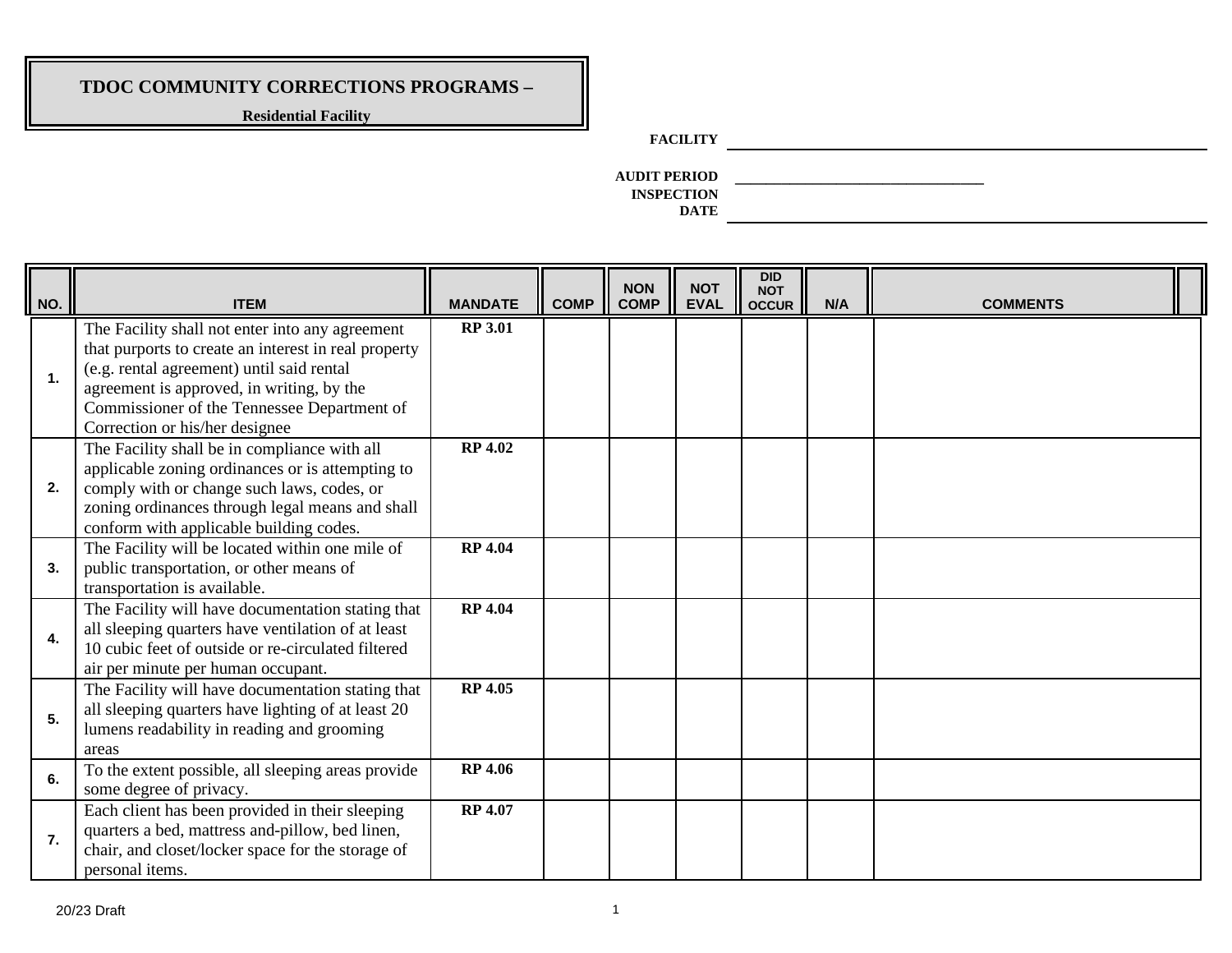**Residential Facility**

### **FACILITY**

**AUDIT PERIOD \_\_\_\_\_\_\_\_\_\_\_\_\_\_\_\_\_\_\_\_\_\_\_\_\_\_\_\_\_\_\_\_ INSPECTION DATE**

| NO. | <b>ITEM</b>                                                                                                                                                                                                                                                                        | <b>MANDATE</b> | <b>COMP</b> | <b>NON</b><br><b>COMP</b> | <b>NOT</b><br><b>EVAL</b> | <b>DID</b><br><b>NOT</b><br><b>OCCUR</b> | N/A | <b>COMMENTS</b> |
|-----|------------------------------------------------------------------------------------------------------------------------------------------------------------------------------------------------------------------------------------------------------------------------------------|----------------|-------------|---------------------------|---------------------------|------------------------------------------|-----|-----------------|
| 1.  | The Facility shall not enter into any agreement<br>that purports to create an interest in real property<br>(e.g. rental agreement) until said rental<br>agreement is approved, in writing, by the<br>Commissioner of the Tennessee Department of<br>Correction or his/her designee | <b>RP 3.01</b> |             |                           |                           |                                          |     |                 |
| 2.  | The Facility shall be in compliance with all<br>applicable zoning ordinances or is attempting to<br>comply with or change such laws, codes, or<br>zoning ordinances through legal means and shall<br>conform with applicable building codes.                                       | <b>RP 4.02</b> |             |                           |                           |                                          |     |                 |
| 3.  | The Facility will be located within one mile of<br>public transportation, or other means of<br>transportation is available.                                                                                                                                                        | <b>RP 4.04</b> |             |                           |                           |                                          |     |                 |
| 4.  | The Facility will have documentation stating that<br>all sleeping quarters have ventilation of at least<br>10 cubic feet of outside or re-circulated filtered<br>air per minute per human occupant.                                                                                | <b>RP 4.04</b> |             |                           |                           |                                          |     |                 |
| 5.  | The Facility will have documentation stating that<br>all sleeping quarters have lighting of at least 20<br>lumens readability in reading and grooming<br>areas                                                                                                                     | <b>RP 4.05</b> |             |                           |                           |                                          |     |                 |
| 6.  | To the extent possible, all sleeping areas provide<br>some degree of privacy.                                                                                                                                                                                                      | <b>RP 4.06</b> |             |                           |                           |                                          |     |                 |
| 7.  | Each client has been provided in their sleeping<br>quarters a bed, mattress and-pillow, bed linen,<br>chair, and closet/locker space for the storage of<br>personal items.                                                                                                         | <b>RP 4.07</b> |             |                           |                           |                                          |     |                 |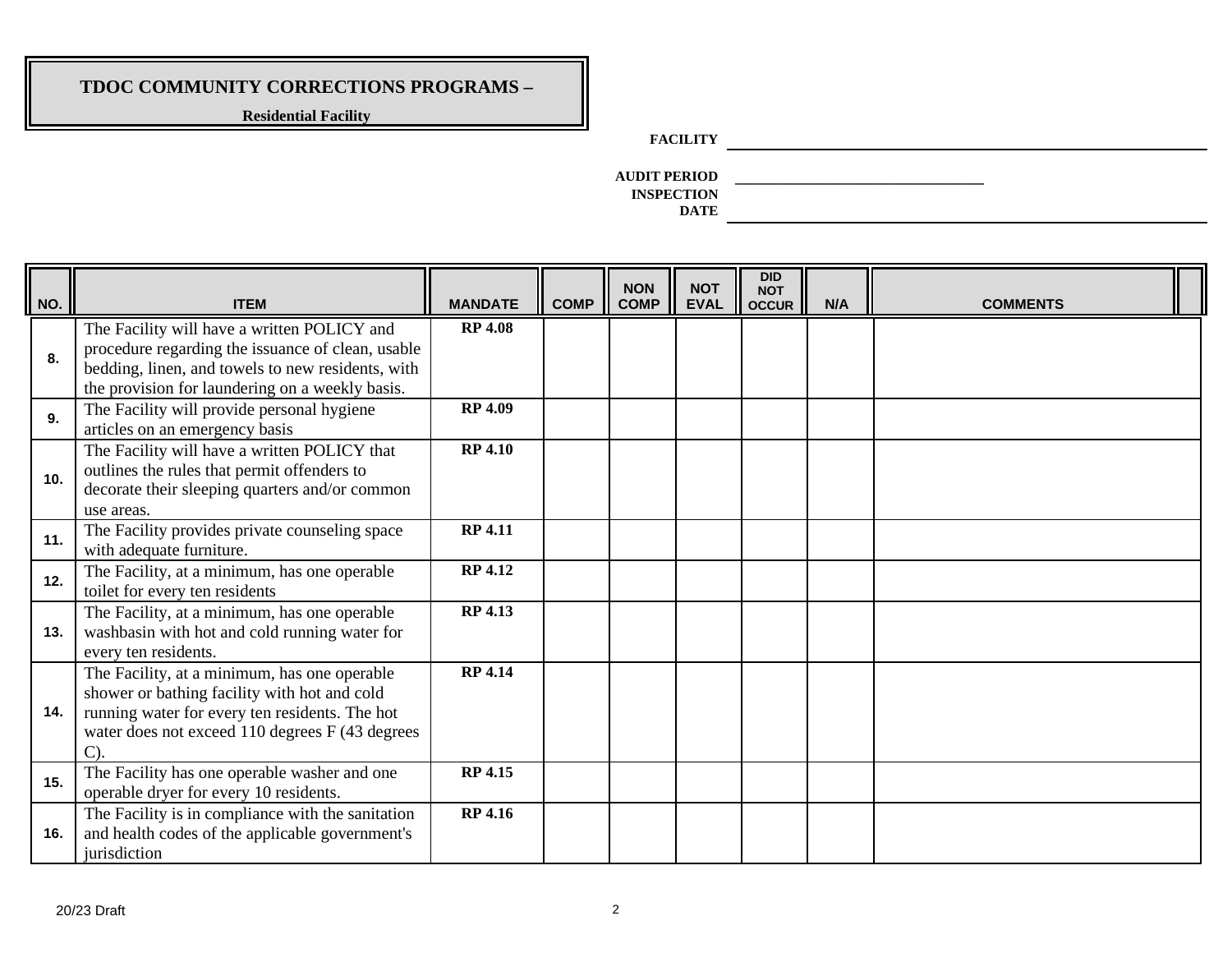**Residential Facility**

### **FACILITY**

**AUDIT PERIOD \_\_\_\_\_\_\_\_\_\_\_\_\_\_\_\_\_\_\_\_\_\_\_\_\_\_\_\_\_\_\_\_ INSPECTION DATE**

| NO. | <b>ITEM</b>                                                                                                                                                                                                           | <b>MANDATE</b> | <b>COMP</b> | <b>NON</b><br><b>COMP</b> | <b>NOT</b><br><b>EVAL</b> | <b>DID</b><br><b>NOT</b><br><b>OCCUR</b> | N/A | <b>COMMENTS</b> |
|-----|-----------------------------------------------------------------------------------------------------------------------------------------------------------------------------------------------------------------------|----------------|-------------|---------------------------|---------------------------|------------------------------------------|-----|-----------------|
| 8.  | The Facility will have a written POLICY and<br>procedure regarding the issuance of clean, usable<br>bedding, linen, and towels to new residents, with<br>the provision for laundering on a weekly basis.              | <b>RP 4.08</b> |             |                           |                           |                                          |     |                 |
| 9.  | The Facility will provide personal hygiene<br>articles on an emergency basis                                                                                                                                          | <b>RP 4.09</b> |             |                           |                           |                                          |     |                 |
| 10. | The Facility will have a written POLICY that<br>outlines the rules that permit offenders to<br>decorate their sleeping quarters and/or common<br>use areas.                                                           | <b>RP 4.10</b> |             |                           |                           |                                          |     |                 |
| 11. | The Facility provides private counseling space<br>with adequate furniture.                                                                                                                                            | <b>RP 4.11</b> |             |                           |                           |                                          |     |                 |
| 12. | The Facility, at a minimum, has one operable<br>toilet for every ten residents                                                                                                                                        | <b>RP 4.12</b> |             |                           |                           |                                          |     |                 |
| 13. | The Facility, at a minimum, has one operable<br>washbasin with hot and cold running water for<br>every ten residents.                                                                                                 | <b>RP 4.13</b> |             |                           |                           |                                          |     |                 |
| 14. | The Facility, at a minimum, has one operable<br>shower or bathing facility with hot and cold<br>running water for every ten residents. The hot<br>water does not exceed 110 degrees F (43 degrees<br>$\mathcal{C}$ ). | <b>RP 4.14</b> |             |                           |                           |                                          |     |                 |
| 15. | The Facility has one operable washer and one<br>operable dryer for every 10 residents.                                                                                                                                | <b>RP 4.15</b> |             |                           |                           |                                          |     |                 |
| 16. | The Facility is in compliance with the sanitation<br>and health codes of the applicable government's<br>jurisdiction                                                                                                  | <b>RP 4.16</b> |             |                           |                           |                                          |     |                 |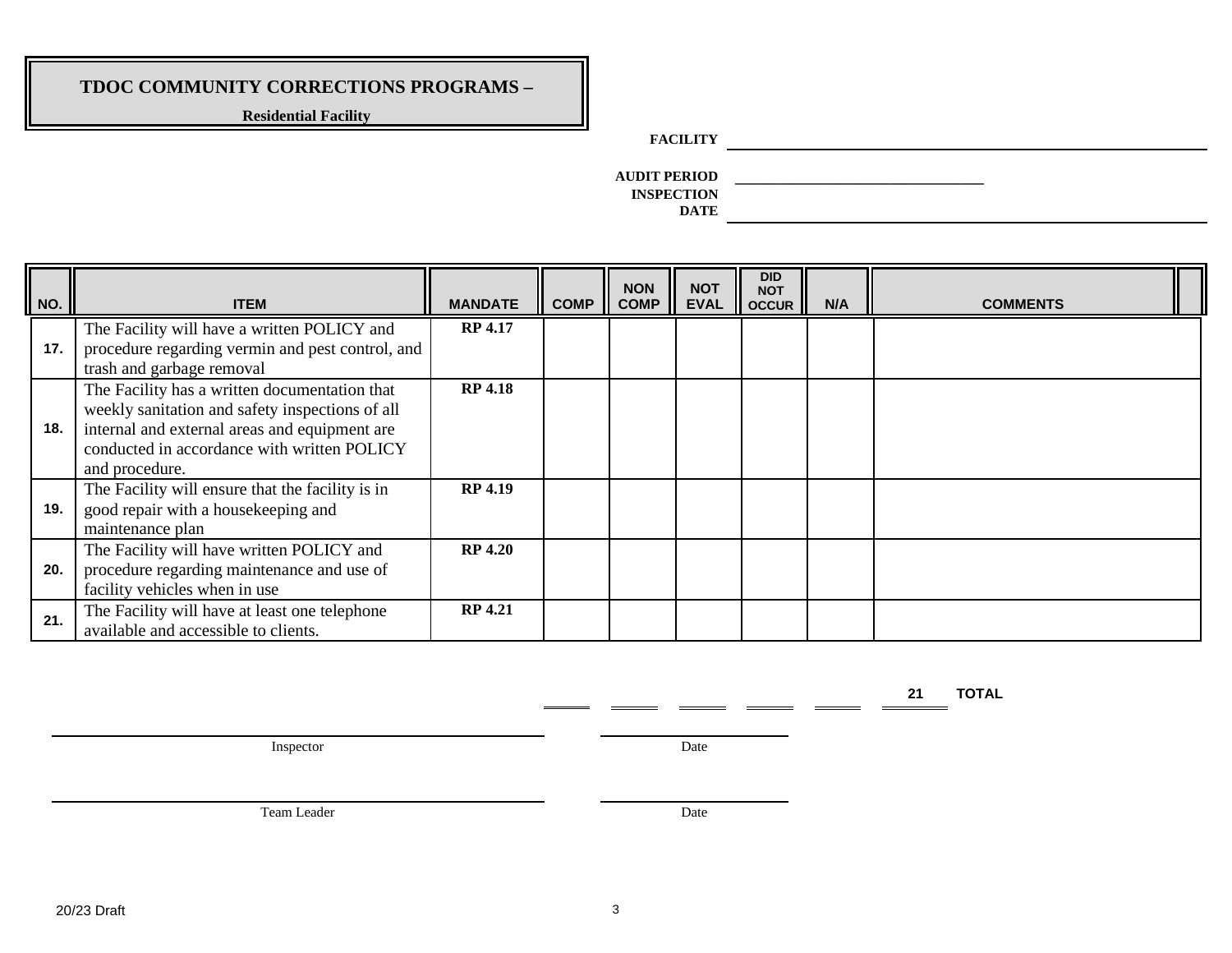**Residential Facility**

### **FACILITY**

**AUDIT PERIOD \_\_\_\_\_\_\_\_\_\_\_\_\_\_\_\_\_\_\_\_\_\_\_\_\_\_\_\_\_\_\_\_ INSPECTION DATE**

| NO. | <b>ITEM</b>                                                                                                                                                                                                        | <b>MANDATE</b> | <b>COMP</b> | <b>NON</b><br><b>COMP</b> | <b>NOT</b><br><b>EVAL</b> | <b>DID</b><br><b>NOT</b><br><b>OCCUR</b> | N/A | <b>COMMENTS</b> |  |
|-----|--------------------------------------------------------------------------------------------------------------------------------------------------------------------------------------------------------------------|----------------|-------------|---------------------------|---------------------------|------------------------------------------|-----|-----------------|--|
| 17. | The Facility will have a written POLICY and<br>procedure regarding vermin and pest control, and<br>trash and garbage removal                                                                                       | <b>RP 4.17</b> |             |                           |                           |                                          |     |                 |  |
| 18. | The Facility has a written documentation that<br>weekly sanitation and safety inspections of all<br>internal and external areas and equipment are<br>conducted in accordance with written POLICY<br>and procedure. | <b>RP 4.18</b> |             |                           |                           |                                          |     |                 |  |
| 19. | The Facility will ensure that the facility is in<br>good repair with a housekeeping and<br>maintenance plan                                                                                                        | <b>RP 4.19</b> |             |                           |                           |                                          |     |                 |  |
| 20. | The Facility will have written POLICY and<br>procedure regarding maintenance and use of<br>facility vehicles when in use                                                                                           | <b>RP 4.20</b> |             |                           |                           |                                          |     |                 |  |
| 21. | The Facility will have at least one telephone<br>available and accessible to clients.                                                                                                                              | <b>RP 4.21</b> |             |                           |                           |                                          |     |                 |  |

**21 TOTAL** 

Inspector Date

Team Leader Date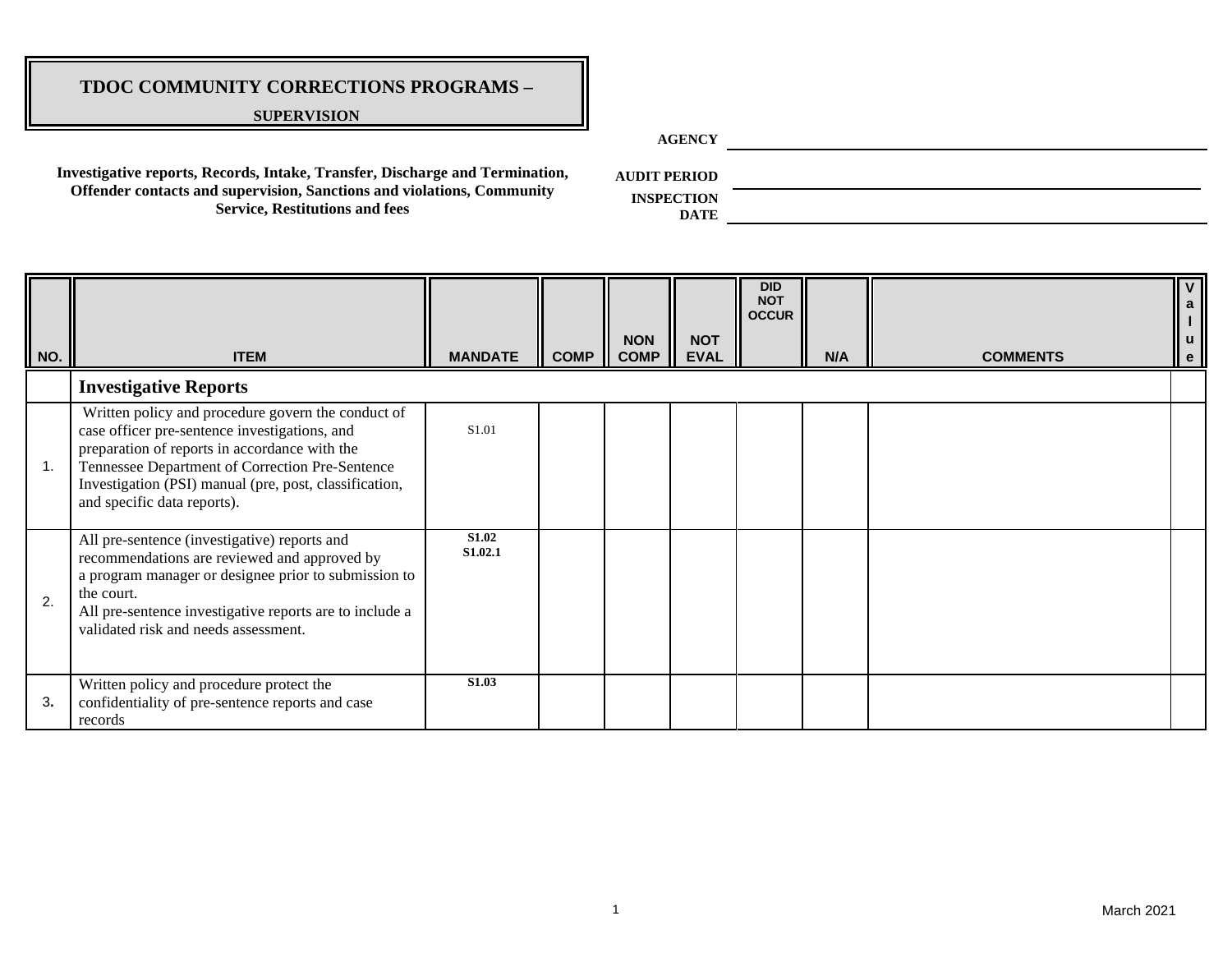#### **SUPERVISION**

**AGENCY**

**Investigative reports, Records, Intake, Transfer, Discharge and Termination, Offender contacts and supervision, Sanctions and violations, Community Service, Restitutions and fees**

**AUDIT PERIOD**

**INSPECTION** 

| NO.            | <b>ITEM</b>                                                                                                                                                                                                                                                                                      | <b>MANDATE</b>   | <b>COMP</b> | <b>NON</b><br><b>COMP</b> | <b>NOT</b><br><b>EVAL</b> | <b>DID</b><br><b>NOT</b><br><b>OCCUR</b> | N/A | <b>COMMENTS</b> | $\mathsf{V}$<br>a<br>$\mathsf{u}$<br>$\mathbf{e}$ |
|----------------|--------------------------------------------------------------------------------------------------------------------------------------------------------------------------------------------------------------------------------------------------------------------------------------------------|------------------|-------------|---------------------------|---------------------------|------------------------------------------|-----|-----------------|---------------------------------------------------|
|                | <b>Investigative Reports</b>                                                                                                                                                                                                                                                                     |                  |             |                           |                           |                                          |     |                 |                                                   |
| $\mathbf{1}$ . | Written policy and procedure govern the conduct of<br>case officer pre-sentence investigations, and<br>preparation of reports in accordance with the<br>Tennessee Department of Correction Pre-Sentence<br>Investigation (PSI) manual (pre, post, classification,<br>and specific data reports). | S1.01            |             |                           |                           |                                          |     |                 |                                                   |
| 2.             | All pre-sentence (investigative) reports and<br>recommendations are reviewed and approved by<br>a program manager or designee prior to submission to<br>the court.<br>All pre-sentence investigative reports are to include a<br>validated risk and needs assessment.                            | S1.02<br>S1.02.1 |             |                           |                           |                                          |     |                 |                                                   |
| 3.             | Written policy and procedure protect the<br>confidentiality of pre-sentence reports and case<br>records                                                                                                                                                                                          | <b>S1.03</b>     |             |                           |                           |                                          |     |                 |                                                   |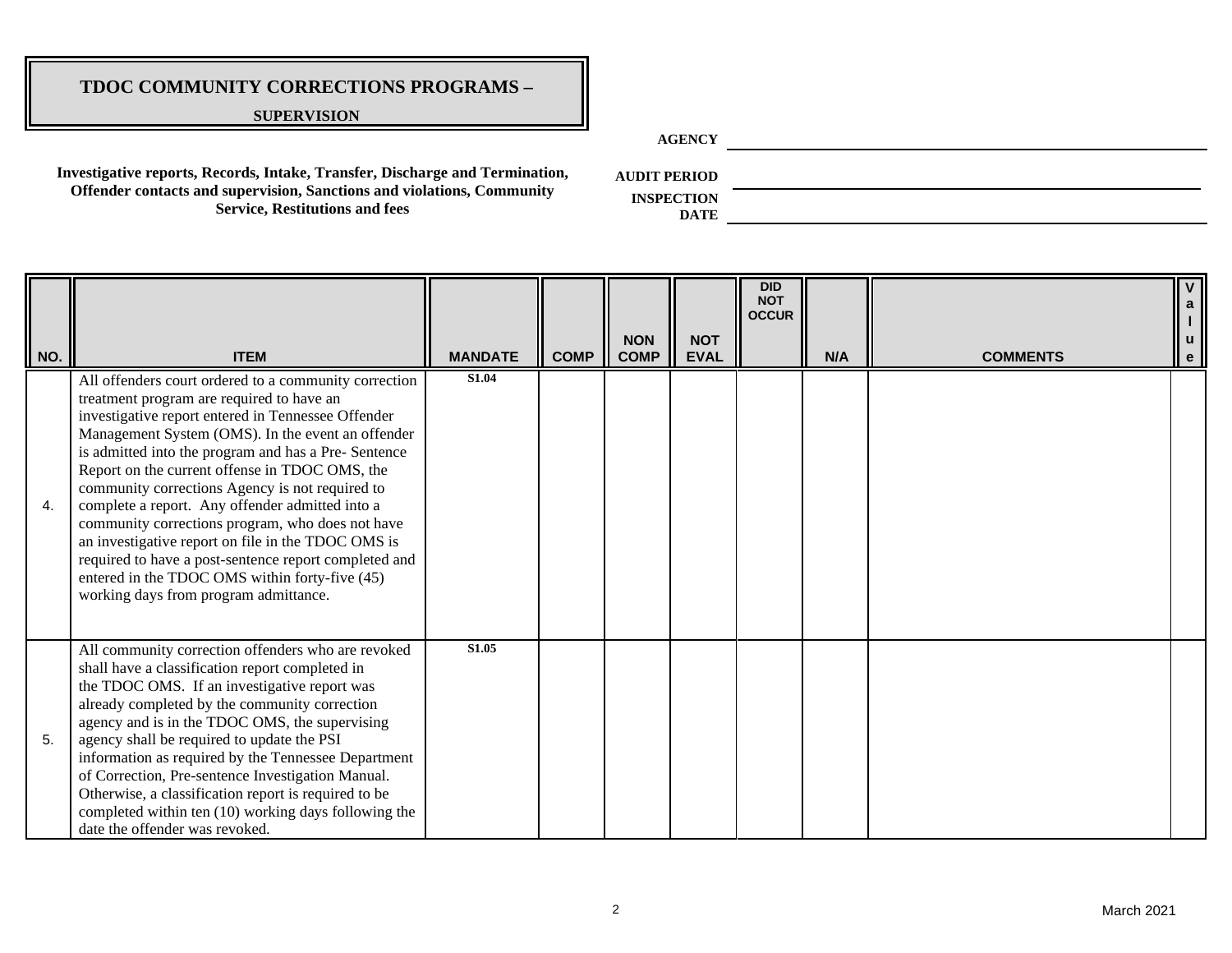#### **SUPERVISION**

**AGENCY**

**Investigative reports, Records, Intake, Transfer, Discharge and Termination, Offender contacts and supervision, Sanctions and violations, Community Service, Restitutions and fees**

**AUDIT PERIOD**

**INSPECTION DATE**

| NO. | <b>ITEM</b>                                                                                                                                                                                                                                                                                                                                                                                                                                                                                                                                                                                                                                                                                 | <b>MANDATE</b> | <b>COMP</b> | <b>NON</b><br><b>COMP</b> | <b>NOT</b><br><b>EVAL</b> | <b>DID</b><br><b>NOT</b><br><b>OCCUR</b> | N/A | <b>COMMENTS</b> | $\mathbf{e}$ |
|-----|---------------------------------------------------------------------------------------------------------------------------------------------------------------------------------------------------------------------------------------------------------------------------------------------------------------------------------------------------------------------------------------------------------------------------------------------------------------------------------------------------------------------------------------------------------------------------------------------------------------------------------------------------------------------------------------------|----------------|-------------|---------------------------|---------------------------|------------------------------------------|-----|-----------------|--------------|
| 4.  | All offenders court ordered to a community correction<br>treatment program are required to have an<br>investigative report entered in Tennessee Offender<br>Management System (OMS). In the event an offender<br>is admitted into the program and has a Pre- Sentence<br>Report on the current offense in TDOC OMS, the<br>community corrections Agency is not required to<br>complete a report. Any offender admitted into a<br>community corrections program, who does not have<br>an investigative report on file in the TDOC OMS is<br>required to have a post-sentence report completed and<br>entered in the TDOC OMS within forty-five (45)<br>working days from program admittance. | <b>S1.04</b>   |             |                           |                           |                                          |     |                 |              |
| 5.  | All community correction offenders who are revoked<br>shall have a classification report completed in<br>the TDOC OMS. If an investigative report was<br>already completed by the community correction<br>agency and is in the TDOC OMS, the supervising<br>agency shall be required to update the PSI<br>information as required by the Tennessee Department<br>of Correction, Pre-sentence Investigation Manual.<br>Otherwise, a classification report is required to be<br>completed within ten (10) working days following the<br>date the offender was revoked.                                                                                                                        | S1.05          |             |                           |                           |                                          |     |                 |              |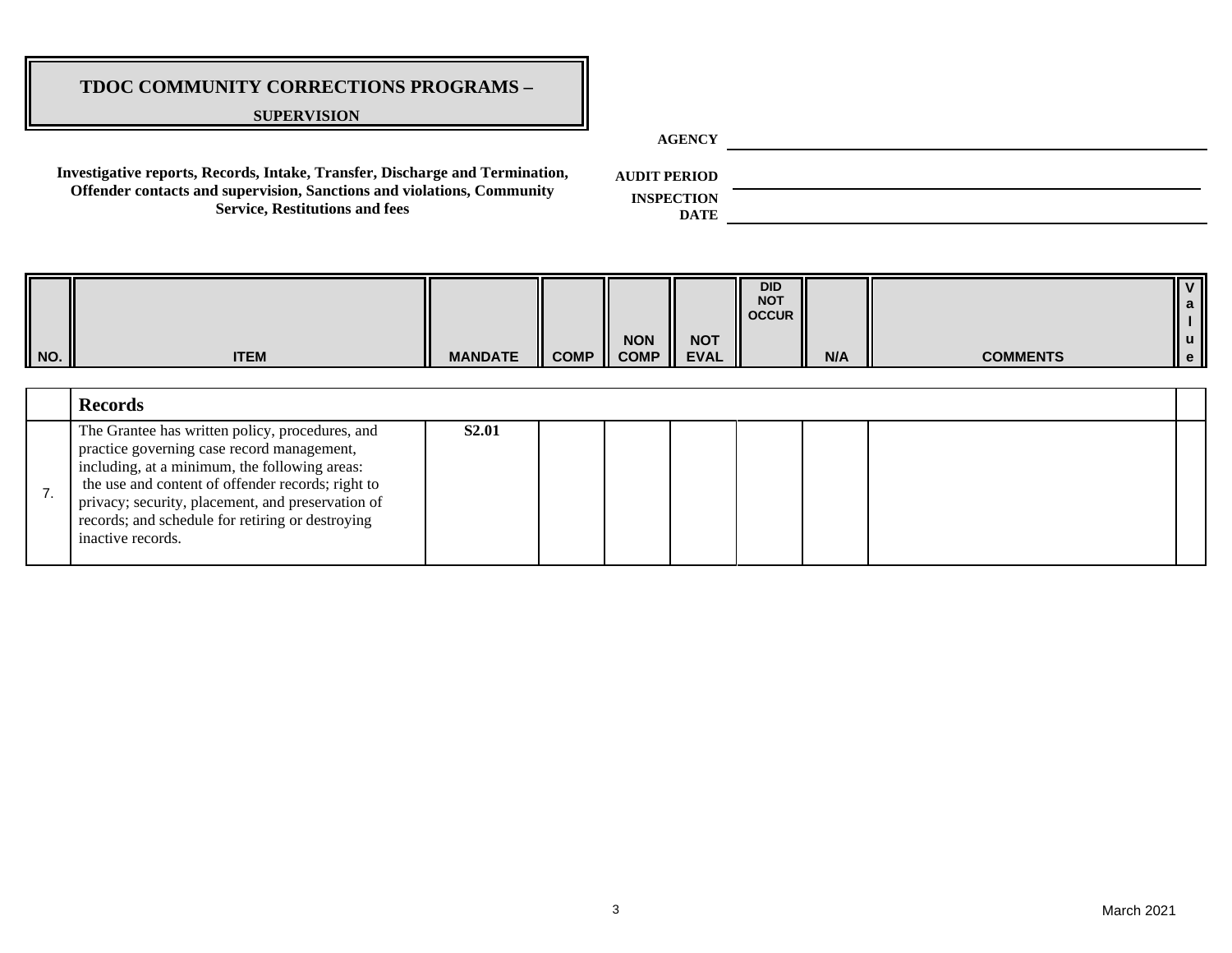#### **SUPERVISION**

**AGENCY**

**Investigative reports, Records, Intake, Transfer, Discharge and Termination, Offender contacts and supervision, Sanctions and violations, Community Service, Restitutions and fees**

**AUDIT PERIOD**

**INSPECTION DATE**

| II NO. | <b>ITEM</b>                                                                                                                                                                                                                                                                                                                       | <b>MANDATE</b> | <b>COMP</b> | <b>NON</b><br><b>COMP</b> | <b>NOT</b><br><b>EVAL</b> | <b>DID</b><br><b>NOT</b><br><b>OCCUR</b> | N/A | <b>COMMENTS</b> | $\mathbf{v}$<br>a<br>ll u<br>ll e l |
|--------|-----------------------------------------------------------------------------------------------------------------------------------------------------------------------------------------------------------------------------------------------------------------------------------------------------------------------------------|----------------|-------------|---------------------------|---------------------------|------------------------------------------|-----|-----------------|-------------------------------------|
|        | <b>Records</b>                                                                                                                                                                                                                                                                                                                    |                |             |                           |                           |                                          |     |                 |                                     |
| 7.     | The Grantee has written policy, procedures, and<br>practice governing case record management,<br>including, at a minimum, the following areas:<br>the use and content of offender records; right to<br>privacy; security, placement, and preservation of<br>records; and schedule for retiring or destroying<br>inactive records. | <b>S2.01</b>   |             |                           |                           |                                          |     |                 |                                     |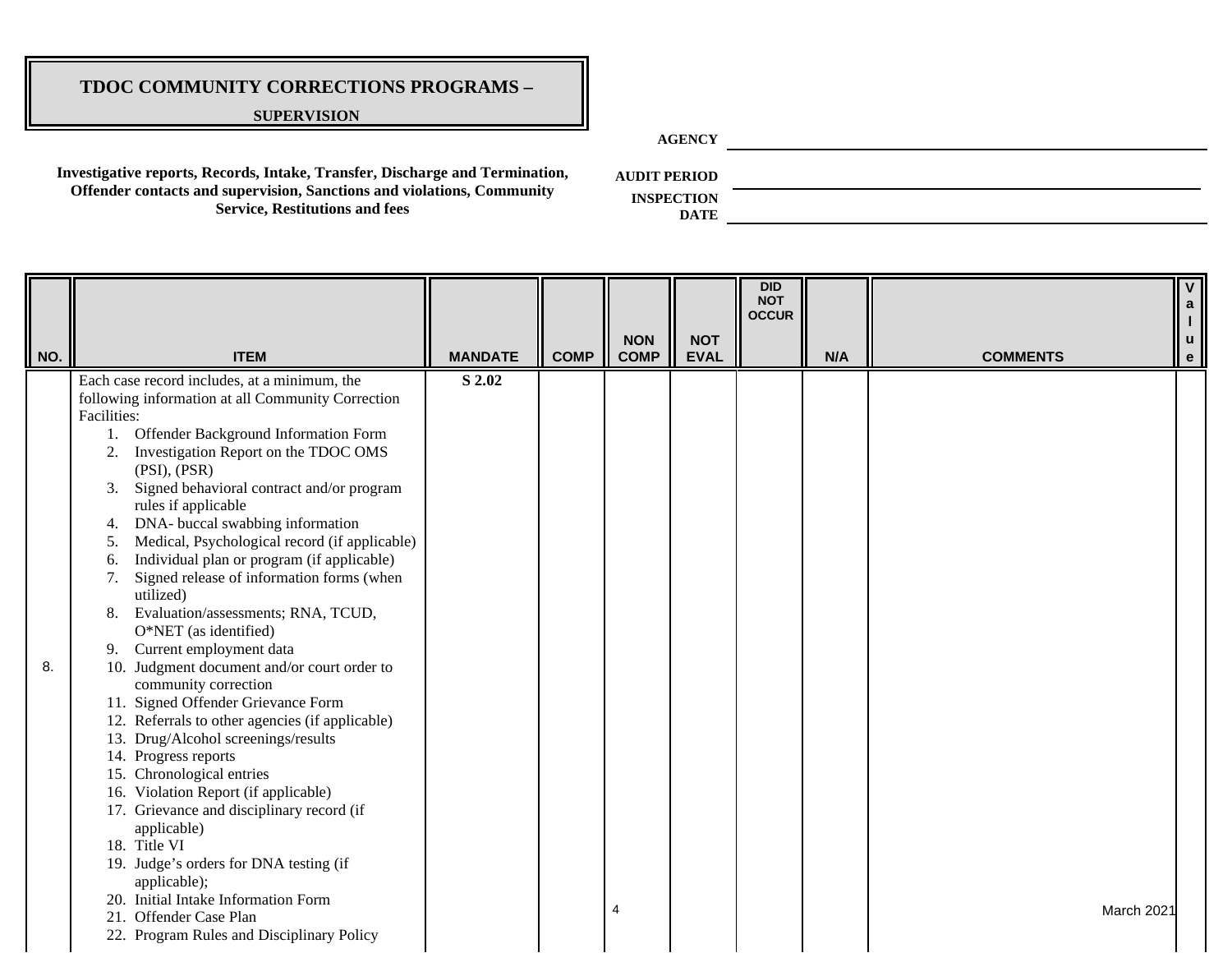#### **SUPERVISION**

**AGENCY**

**Investigative reports, Records, Intake, Transfer, Discharge and Termination, Offender contacts and supervision, Sanctions and violations, Community Service, Restitutions and fees**

**AUDIT PERIOD**

**INSPECTION** 

| NO. | <b>ITEM</b>                                                                                                                                                                                                                                                                                                                                                                                                                                                                                                                                                                                                                                                                                                                                                                                                                                                                                                                                                                                                                                              | <b>MANDATE</b> | <b>COMP</b> | <b>NON</b><br><b>COMP</b> | <b>NOT</b><br><b>EVAL</b> | <b>DID</b><br><b>NOT</b><br><b>OCCUR</b> | N/A | <b>COMMENTS</b> | $\mathbf e$ |
|-----|----------------------------------------------------------------------------------------------------------------------------------------------------------------------------------------------------------------------------------------------------------------------------------------------------------------------------------------------------------------------------------------------------------------------------------------------------------------------------------------------------------------------------------------------------------------------------------------------------------------------------------------------------------------------------------------------------------------------------------------------------------------------------------------------------------------------------------------------------------------------------------------------------------------------------------------------------------------------------------------------------------------------------------------------------------|----------------|-------------|---------------------------|---------------------------|------------------------------------------|-----|-----------------|-------------|
| 8.  | Each case record includes, at a minimum, the<br>following information at all Community Correction<br>Facilities:<br>1. Offender Background Information Form<br>Investigation Report on the TDOC OMS<br>2.<br>(PSI), (PSR)<br>Signed behavioral contract and/or program<br>3.<br>rules if applicable<br>DNA- buccal swabbing information<br>4.<br>Medical, Psychological record (if applicable)<br>5.<br>Individual plan or program (if applicable)<br>6.<br>Signed release of information forms (when<br>7.<br>utilized)<br>Evaluation/assessments; RNA, TCUD,<br>8.<br>O*NET (as identified)<br>Current employment data<br>9.<br>10. Judgment document and/or court order to<br>community correction<br>11. Signed Offender Grievance Form<br>12. Referrals to other agencies (if applicable)<br>13. Drug/Alcohol screenings/results<br>14. Progress reports<br>15. Chronological entries<br>16. Violation Report (if applicable)<br>17. Grievance and disciplinary record (if<br>applicable)<br>18. Title VI<br>19. Judge's orders for DNA testing (if | S 2.02         |             |                           |                           |                                          |     |                 |             |
|     | applicable);<br>20. Initial Intake Information Form<br>21. Offender Case Plan<br>22. Program Rules and Disciplinary Policy                                                                                                                                                                                                                                                                                                                                                                                                                                                                                                                                                                                                                                                                                                                                                                                                                                                                                                                               |                |             | $\overline{4}$            |                           |                                          |     | March 2021      |             |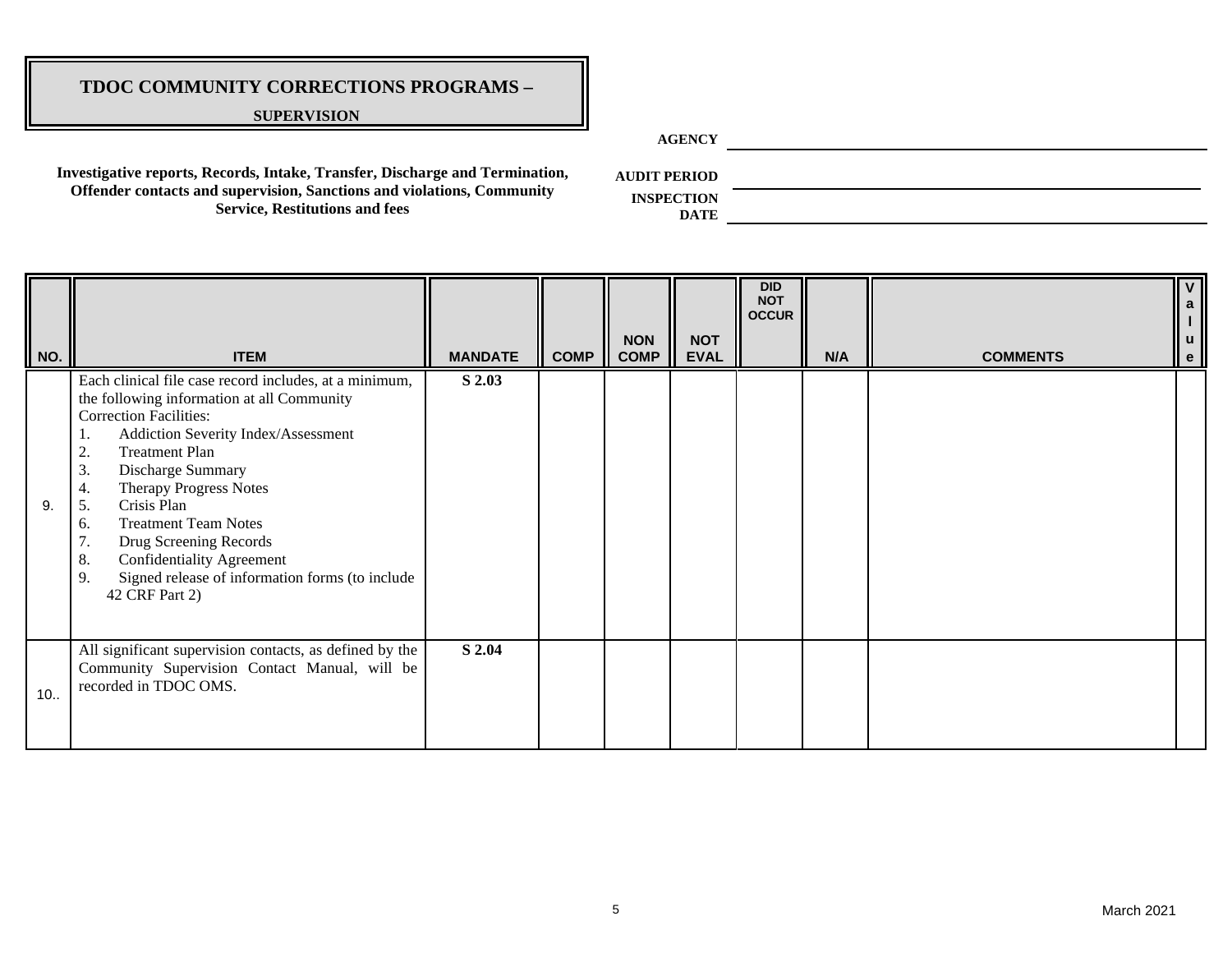#### **SUPERVISION**

**AGENCY**

**Investigative reports, Records, Intake, Transfer, Discharge and Termination, Offender contacts and supervision, Sanctions and violations, Community Service, Restitutions and fees**

**AUDIT PERIOD**

| NO. | <b>ITEM</b>                                                                                                                                                                                                                                                                                                                                                                                                                                                                                 | <b>MANDATE</b> | <b>COMP</b> | <b>NON</b><br><b>COMP</b> | <b>NOT</b><br><b>EVAL</b> | <b>DID</b><br><b>NOT</b><br><b>OCCUR</b> | N/A | <b>COMMENTS</b> | $\overline{V}$<br><b>u</b><br>l e |
|-----|---------------------------------------------------------------------------------------------------------------------------------------------------------------------------------------------------------------------------------------------------------------------------------------------------------------------------------------------------------------------------------------------------------------------------------------------------------------------------------------------|----------------|-------------|---------------------------|---------------------------|------------------------------------------|-----|-----------------|-----------------------------------|
| 9.  | Each clinical file case record includes, at a minimum,<br>the following information at all Community<br><b>Correction Facilities:</b><br>Addiction Severity Index/Assessment<br>1.<br><b>Treatment Plan</b><br>2.<br>3.<br>Discharge Summary<br><b>Therapy Progress Notes</b><br>4.<br>Crisis Plan<br>5.<br><b>Treatment Team Notes</b><br>6.<br>Drug Screening Records<br>7.<br>Confidentiality Agreement<br>8.<br>Signed release of information forms (to include<br>9.<br>42 CRF Part 2) | S 2.03         |             |                           |                           |                                          |     |                 |                                   |
| 10. | All significant supervision contacts, as defined by the<br>Community Supervision Contact Manual, will be<br>recorded in TDOC OMS.                                                                                                                                                                                                                                                                                                                                                           | S 2.04         |             |                           |                           |                                          |     |                 |                                   |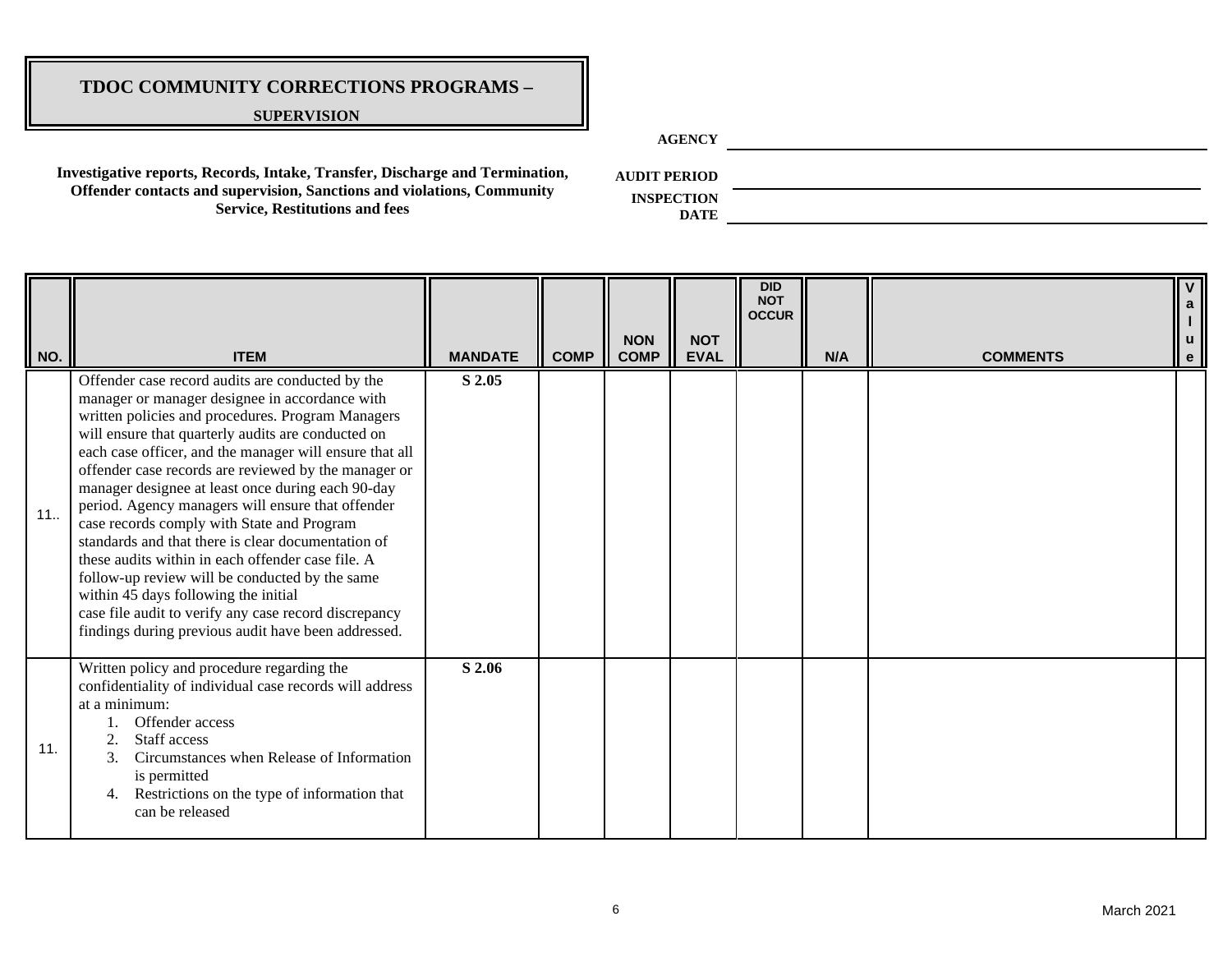#### **SUPERVISION**

**AGENCY**

**Investigative reports, Records, Intake, Transfer, Discharge and Termination, Offender contacts and supervision, Sanctions and violations, Community Service, Restitutions and fees**

**AUDIT PERIOD**

| NO. | <b>ITEM</b>                                                                                                                                                                                                                                                                                                                                                                                                                                                                                                                                                                                                                                                                                                                                                                                                   | <b>MANDATE</b> | <b>COMP</b> | <b>NON</b><br><b>COMP</b> | <b>NOT</b><br><b>EVAL</b> | <b>DID</b><br><b>NOT</b><br><b>OCCUR</b> | N/A | <b>COMMENTS</b> | u<br>e |
|-----|---------------------------------------------------------------------------------------------------------------------------------------------------------------------------------------------------------------------------------------------------------------------------------------------------------------------------------------------------------------------------------------------------------------------------------------------------------------------------------------------------------------------------------------------------------------------------------------------------------------------------------------------------------------------------------------------------------------------------------------------------------------------------------------------------------------|----------------|-------------|---------------------------|---------------------------|------------------------------------------|-----|-----------------|--------|
| 11. | Offender case record audits are conducted by the<br>manager or manager designee in accordance with<br>written policies and procedures. Program Managers<br>will ensure that quarterly audits are conducted on<br>each case officer, and the manager will ensure that all<br>offender case records are reviewed by the manager or<br>manager designee at least once during each 90-day<br>period. Agency managers will ensure that offender<br>case records comply with State and Program<br>standards and that there is clear documentation of<br>these audits within in each offender case file. A<br>follow-up review will be conducted by the same<br>within 45 days following the initial<br>case file audit to verify any case record discrepancy<br>findings during previous audit have been addressed. | S 2.05         |             |                           |                           |                                          |     |                 |        |
| 11. | Written policy and procedure regarding the<br>confidentiality of individual case records will address<br>at a minimum:<br>Offender access<br>Staff access<br>Circumstances when Release of Information<br>is permitted<br>Restrictions on the type of information that<br>4.<br>can be released                                                                                                                                                                                                                                                                                                                                                                                                                                                                                                               | S 2.06         |             |                           |                           |                                          |     |                 |        |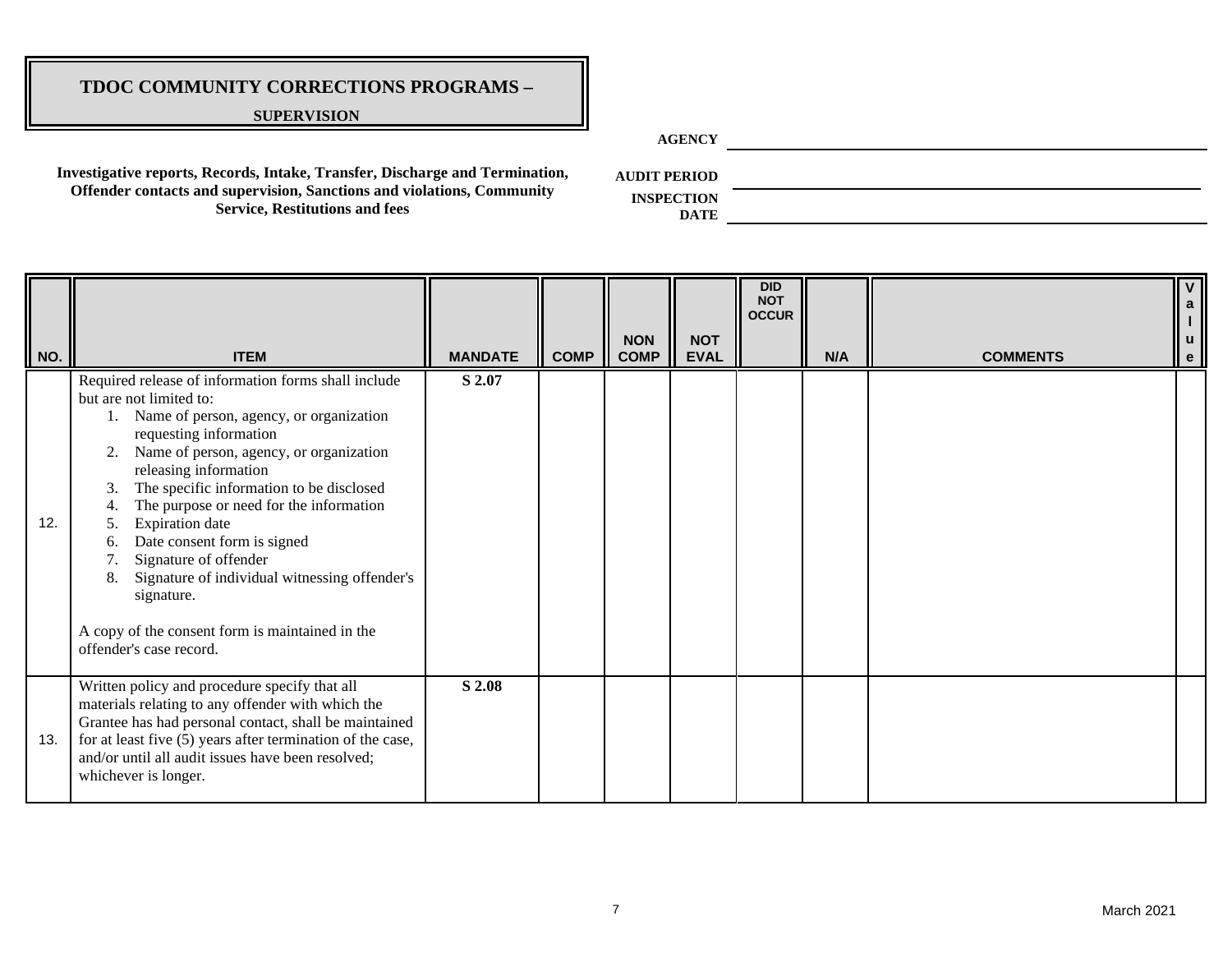#### **SUPERVISION**

**AGENCY**

**Investigative reports, Records, Intake, Transfer, Discharge and Termination, Offender contacts and supervision, Sanctions and violations, Community Service, Restitutions and fees**

**AUDIT PERIOD**

| NO. | <b>ITEM</b>                                                                                                                                                                                                                                                                                                                                                                                                                                                                                                                                                           | <b>MANDATE</b> | <b>COMP</b> | <b>NON</b><br><b>COMP</b> | <b>NOT</b><br><b>EVAL</b> | <b>DID</b><br><b>NOT</b><br><b>OCCUR</b> | N/A | <b>COMMENTS</b> | $\overline{\mathsf{v}}$<br>u<br>$\mathbf{e}$ |
|-----|-----------------------------------------------------------------------------------------------------------------------------------------------------------------------------------------------------------------------------------------------------------------------------------------------------------------------------------------------------------------------------------------------------------------------------------------------------------------------------------------------------------------------------------------------------------------------|----------------|-------------|---------------------------|---------------------------|------------------------------------------|-----|-----------------|----------------------------------------------|
| 12. | Required release of information forms shall include<br>but are not limited to:<br>Name of person, agency, or organization<br>requesting information<br>Name of person, agency, or organization<br>2.<br>releasing information<br>The specific information to be disclosed<br>3.<br>The purpose or need for the information<br><b>Expiration</b> date<br>Date consent form is signed<br>6.<br>Signature of offender<br>Signature of individual witnessing offender's<br>8.<br>signature.<br>A copy of the consent form is maintained in the<br>offender's case record. | S 2.07         |             |                           |                           |                                          |     |                 |                                              |
| 13. | Written policy and procedure specify that all<br>materials relating to any offender with which the<br>Grantee has had personal contact, shall be maintained<br>for at least five (5) years after termination of the case,<br>and/or until all audit issues have been resolved;<br>whichever is longer.                                                                                                                                                                                                                                                                | S 2.08         |             |                           |                           |                                          |     |                 |                                              |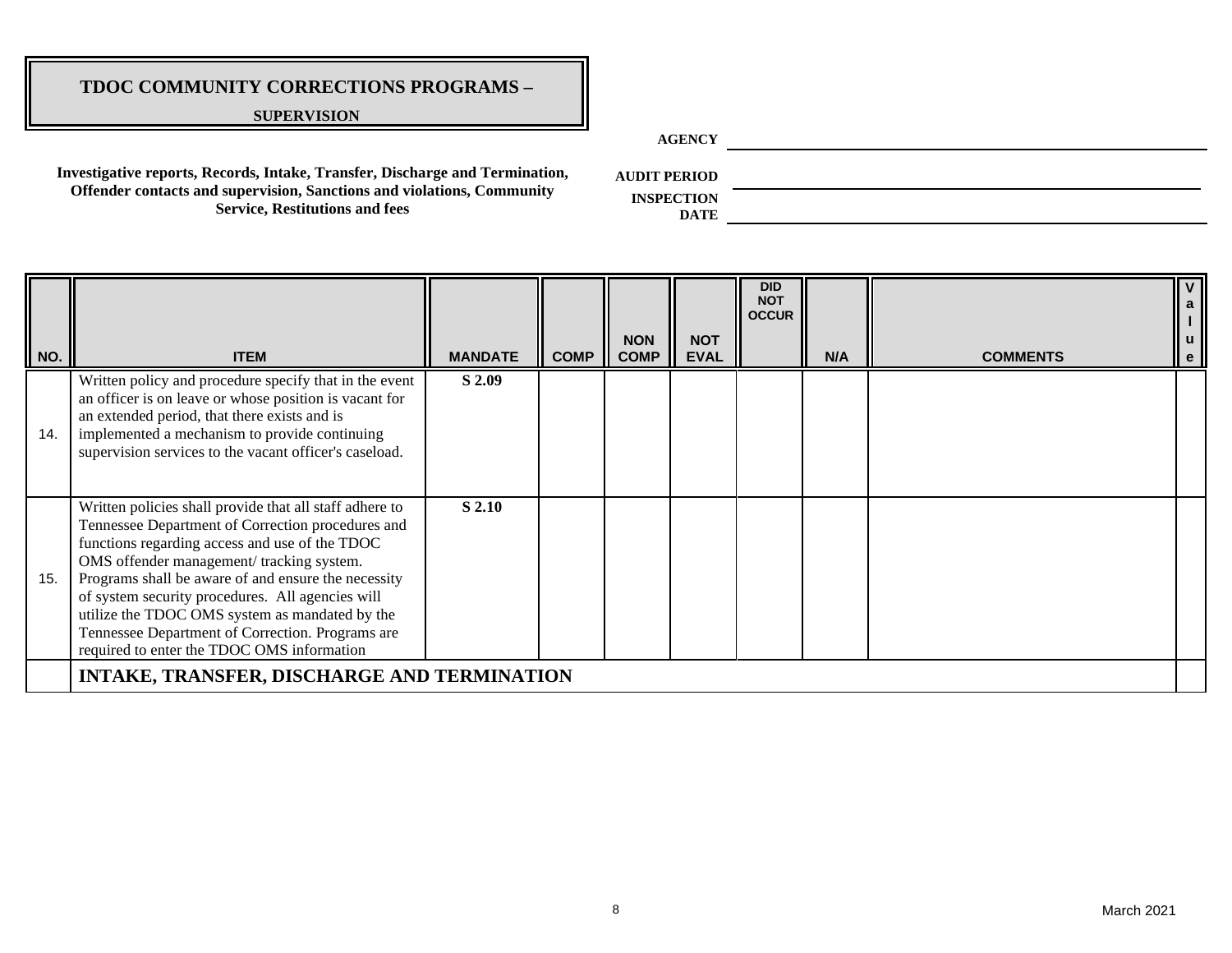#### **SUPERVISION**

**AGENCY**

**Investigative reports, Records, Intake, Transfer, Discharge and Termination, Offender contacts and supervision, Sanctions and violations, Community Service, Restitutions and fees**

**AUDIT PERIOD**

| $\parallel$ NO. | <b>ITEM</b>                                                                                                                                                                                                                                                                                                                                                                                                                                                                | <b>MANDATE</b> | <b>COMP</b> | <b>NON</b><br><b>COMP</b> | <b>NOT</b><br><b>EVAL</b> | <b>DID</b><br><b>NOT</b><br><b>OCCUR</b> | N/A | <b>COMMENTS</b> | $\mathsf{v}$<br>a<br>$\parallel$ u<br>e |
|-----------------|----------------------------------------------------------------------------------------------------------------------------------------------------------------------------------------------------------------------------------------------------------------------------------------------------------------------------------------------------------------------------------------------------------------------------------------------------------------------------|----------------|-------------|---------------------------|---------------------------|------------------------------------------|-----|-----------------|-----------------------------------------|
| 14.             | Written policy and procedure specify that in the event<br>an officer is on leave or whose position is vacant for<br>an extended period, that there exists and is<br>implemented a mechanism to provide continuing<br>supervision services to the vacant officer's caseload.                                                                                                                                                                                                | S 2.09         |             |                           |                           |                                          |     |                 |                                         |
| 15.             | Written policies shall provide that all staff adhere to<br>Tennessee Department of Correction procedures and<br>functions regarding access and use of the TDOC<br>OMS offender management/ tracking system.<br>Programs shall be aware of and ensure the necessity<br>of system security procedures. All agencies will<br>utilize the TDOC OMS system as mandated by the<br>Tennessee Department of Correction. Programs are<br>required to enter the TDOC OMS information | S 2.10         |             |                           |                           |                                          |     |                 |                                         |
|                 | <b>INTAKE, TRANSFER, DISCHARGE AND TERMINATION</b>                                                                                                                                                                                                                                                                                                                                                                                                                         |                |             |                           |                           |                                          |     |                 |                                         |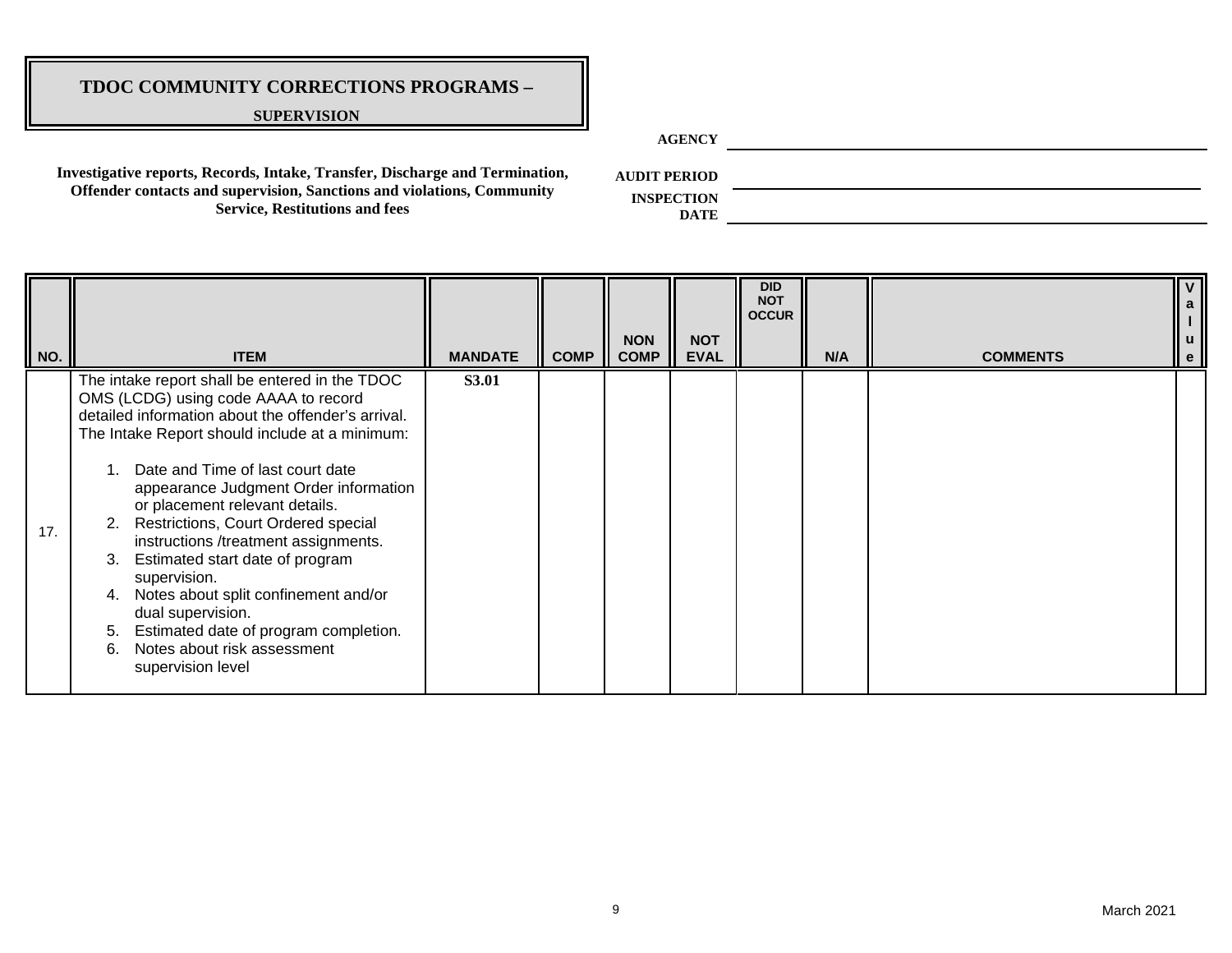#### **SUPERVISION**

**AGENCY**

**Investigative reports, Records, Intake, Transfer, Discharge and Termination, Offender contacts and supervision, Sanctions and violations, Community Service, Restitutions and fees**

**AUDIT PERIOD**

| NO. | <b>ITEM</b>                                                                                                                                                                                                                                                                                                                                                                                                                                                                                                                                                                                                                          | <b>MANDATE</b> | <b>COMP</b> | <b>NON</b><br><b>COMP</b> | <b>NOT</b><br><b>EVAL</b> | <b>DID</b><br><b>NOT</b><br><b>OCCUR</b> | N/A | <b>COMMENTS</b> | u<br>e |
|-----|--------------------------------------------------------------------------------------------------------------------------------------------------------------------------------------------------------------------------------------------------------------------------------------------------------------------------------------------------------------------------------------------------------------------------------------------------------------------------------------------------------------------------------------------------------------------------------------------------------------------------------------|----------------|-------------|---------------------------|---------------------------|------------------------------------------|-----|-----------------|--------|
| 17. | The intake report shall be entered in the TDOC<br>OMS (LCDG) using code AAAA to record<br>detailed information about the offender's arrival.<br>The Intake Report should include at a minimum:<br>Date and Time of last court date<br>appearance Judgment Order information<br>or placement relevant details.<br>2. Restrictions, Court Ordered special<br>instructions /treatment assignments.<br>Estimated start date of program<br>3.<br>supervision.<br>Notes about split confinement and/or<br>4.<br>dual supervision.<br>Estimated date of program completion.<br>5.<br>Notes about risk assessment<br>6.<br>supervision level | <b>S3.01</b>   |             |                           |                           |                                          |     |                 |        |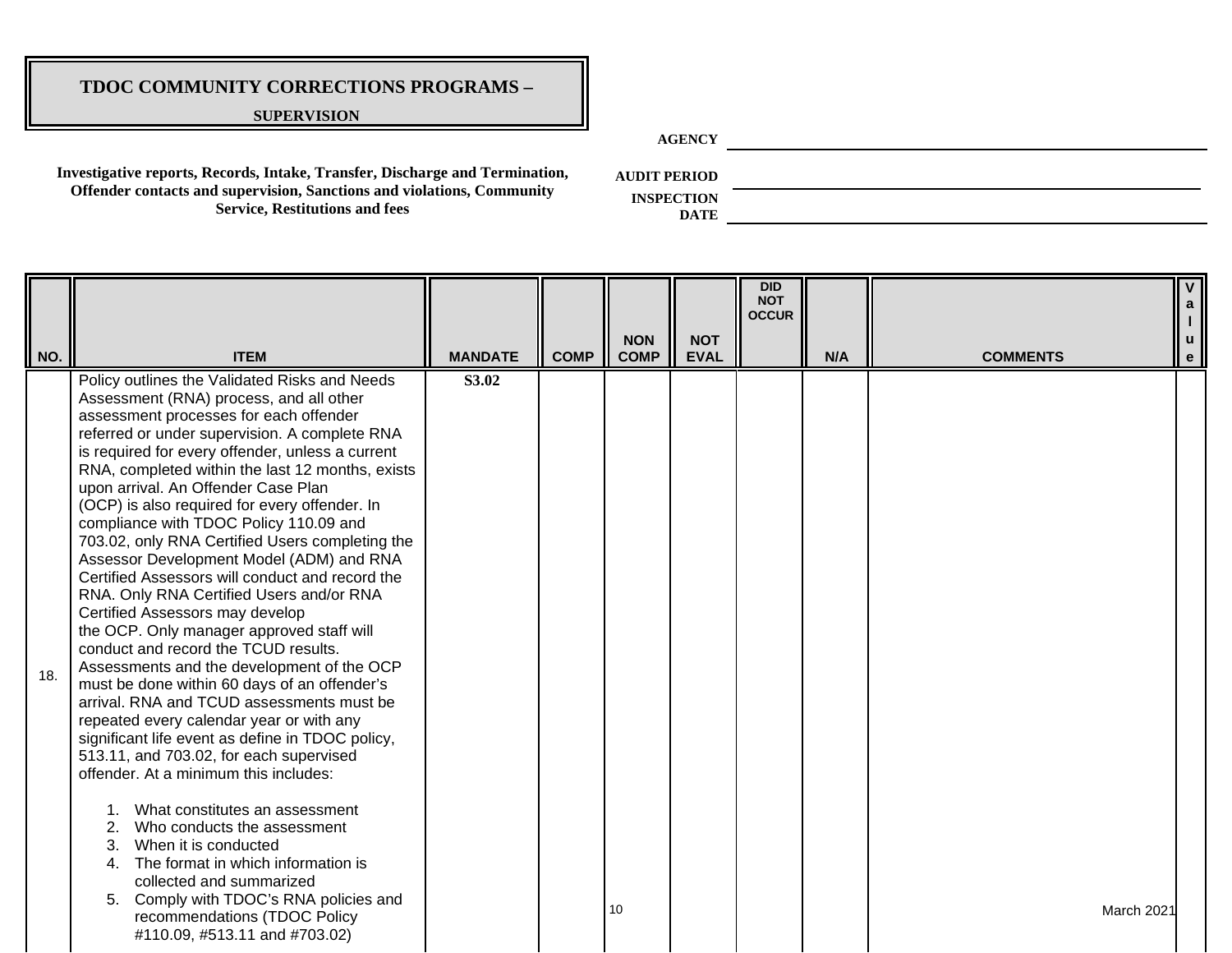### **SUPERVISION**

**AGENCY**

**Investigative reports, Records, Intake, Transfer, Discharge and Termination, Offender contacts and supervision, Sanctions and violations, Community Service, Restitutions and fees**

**AUDIT PERIOD**

| NO. | <b>ITEM</b>                                                                                                                                                                                                                                                                                                                                                                                                                                                                                                                                                                                                                                                                                                                                                                                                                                                                                                                                                                                                                                                                                                                                                                                                                                                                                                                                                                   | <b>MANDATE</b> | <b>COMP</b> | <b>NON</b><br><b>COMP</b> | <b>NOT</b><br><b>EVAL</b> | <b>DID</b><br><b>NOT</b><br><b>OCCUR</b> | N/A | <b>COMMENTS</b> |  |
|-----|-------------------------------------------------------------------------------------------------------------------------------------------------------------------------------------------------------------------------------------------------------------------------------------------------------------------------------------------------------------------------------------------------------------------------------------------------------------------------------------------------------------------------------------------------------------------------------------------------------------------------------------------------------------------------------------------------------------------------------------------------------------------------------------------------------------------------------------------------------------------------------------------------------------------------------------------------------------------------------------------------------------------------------------------------------------------------------------------------------------------------------------------------------------------------------------------------------------------------------------------------------------------------------------------------------------------------------------------------------------------------------|----------------|-------------|---------------------------|---------------------------|------------------------------------------|-----|-----------------|--|
| 18. | Policy outlines the Validated Risks and Needs<br>Assessment (RNA) process, and all other<br>assessment processes for each offender<br>referred or under supervision. A complete RNA<br>is required for every offender, unless a current<br>RNA, completed within the last 12 months, exists<br>upon arrival. An Offender Case Plan<br>(OCP) is also required for every offender. In<br>compliance with TDOC Policy 110.09 and<br>703.02, only RNA Certified Users completing the<br>Assessor Development Model (ADM) and RNA<br>Certified Assessors will conduct and record the<br>RNA. Only RNA Certified Users and/or RNA<br>Certified Assessors may develop<br>the OCP. Only manager approved staff will<br>conduct and record the TCUD results.<br>Assessments and the development of the OCP<br>must be done within 60 days of an offender's<br>arrival. RNA and TCUD assessments must be<br>repeated every calendar year or with any<br>significant life event as define in TDOC policy,<br>513.11, and 703.02, for each supervised<br>offender. At a minimum this includes:<br>What constitutes an assessment<br>Who conducts the assessment<br>2.<br>When it is conducted<br>3.<br>The format in which information is<br>4.<br>collected and summarized<br>Comply with TDOC's RNA policies and<br>5.<br>recommendations (TDOC Policy<br>#110.09, #513.11 and #703.02) | S3.02          |             | 10                        |                           |                                          |     | March 2021      |  |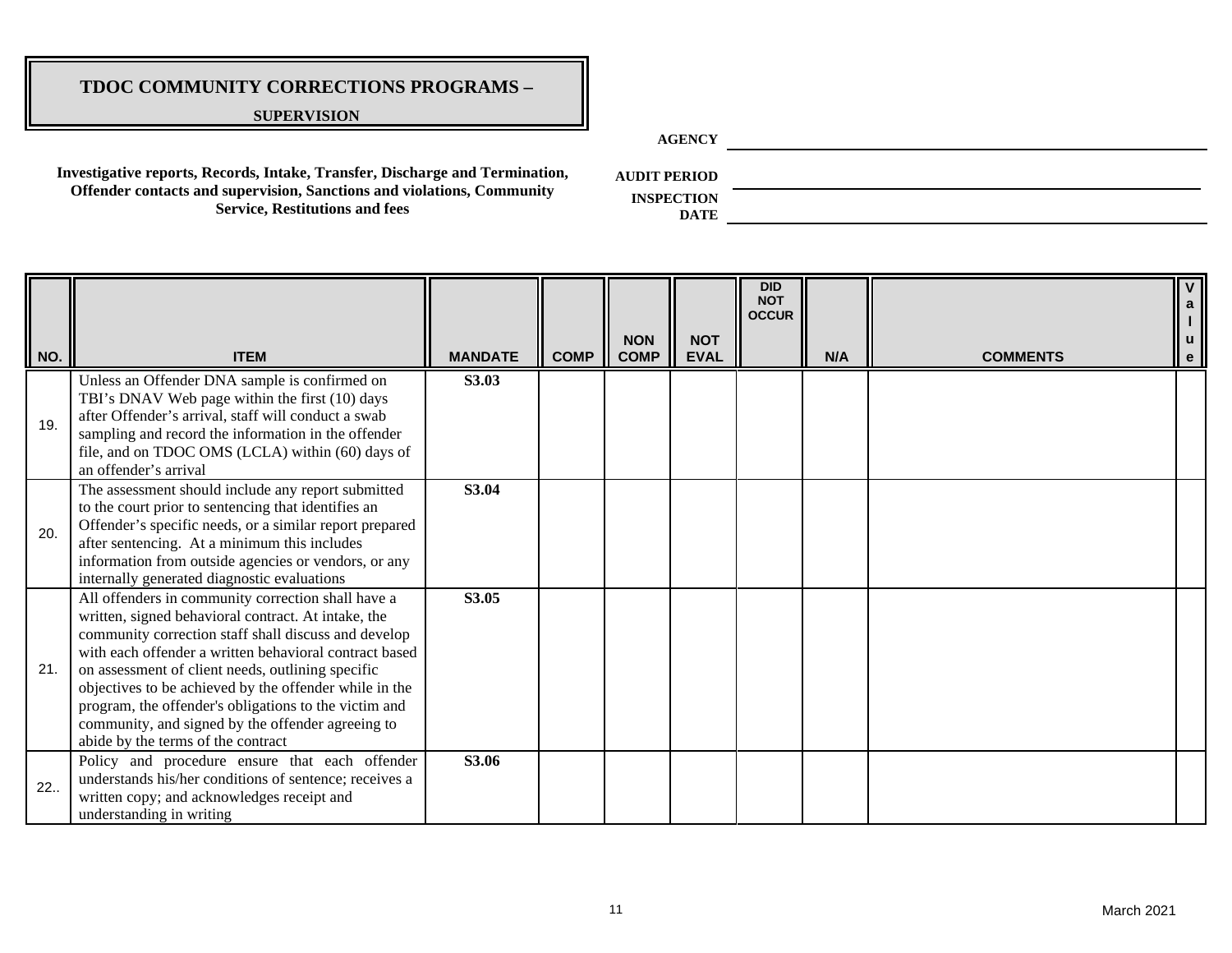#### **SUPERVISION**

**AGENCY**

**Investigative reports, Records, Intake, Transfer, Discharge and Termination, Offender contacts and supervision, Sanctions and violations, Community Service, Restitutions and fees**

**AUDIT PERIOD**

**INSPECTION DATE**

**NO. ITEM MANDATE COMP NON COMP NOT EVAL DID NOT OCCUR N/A COMMENTS V a l u e** 19. Unless an Offender DNA sample is confirmed on TBI's DNAV Web page within the first (10) days after Offender's arrival, staff will conduct a swab sampling and record the information in the offender file, and on TDOC OMS (LCLA) within (60) days of an offender's arrival **S3.03** 20. The assessment should include any report submitted to the court prior to sentencing that identifies an Offender's specific needs, or a similar report prepared after sentencing. At a minimum this includes information from outside agencies or vendors, or any internally generated diagnostic evaluations **S3.04** 21. All offenders in community correction shall have a written, signed behavioral contract. At intake, the community correction staff shall discuss and develop with each offender a written behavioral contract based on assessment of client needs, outlining specific objectives to be achieved by the offender while in the program, the offender's obligations to the victim and community, and signed by the offender agreeing to abide by the terms of the contract **S3.05** 22.. Policy and procedure ensure that each offender understands his/her conditions of sentence; receives a written copy; and acknowledges receipt and understanding in writing **S3.06**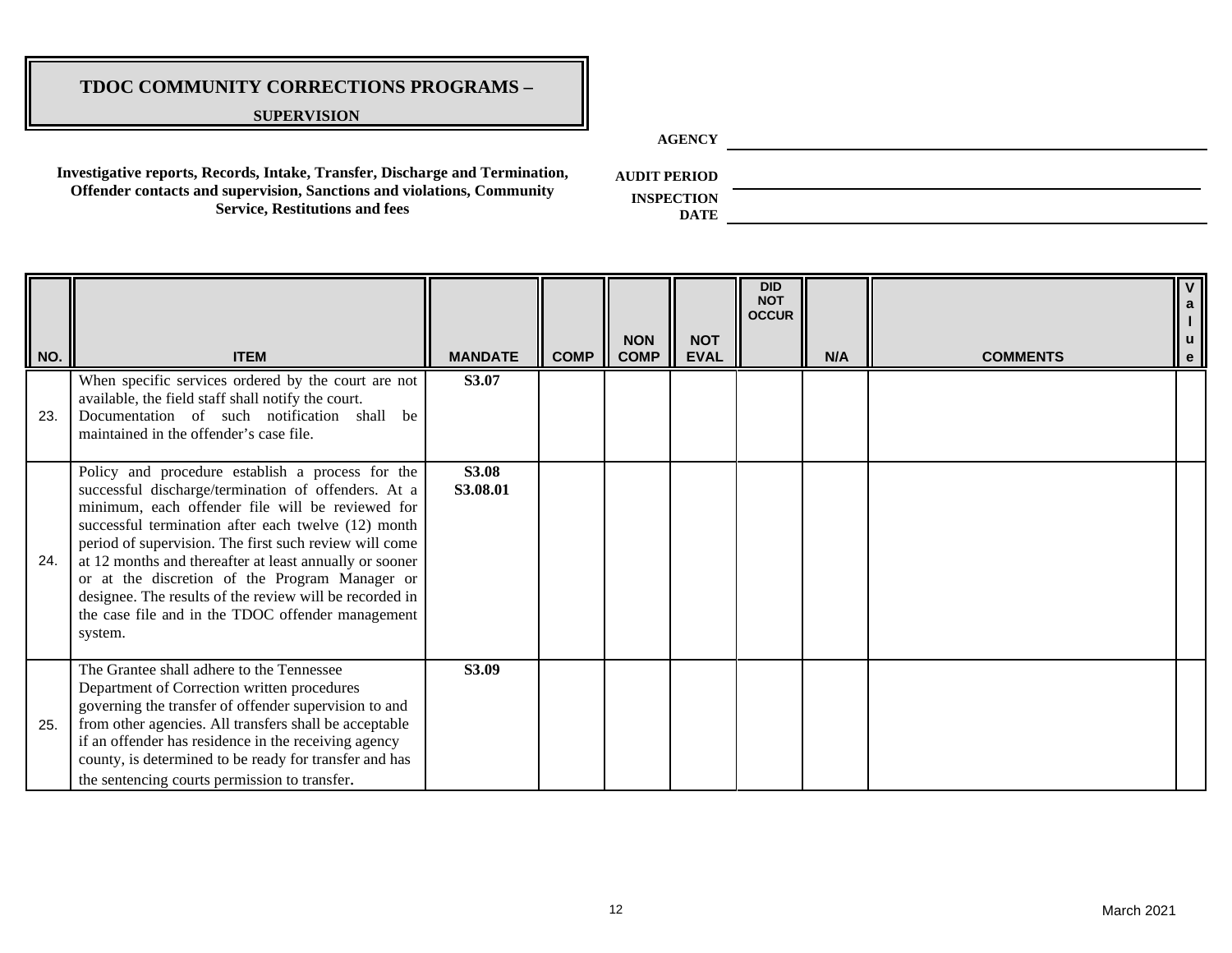#### **SUPERVISION**

**AGENCY**

**Investigative reports, Records, Intake, Transfer, Discharge and Termination, Offender contacts and supervision, Sanctions and violations, Community Service, Restitutions and fees**

**AUDIT PERIOD**

| NO. | <b>ITEM</b>                                                                                                                                                                                                                                                                                                                                                                                                                                                                                                          | <b>MANDATE</b>           | <b>COMP</b> | <b>NON</b><br><b>COMP</b> | <b>NOT</b><br><b>EVAL</b> | <b>DID</b><br><b>NOT</b><br><b>OCCUR</b> | N/A | <b>COMMENTS</b> | $\overline{\mathsf{v}}$<br>a<br>u<br>$\mathbf{e}$ |
|-----|----------------------------------------------------------------------------------------------------------------------------------------------------------------------------------------------------------------------------------------------------------------------------------------------------------------------------------------------------------------------------------------------------------------------------------------------------------------------------------------------------------------------|--------------------------|-------------|---------------------------|---------------------------|------------------------------------------|-----|-----------------|---------------------------------------------------|
| 23. | When specific services ordered by the court are not<br>available, the field staff shall notify the court.<br>Documentation of such notification shall be<br>maintained in the offender's case file.                                                                                                                                                                                                                                                                                                                  | S3.07                    |             |                           |                           |                                          |     |                 |                                                   |
| 24. | Policy and procedure establish a process for the<br>successful discharge/termination of offenders. At a<br>minimum, each offender file will be reviewed for<br>successful termination after each twelve (12) month<br>period of supervision. The first such review will come<br>at 12 months and thereafter at least annually or sooner<br>or at the discretion of the Program Manager or<br>designee. The results of the review will be recorded in<br>the case file and in the TDOC offender management<br>system. | <b>S3.08</b><br>S3.08.01 |             |                           |                           |                                          |     |                 |                                                   |
| 25. | The Grantee shall adhere to the Tennessee<br>Department of Correction written procedures<br>governing the transfer of offender supervision to and<br>from other agencies. All transfers shall be acceptable<br>if an offender has residence in the receiving agency<br>county, is determined to be ready for transfer and has<br>the sentencing courts permission to transfer.                                                                                                                                       | S3.09                    |             |                           |                           |                                          |     |                 |                                                   |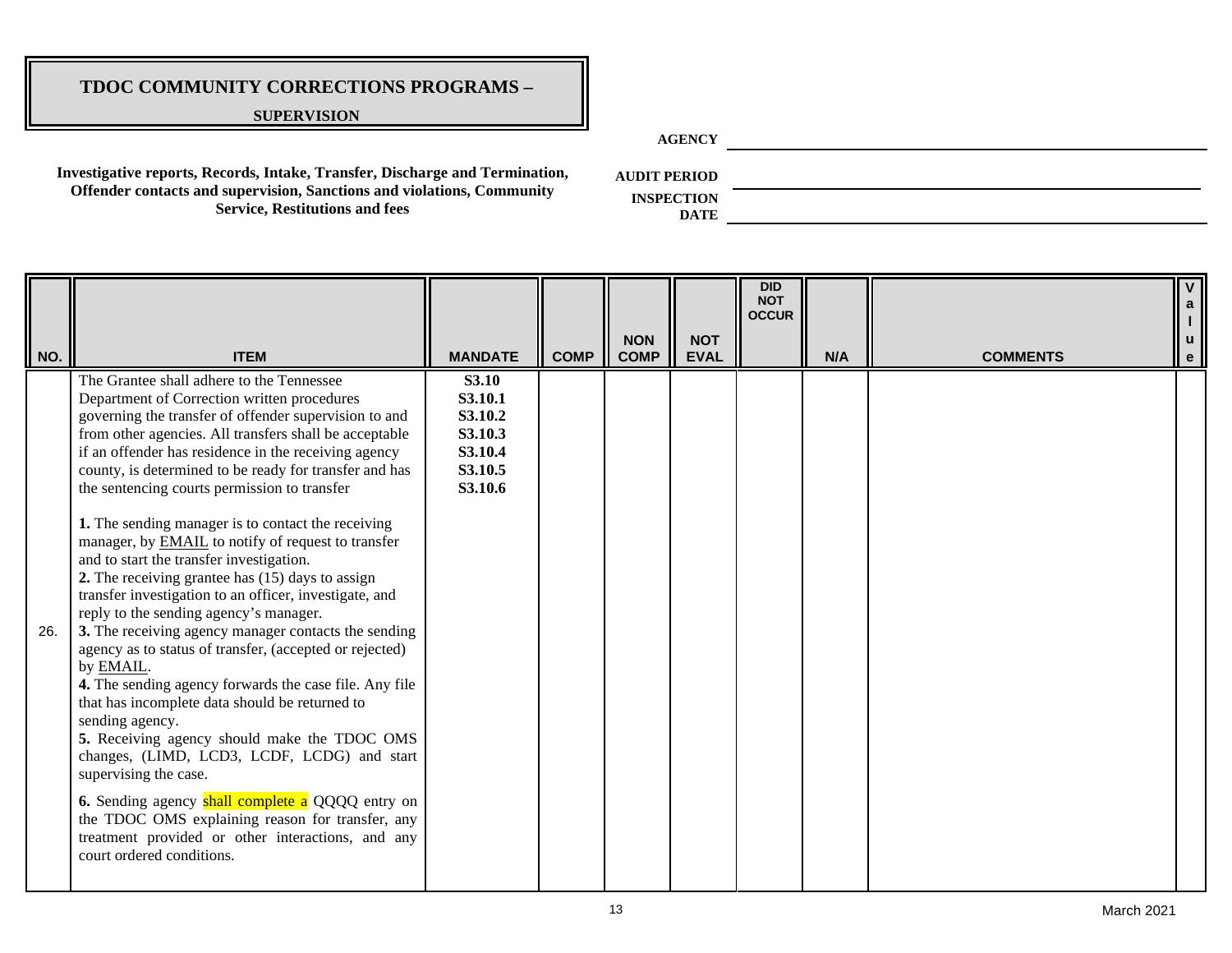#### **SUPERVISION**

**AGENCY**

**Investigative reports, Records, Intake, Transfer, Discharge and Termination, Offender contacts and supervision, Sanctions and violations, Community Service, Restitutions and fees**

**AUDIT PERIOD**

**INSPECTION** 

| NO. | <b>ITEM</b>                                                                                                                                                                                                                                                                                                                                                                                                                                                                                                                                                                                                                                                                                                                                                                                                                                                                                                                                                                                                                                                                                                                                                                                                                                                                                  | <b>MANDATE</b>                                                                 | <b>COMP</b> | <b>NON</b><br><b>COMP</b> | <b>NOT</b><br><b>EVAL</b> | <b>DID</b><br><b>NOT</b><br><b>OCCUR</b> | N/A | <b>COMMENTS</b> | e |
|-----|----------------------------------------------------------------------------------------------------------------------------------------------------------------------------------------------------------------------------------------------------------------------------------------------------------------------------------------------------------------------------------------------------------------------------------------------------------------------------------------------------------------------------------------------------------------------------------------------------------------------------------------------------------------------------------------------------------------------------------------------------------------------------------------------------------------------------------------------------------------------------------------------------------------------------------------------------------------------------------------------------------------------------------------------------------------------------------------------------------------------------------------------------------------------------------------------------------------------------------------------------------------------------------------------|--------------------------------------------------------------------------------|-------------|---------------------------|---------------------------|------------------------------------------|-----|-----------------|---|
| 26. | The Grantee shall adhere to the Tennessee<br>Department of Correction written procedures<br>governing the transfer of offender supervision to and<br>from other agencies. All transfers shall be acceptable<br>if an offender has residence in the receiving agency<br>county, is determined to be ready for transfer and has<br>the sentencing courts permission to transfer<br>1. The sending manager is to contact the receiving<br>manager, by <b>EMAIL</b> to notify of request to transfer<br>and to start the transfer investigation.<br>2. The receiving grantee has (15) days to assign<br>transfer investigation to an officer, investigate, and<br>reply to the sending agency's manager.<br>3. The receiving agency manager contacts the sending<br>agency as to status of transfer, (accepted or rejected)<br>by EMAIL.<br>4. The sending agency forwards the case file. Any file<br>that has incomplete data should be returned to<br>sending agency.<br>5. Receiving agency should make the TDOC OMS<br>changes, (LIMD, LCD3, LCDF, LCDG) and start<br>supervising the case.<br><b>6.</b> Sending agency shall complete a QQQQ entry on<br>the TDOC OMS explaining reason for transfer, any<br>treatment provided or other interactions, and any<br>court ordered conditions. | <b>S3.10</b><br>S3.10.1<br>S3.10.2<br>S3.10.3<br>S3.10.4<br>S3.10.5<br>S3.10.6 |             |                           |                           |                                          |     |                 |   |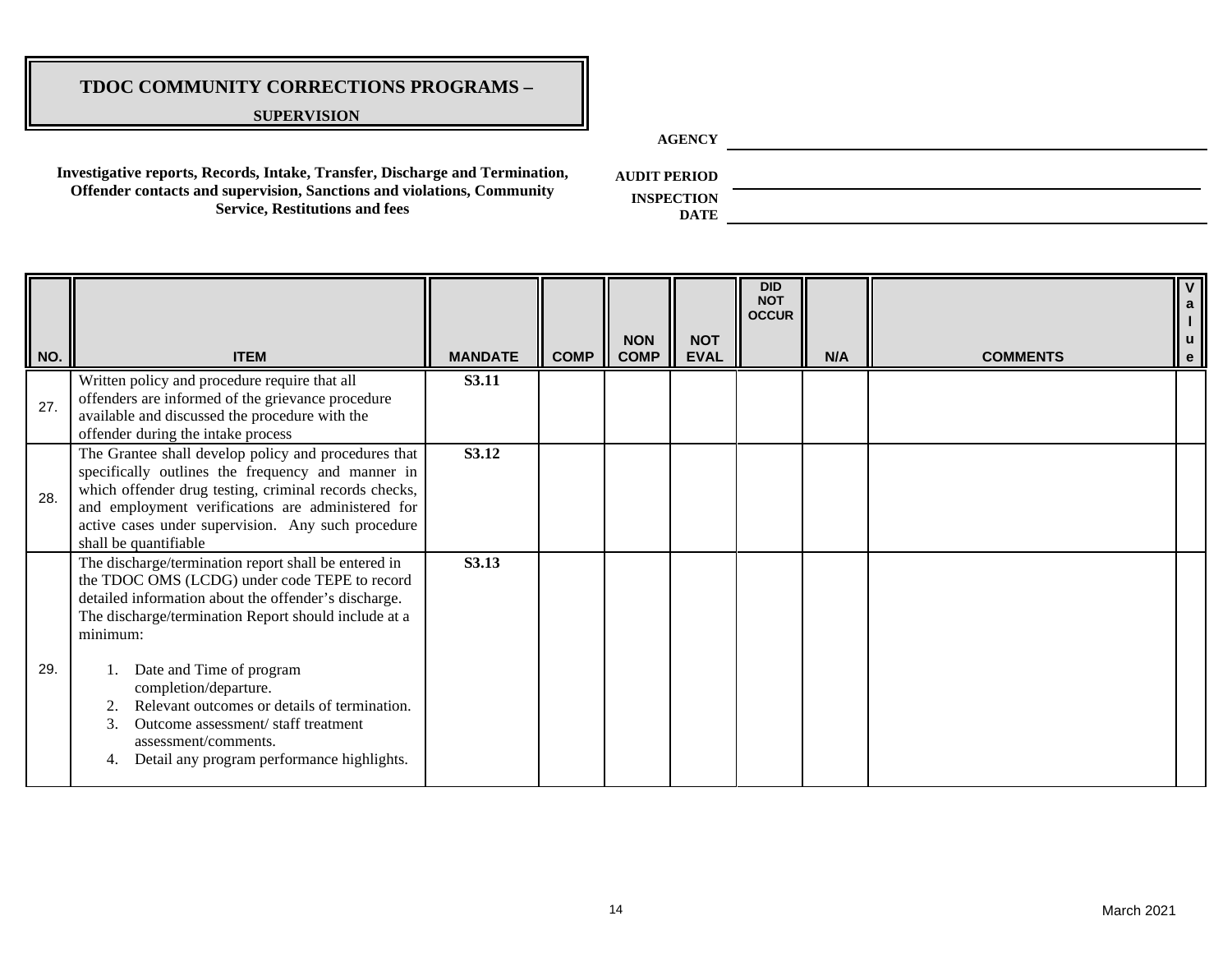#### **SUPERVISION**

**AGENCY**

**Investigative reports, Records, Intake, Transfer, Discharge and Termination, Offender contacts and supervision, Sanctions and violations, Community Service, Restitutions and fees**

**AUDIT PERIOD**

**INSPECTION DATE**

|     |                                                                                                                                                                                                                                                                                                                                                                                                                                                                            |                |             |                           |                           | <b>DID</b><br><b>NOT</b><br><b>OCCUR</b> |     |                 |   |
|-----|----------------------------------------------------------------------------------------------------------------------------------------------------------------------------------------------------------------------------------------------------------------------------------------------------------------------------------------------------------------------------------------------------------------------------------------------------------------------------|----------------|-------------|---------------------------|---------------------------|------------------------------------------|-----|-----------------|---|
| NO. | <b>ITEM</b>                                                                                                                                                                                                                                                                                                                                                                                                                                                                | <b>MANDATE</b> | <b>COMP</b> | <b>NON</b><br><b>COMP</b> | <b>NOT</b><br><b>EVAL</b> |                                          | N/A | <b>COMMENTS</b> | e |
| 27. | Written policy and procedure require that all<br>offenders are informed of the grievance procedure<br>available and discussed the procedure with the<br>offender during the intake process                                                                                                                                                                                                                                                                                 | <b>S3.11</b>   |             |                           |                           |                                          |     |                 |   |
| 28. | The Grantee shall develop policy and procedures that<br>specifically outlines the frequency and manner in<br>which offender drug testing, criminal records checks,<br>and employment verifications are administered for<br>active cases under supervision. Any such procedure<br>shall be quantifiable                                                                                                                                                                     | S3.12          |             |                           |                           |                                          |     |                 |   |
| 29. | The discharge/termination report shall be entered in<br>the TDOC OMS (LCDG) under code TEPE to record<br>detailed information about the offender's discharge.<br>The discharge/termination Report should include at a<br>minimum:<br>Date and Time of program<br>completion/departure.<br>Relevant outcomes or details of termination.<br>$\overline{2}$<br>Outcome assessment/staff treatment<br>assessment/comments.<br>Detail any program performance highlights.<br>4. | S3.13          |             |                           |                           |                                          |     |                 |   |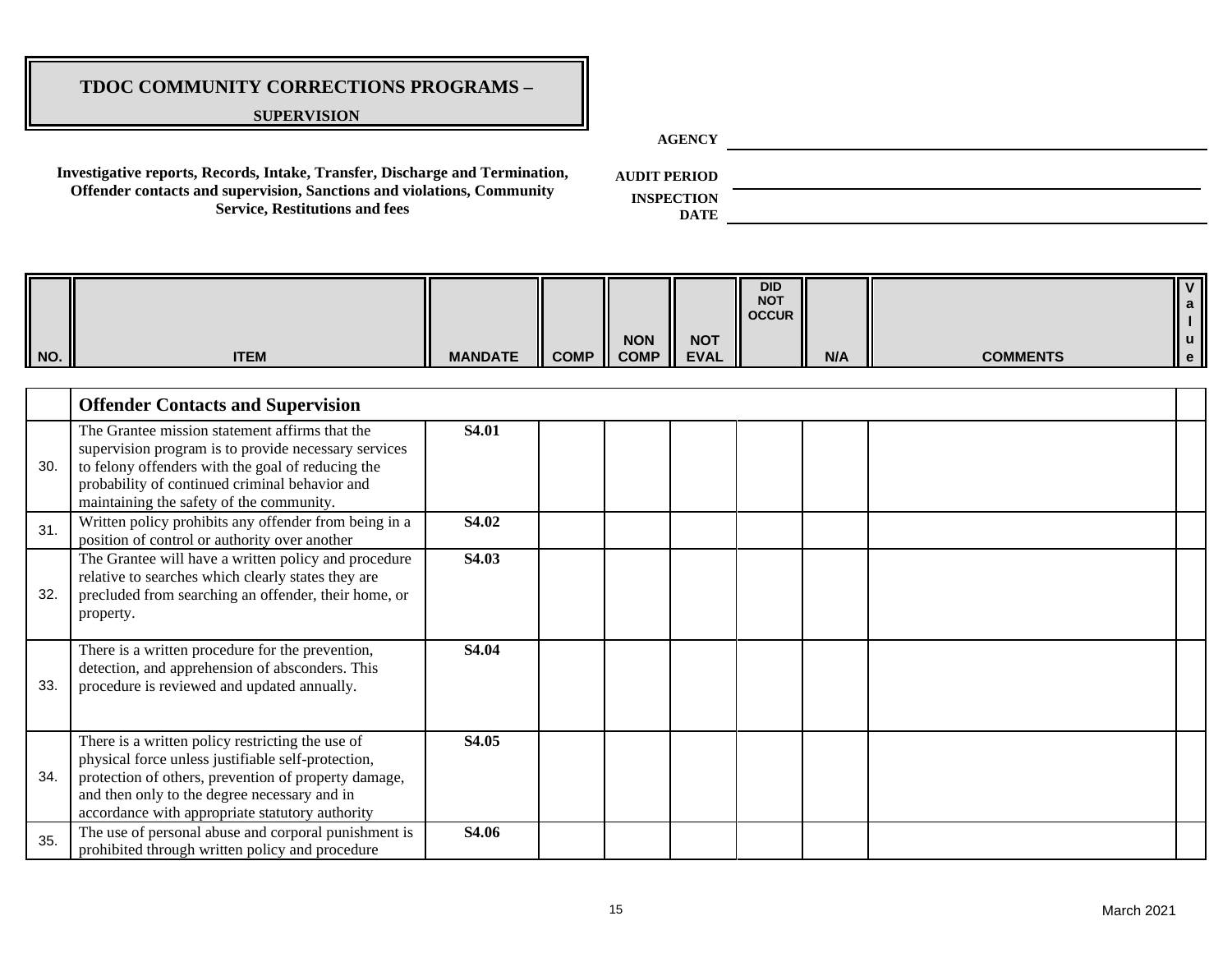#### **SUPERVISION**

**AGENCY**

**Investigative reports, Records, Intake, Transfer, Discharge and Termination, Offender contacts and supervision, Sanctions and violations, Community Service, Restitutions and fees**

**AUDIT PERIOD**

**INSPECTION** 

| NO. | <b>ITEM</b>                                                                                                                                                                                                                                                       | <b>MANDATE</b> | <b>COMP</b> | <b>NON</b><br><b>COMP</b> | <b>NOT</b><br><b>EVAL</b> | <b>DID</b><br><b>NOT</b><br><b>OCCUR</b> | N/A | <b>COMMENTS</b> | $\mathbf{V}$<br>a<br>$\mathbf u$<br>$\ddot{\textbf{e}}$ |
|-----|-------------------------------------------------------------------------------------------------------------------------------------------------------------------------------------------------------------------------------------------------------------------|----------------|-------------|---------------------------|---------------------------|------------------------------------------|-----|-----------------|---------------------------------------------------------|
|     | <b>Offender Contacts and Supervision</b>                                                                                                                                                                                                                          |                |             |                           |                           |                                          |     |                 |                                                         |
| 30. | The Grantee mission statement affirms that the<br>supervision program is to provide necessary services<br>to felony offenders with the goal of reducing the<br>probability of continued criminal behavior and<br>maintaining the safety of the community.         | S4.01          |             |                           |                           |                                          |     |                 |                                                         |
| 31. | Written policy prohibits any offender from being in a<br>position of control or authority over another                                                                                                                                                            | S4.02          |             |                           |                           |                                          |     |                 |                                                         |
| 32. | The Grantee will have a written policy and procedure<br>relative to searches which clearly states they are<br>precluded from searching an offender, their home, or<br>property.                                                                                   | S4.03          |             |                           |                           |                                          |     |                 |                                                         |
| 33. | There is a written procedure for the prevention,<br>detection, and apprehension of absconders. This<br>procedure is reviewed and updated annually.                                                                                                                | S4.04          |             |                           |                           |                                          |     |                 |                                                         |
| 34. | There is a written policy restricting the use of<br>physical force unless justifiable self-protection,<br>protection of others, prevention of property damage,<br>and then only to the degree necessary and in<br>accordance with appropriate statutory authority | S4.05          |             |                           |                           |                                          |     |                 |                                                         |
| 35. | The use of personal abuse and corporal punishment is<br>prohibited through written policy and procedure                                                                                                                                                           | S4.06          |             |                           |                           |                                          |     |                 |                                                         |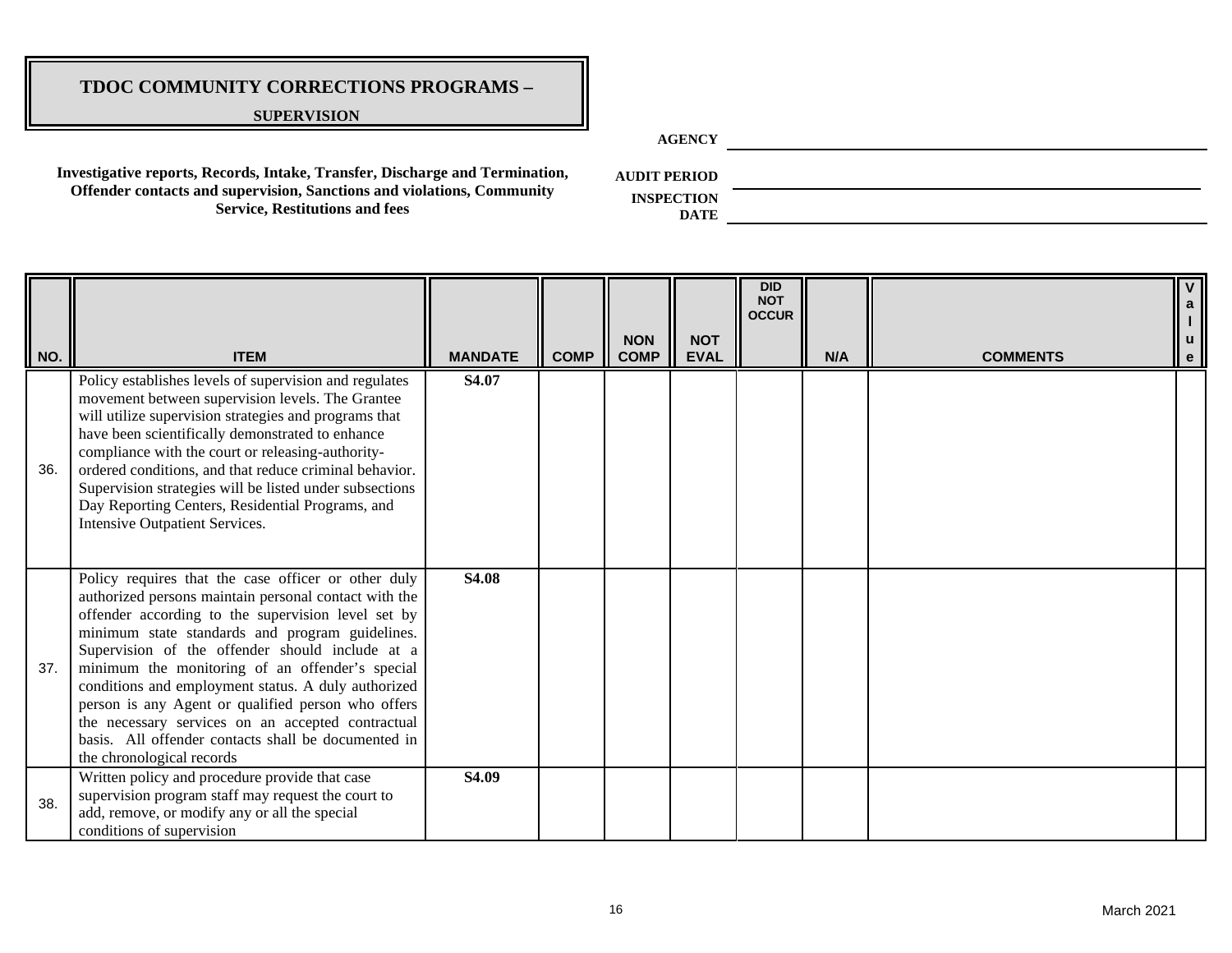#### **SUPERVISION**

**AGENCY**

**Investigative reports, Records, Intake, Transfer, Discharge and Termination, Offender contacts and supervision, Sanctions and violations, Community Service, Restitutions and fees**

**AUDIT PERIOD**

| NO. | <b>ITEM</b>                                                                                                                                                                                                                                                                                                                                                                                                                                                                                                                                                                       | <b>MANDATE</b> | <b>COMP</b> | <b>NON</b><br><b>COMP</b> | <b>NOT</b><br><b>EVAL</b> | <b>DID</b><br><b>NOT</b><br><b>OCCUR</b> | N/A | <b>COMMENTS</b> | V<br>$\mathbf{a}$<br>$\mathsf{u}$<br>$\mathbf{e}% _{t}\left( t\right)$ |
|-----|-----------------------------------------------------------------------------------------------------------------------------------------------------------------------------------------------------------------------------------------------------------------------------------------------------------------------------------------------------------------------------------------------------------------------------------------------------------------------------------------------------------------------------------------------------------------------------------|----------------|-------------|---------------------------|---------------------------|------------------------------------------|-----|-----------------|------------------------------------------------------------------------|
| 36. | Policy establishes levels of supervision and regulates<br>movement between supervision levels. The Grantee<br>will utilize supervision strategies and programs that<br>have been scientifically demonstrated to enhance<br>compliance with the court or releasing-authority-<br>ordered conditions, and that reduce criminal behavior.<br>Supervision strategies will be listed under subsections<br>Day Reporting Centers, Residential Programs, and<br><b>Intensive Outpatient Services.</b>                                                                                    | S4.07          |             |                           |                           |                                          |     |                 |                                                                        |
| 37. | Policy requires that the case officer or other duly<br>authorized persons maintain personal contact with the<br>offender according to the supervision level set by<br>minimum state standards and program guidelines.<br>Supervision of the offender should include at a<br>minimum the monitoring of an offender's special<br>conditions and employment status. A duly authorized<br>person is any Agent or qualified person who offers<br>the necessary services on an accepted contractual<br>basis. All offender contacts shall be documented in<br>the chronological records | S4.08          |             |                           |                           |                                          |     |                 |                                                                        |
| 38. | Written policy and procedure provide that case<br>supervision program staff may request the court to<br>add, remove, or modify any or all the special<br>conditions of supervision                                                                                                                                                                                                                                                                                                                                                                                                | S4.09          |             |                           |                           |                                          |     |                 |                                                                        |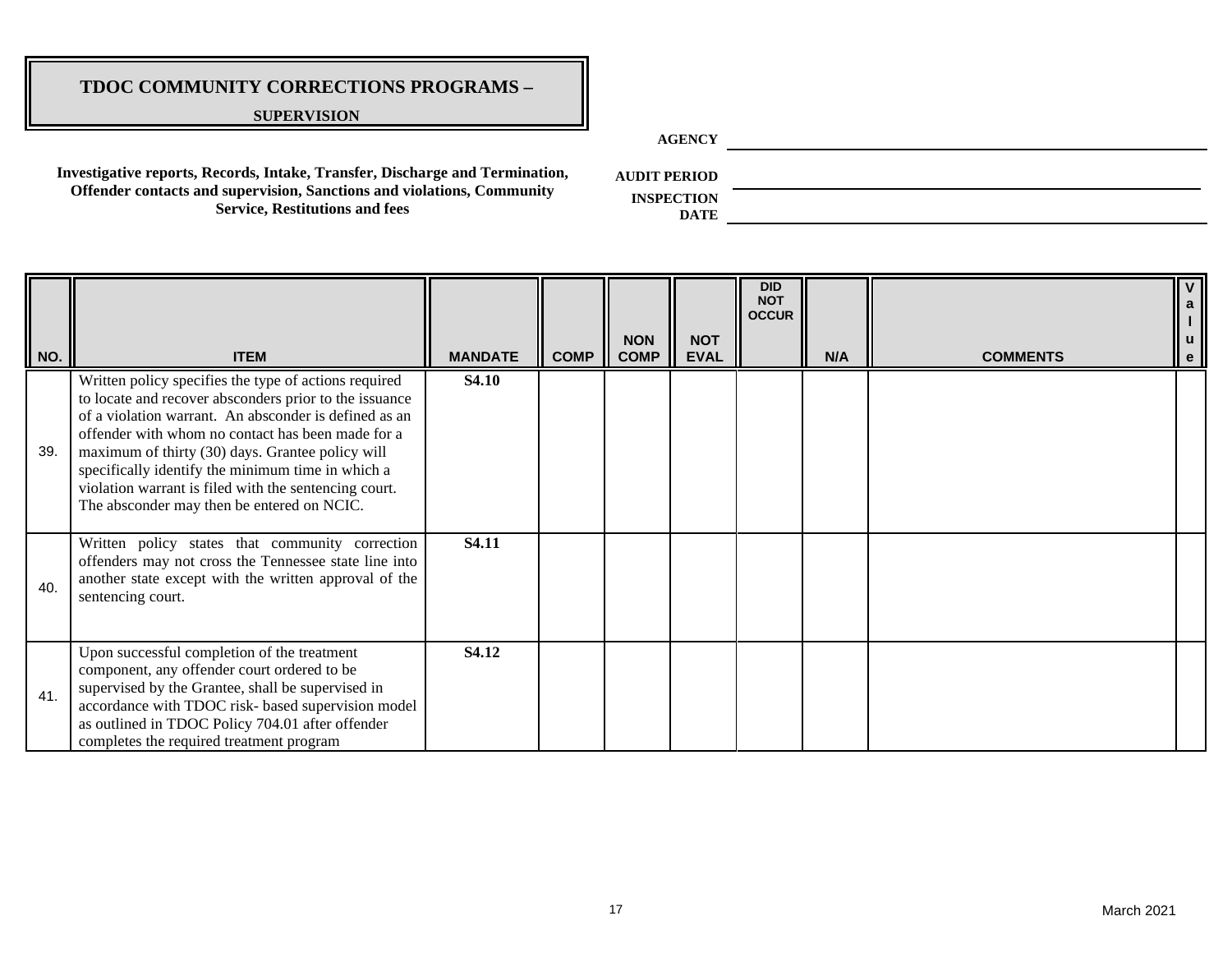#### **SUPERVISION**

**AGENCY**

**Investigative reports, Records, Intake, Transfer, Discharge and Termination, Offender contacts and supervision, Sanctions and violations, Community Service, Restitutions and fees**

**AUDIT PERIOD**

| NO. | <b>ITEM</b>                                                                                                                                                                                                                                                                                                                                                                                                                                   | <b>MANDATE</b> | <b>COMP</b> | <b>NON</b><br><b>COMP</b> | <b>NOT</b><br><b>EVAL</b> | <b>DID</b><br><b>NOT</b><br><b>OCCUR</b> | N/A | <b>COMMENTS</b> | $\overline{V}$<br>a<br>I<br>u<br>e |
|-----|-----------------------------------------------------------------------------------------------------------------------------------------------------------------------------------------------------------------------------------------------------------------------------------------------------------------------------------------------------------------------------------------------------------------------------------------------|----------------|-------------|---------------------------|---------------------------|------------------------------------------|-----|-----------------|------------------------------------|
| 39. | Written policy specifies the type of actions required<br>to locate and recover absconders prior to the issuance<br>of a violation warrant. An absconder is defined as an<br>offender with whom no contact has been made for a<br>maximum of thirty (30) days. Grantee policy will<br>specifically identify the minimum time in which a<br>violation warrant is filed with the sentencing court.<br>The absconder may then be entered on NCIC. | <b>S4.10</b>   |             |                           |                           |                                          |     |                 |                                    |
| 40. | Written policy states that community correction<br>offenders may not cross the Tennessee state line into<br>another state except with the written approval of the<br>sentencing court.                                                                                                                                                                                                                                                        | S4.11          |             |                           |                           |                                          |     |                 |                                    |
| 41. | Upon successful completion of the treatment<br>component, any offender court ordered to be<br>supervised by the Grantee, shall be supervised in<br>accordance with TDOC risk- based supervision model<br>as outlined in TDOC Policy 704.01 after offender<br>completes the required treatment program                                                                                                                                         | S4.12          |             |                           |                           |                                          |     |                 |                                    |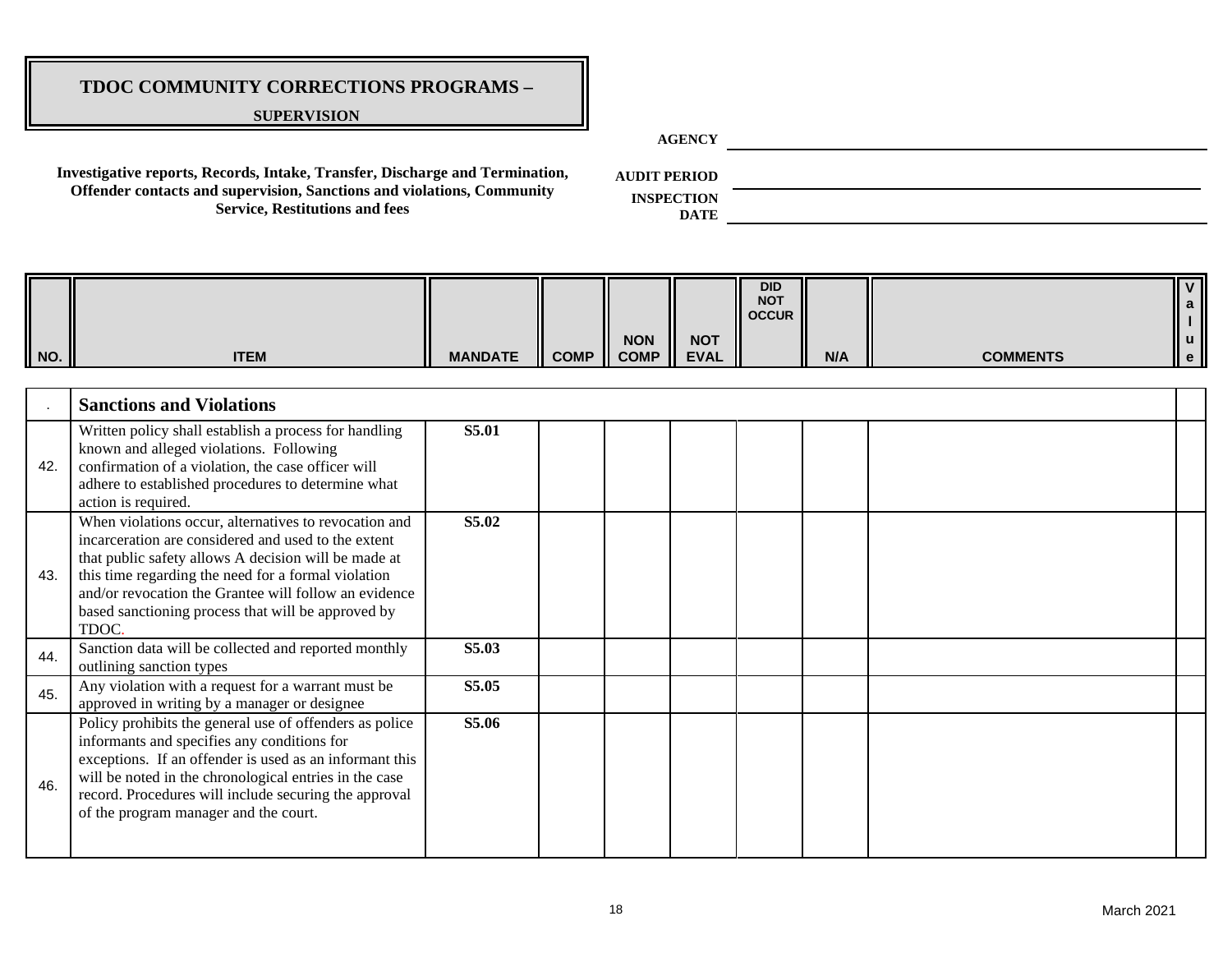#### **SUPERVISION**

**AGENCY**

**Investigative reports, Records, Intake, Transfer, Discharge and Termination, Offender contacts and supervision, Sanctions and violations, Community Service, Restitutions and fees**

**AUDIT PERIOD**

**INSPECTION** 

| NO. | <b>ITEM</b>                                                                                                                                                                                                                                                                                                                                         | <b>MANDATE</b> | <b>COMP</b> | <b>NON</b><br><b>COMP</b> | <b>NOT</b><br><b>EVAL</b> | <b>DID</b><br><b>NOT</b><br><b>OCCUR</b> | N/A | <b>COMMENTS</b> | $\overline{\mathsf{v}}$<br>a |
|-----|-----------------------------------------------------------------------------------------------------------------------------------------------------------------------------------------------------------------------------------------------------------------------------------------------------------------------------------------------------|----------------|-------------|---------------------------|---------------------------|------------------------------------------|-----|-----------------|------------------------------|
|     | <b>Sanctions and Violations</b>                                                                                                                                                                                                                                                                                                                     |                |             |                           |                           |                                          |     |                 |                              |
| 42. | Written policy shall establish a process for handling<br>known and alleged violations. Following<br>confirmation of a violation, the case officer will<br>adhere to established procedures to determine what<br>action is required.                                                                                                                 | S5.01          |             |                           |                           |                                          |     |                 |                              |
| 43. | When violations occur, alternatives to revocation and<br>incarceration are considered and used to the extent<br>that public safety allows A decision will be made at<br>this time regarding the need for a formal violation<br>and/or revocation the Grantee will follow an evidence<br>based sanctioning process that will be approved by<br>TDOC. | S5.02          |             |                           |                           |                                          |     |                 |                              |
| 44. | Sanction data will be collected and reported monthly<br>outlining sanction types                                                                                                                                                                                                                                                                    | S5.03          |             |                           |                           |                                          |     |                 |                              |
| 45. | Any violation with a request for a warrant must be<br>approved in writing by a manager or designee                                                                                                                                                                                                                                                  | S5.05          |             |                           |                           |                                          |     |                 |                              |
| 46. | Policy prohibits the general use of offenders as police<br>informants and specifies any conditions for<br>exceptions. If an offender is used as an informant this<br>will be noted in the chronological entries in the case<br>record. Procedures will include securing the approval<br>of the program manager and the court.                       | S5.06          |             |                           |                           |                                          |     |                 |                              |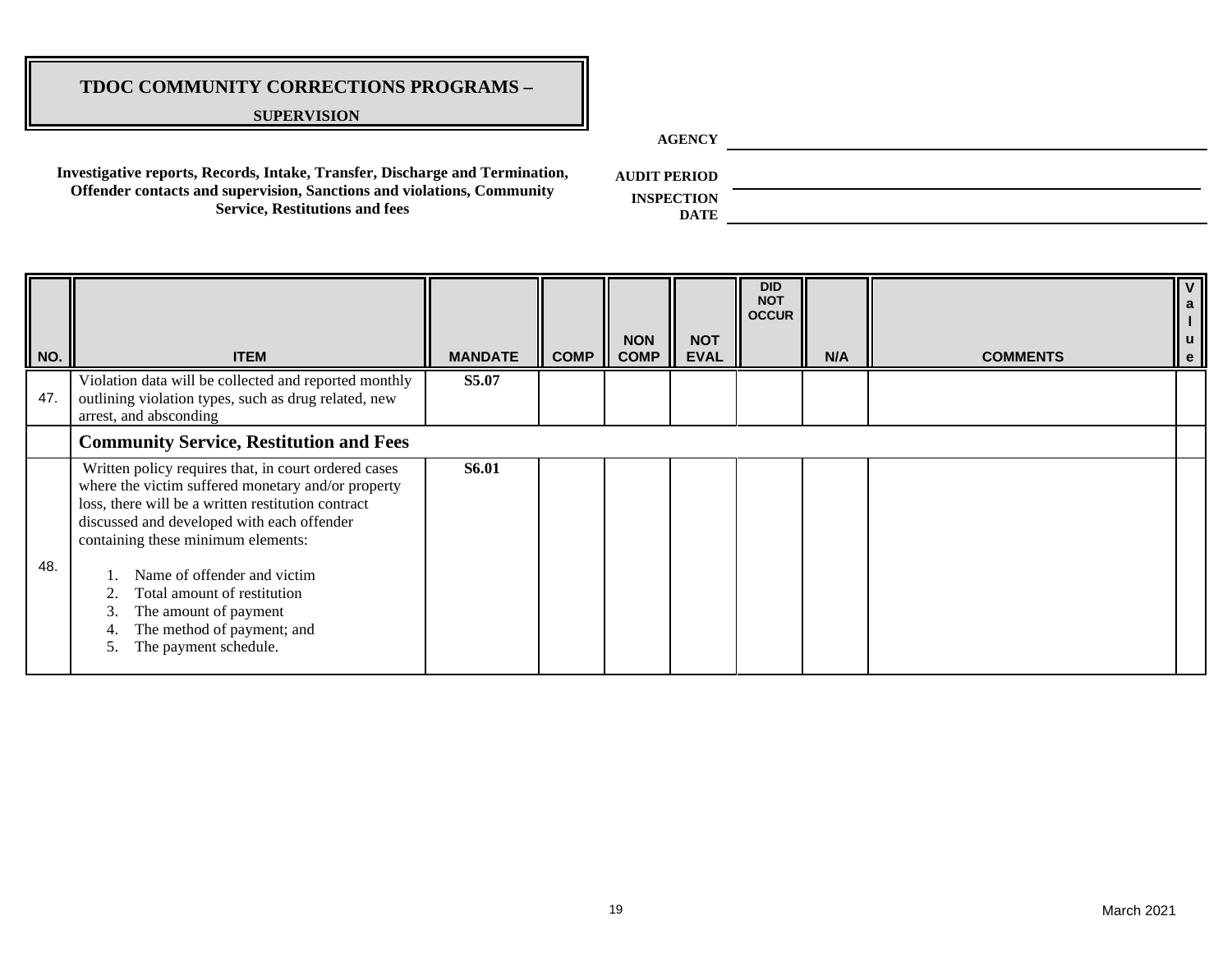#### **SUPERVISION**

**AGENCY**

**Investigative reports, Records, Intake, Transfer, Discharge and Termination, Offender contacts and supervision, Sanctions and violations, Community Service, Restitutions and fees**

**AUDIT PERIOD**

| NO. | <b>ITEM</b>                                                                                                                                                                                                                                                                                                                                                                                                    | <b>MANDATE</b> | <b>COMP</b> | <b>NON</b><br><b>COMP</b> | <b>NOT</b><br><b>EVAL</b> | <b>DID</b><br><b>NOT</b><br><b>OCCUR</b> | N/A | <b>COMMENTS</b> |  |
|-----|----------------------------------------------------------------------------------------------------------------------------------------------------------------------------------------------------------------------------------------------------------------------------------------------------------------------------------------------------------------------------------------------------------------|----------------|-------------|---------------------------|---------------------------|------------------------------------------|-----|-----------------|--|
| 47. | Violation data will be collected and reported monthly<br>outlining violation types, such as drug related, new<br>arrest, and absconding                                                                                                                                                                                                                                                                        | S5.07          |             |                           |                           |                                          |     |                 |  |
|     | <b>Community Service, Restitution and Fees</b>                                                                                                                                                                                                                                                                                                                                                                 |                |             |                           |                           |                                          |     |                 |  |
| 48. | Written policy requires that, in court ordered cases<br>where the victim suffered monetary and/or property<br>loss, there will be a written restitution contract<br>discussed and developed with each offender<br>containing these minimum elements:<br>Name of offender and victim<br>Total amount of restitution<br>The amount of payment<br>3.<br>The method of payment; and<br>The payment schedule.<br>5. | <b>S6.01</b>   |             |                           |                           |                                          |     |                 |  |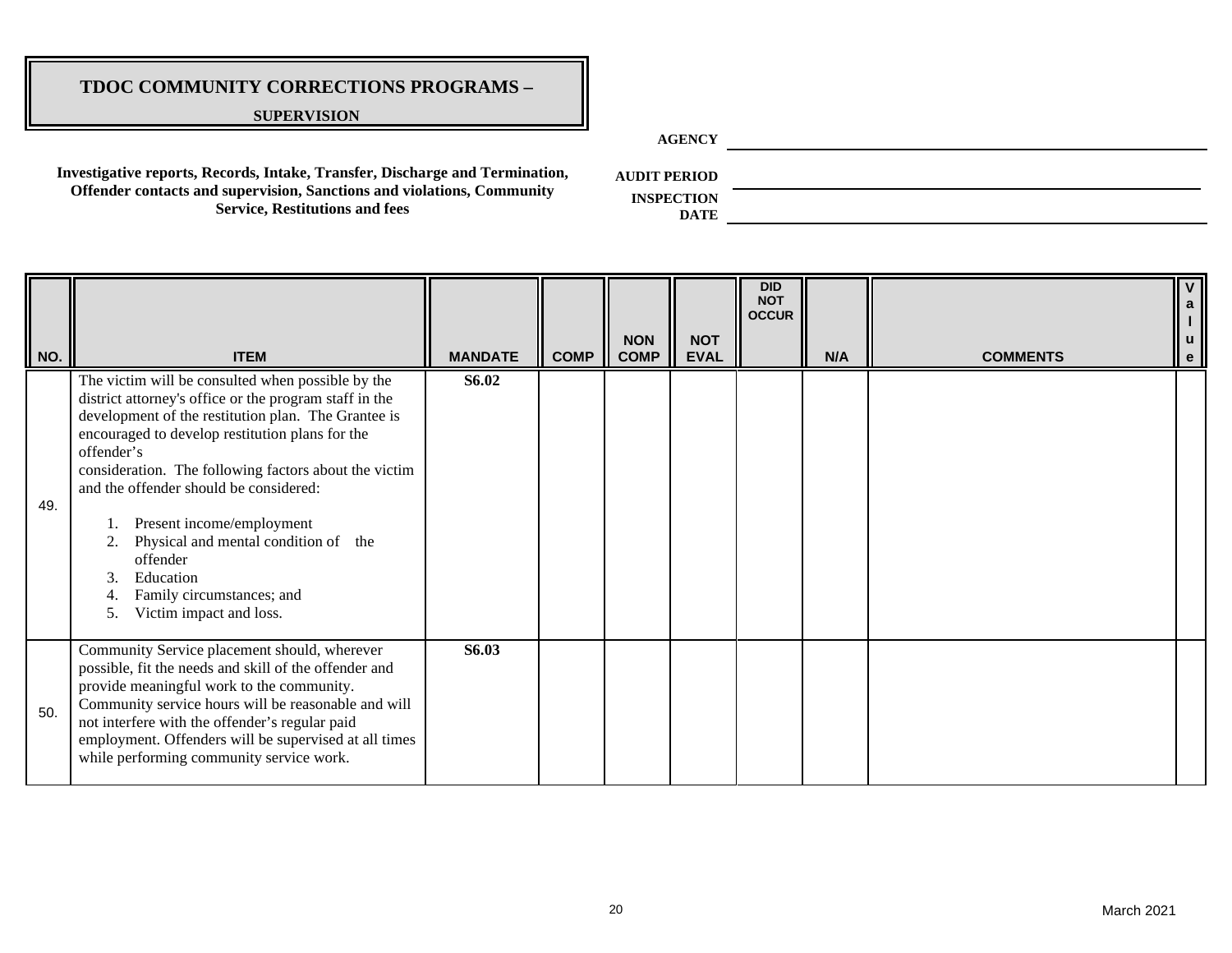#### **SUPERVISION**

**AGENCY**

**Investigative reports, Records, Intake, Transfer, Discharge and Termination, Offender contacts and supervision, Sanctions and violations, Community Service, Restitutions and fees**

**AUDIT PERIOD**

| NO. | <b>ITEM</b>                                                                                                                                                                                                                                                                                                                                                                                                                                                                                              | <b>MANDATE</b> | <b>COMP</b> | <b>NON</b><br><b>COMP</b> | <b>NOT</b><br><b>EVAL</b> | <b>DID</b><br><b>NOT</b><br><b>OCCUR</b> | N/A | <b>COMMENTS</b> | $\mathsf{V}$<br>a<br>u<br>e |
|-----|----------------------------------------------------------------------------------------------------------------------------------------------------------------------------------------------------------------------------------------------------------------------------------------------------------------------------------------------------------------------------------------------------------------------------------------------------------------------------------------------------------|----------------|-------------|---------------------------|---------------------------|------------------------------------------|-----|-----------------|-----------------------------|
| 49. | The victim will be consulted when possible by the<br>district attorney's office or the program staff in the<br>development of the restitution plan. The Grantee is<br>encouraged to develop restitution plans for the<br>offender's<br>consideration. The following factors about the victim<br>and the offender should be considered:<br>Present income/employment<br>Physical and mental condition of the<br>2.<br>offender<br>Education<br>Family circumstances; and<br>Victim impact and loss.<br>5. | <b>S6.02</b>   |             |                           |                           |                                          |     |                 |                             |
| 50. | Community Service placement should, wherever<br>possible, fit the needs and skill of the offender and<br>provide meaningful work to the community.<br>Community service hours will be reasonable and will<br>not interfere with the offender's regular paid<br>employment. Offenders will be supervised at all times<br>while performing community service work.                                                                                                                                         | S6.03          |             |                           |                           |                                          |     |                 |                             |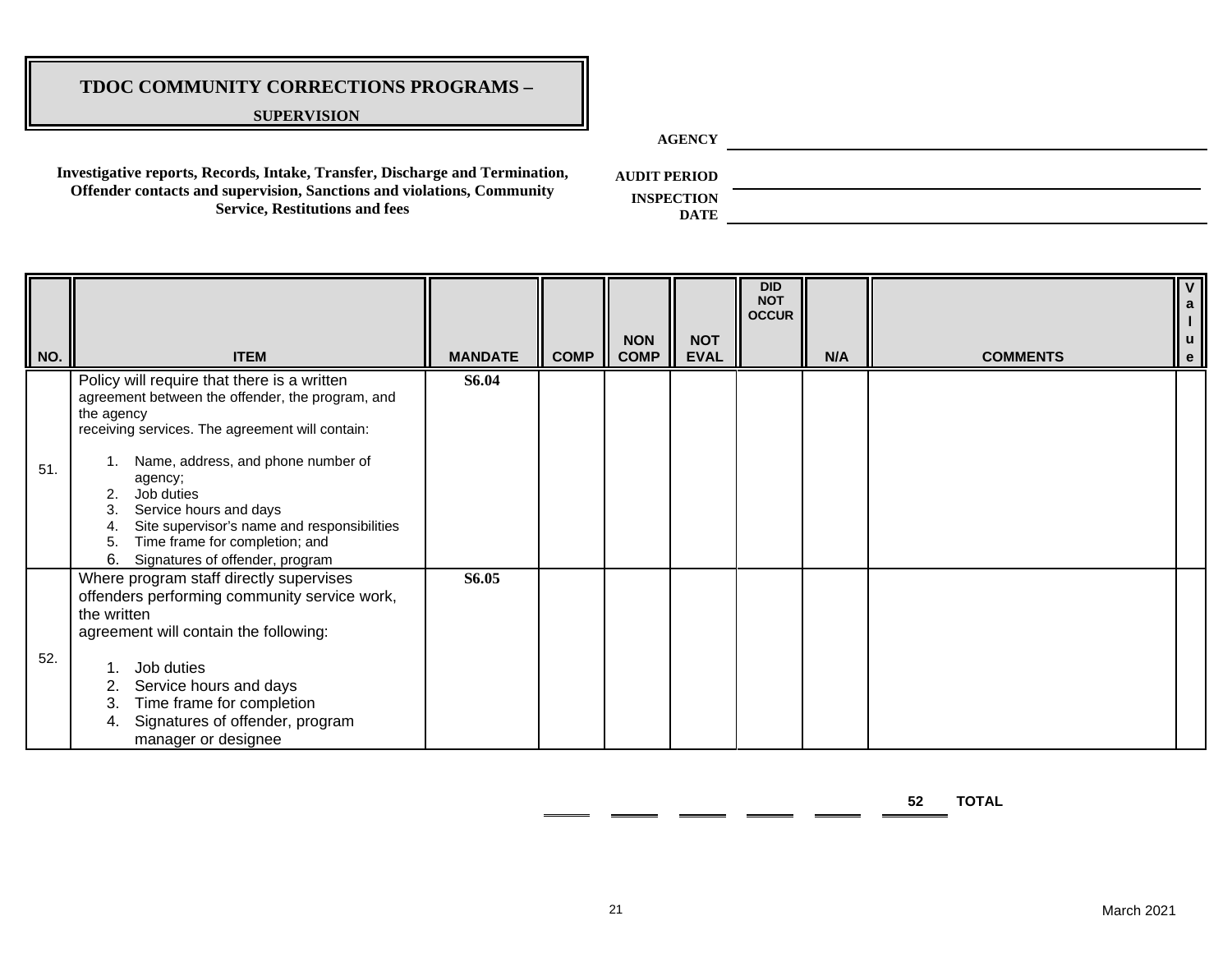#### **SUPERVISION**

**AGENCY**

**Investigative reports, Records, Intake, Transfer, Discharge and Termination, Offender contacts and supervision, Sanctions and violations, Community Service, Restitutions and fees**

**AUDIT PERIOD**

**INSPECTION DATE**

| $\parallel$ NO. | <b>ITEM</b>                                                                                                                                                                                                                                                                                                                                                                                     | <b>MANDATE</b> | <b>COMP</b> | <b>NON</b><br><b>COMP</b> | <b>NOT</b><br><b>EVAL</b> | <b>DID</b><br><b>NOT</b><br><b>OCCUR</b> | N/A | <b>COMMENTS</b> | $\overline{V}$<br>$\mathbf{a}$<br>$\mathbf{u}$<br>e |
|-----------------|-------------------------------------------------------------------------------------------------------------------------------------------------------------------------------------------------------------------------------------------------------------------------------------------------------------------------------------------------------------------------------------------------|----------------|-------------|---------------------------|---------------------------|------------------------------------------|-----|-----------------|-----------------------------------------------------|
| 51.             | Policy will require that there is a written<br>agreement between the offender, the program, and<br>the agency<br>receiving services. The agreement will contain:<br>Name, address, and phone number of<br>agency;<br>Job duties<br>Service hours and days<br>3.<br>Site supervisor's name and responsibilities<br>Time frame for completion; and<br>5.<br>6.<br>Signatures of offender, program | <b>S6.04</b>   |             |                           |                           |                                          |     |                 |                                                     |
| 52.             | Where program staff directly supervises<br>offenders performing community service work,<br>the written<br>agreement will contain the following:<br>Job duties<br>Service hours and days<br>Time frame for completion<br>3.<br>Signatures of offender, program<br>4.<br>manager or designee                                                                                                      | S6.05          |             |                           |                           |                                          |     |                 |                                                     |

**52 TOTAL**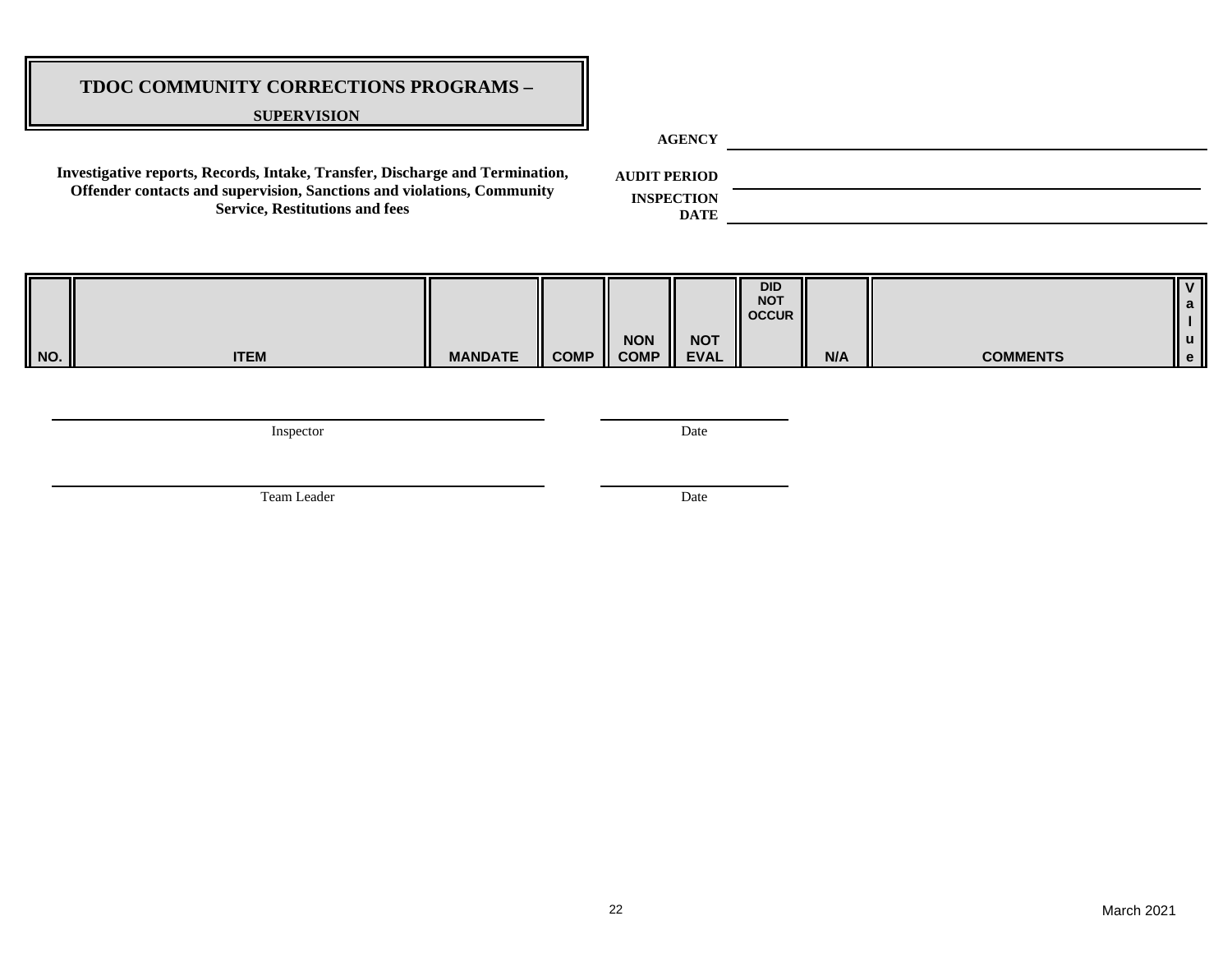#### **SUPERVISION**

**AGENCY**

**Investigative reports, Records, Intake, Transfer, Discharge and Termination, Offender contacts and supervision, Sanctions and violations, Community Service, Restitutions and fees**

**AUDIT PERIOD**

**INSPECTION DATE**

| $\begin{array}{c} \n\hline\n\end{array}$ NO. |             |                |             |                     |                  | <b>DID</b><br><b>NOT</b><br>II occur |     |                 |      |
|----------------------------------------------|-------------|----------------|-------------|---------------------|------------------|--------------------------------------|-----|-----------------|------|
|                                              |             |                |             | <b>NON</b>          | <b>NOT</b><br>Ш  |                                      |     |                 | .I U |
|                                              | <b>ITEM</b> | <b>MANDATE</b> | <b>COMP</b> | $\blacksquare$ COMP | <b>EVAL</b><br>Ш |                                      | N/A | <b>COMMENTS</b> | l e  |

Inspector Date

Team Leader Date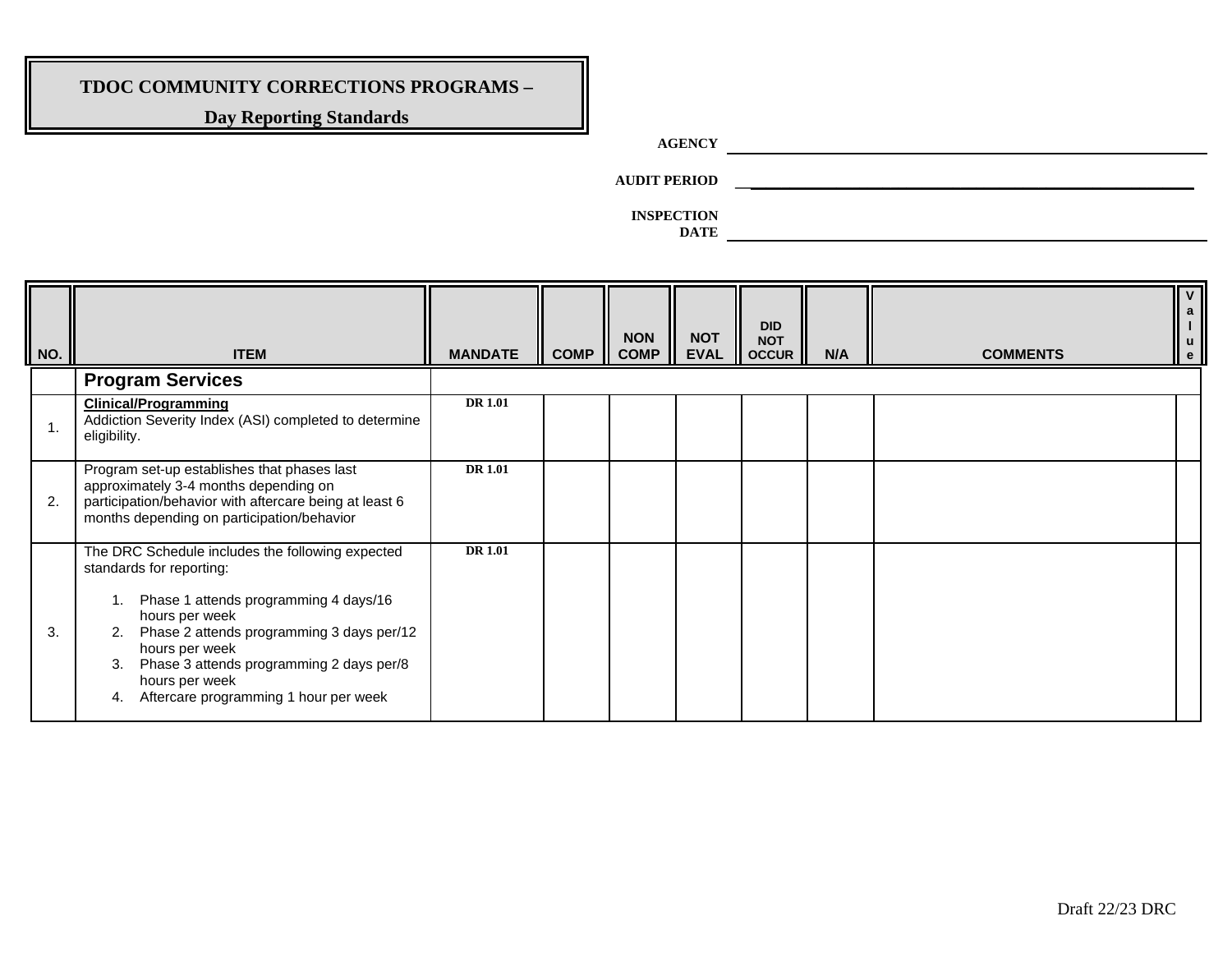## **Day Reporting Standards**

# **AGENCY**

**AUDIT PERIOD \_\_\_\_\_\_\_\_\_\_\_\_\_\_\_\_\_\_\_\_\_\_\_\_\_\_\_\_\_\_\_\_\_\_\_\_\_\_\_\_\_\_\_\_\_\_\_\_\_\_\_\_\_\_\_\_\_\_\_**

**INSPECTION** 

| NO. | <b>ITEM</b>                                                                                                                                                                                                                                                                                                                     | <b>MANDATE</b> | <b>COMP</b> | <b>NON</b><br><b>COMP</b> | <b>NOT</b><br><b>EVAL</b> | <b>DID</b><br><b>NOT</b><br><b>OCCUR</b> | N/A | <b>COMMENTS</b> |  |
|-----|---------------------------------------------------------------------------------------------------------------------------------------------------------------------------------------------------------------------------------------------------------------------------------------------------------------------------------|----------------|-------------|---------------------------|---------------------------|------------------------------------------|-----|-----------------|--|
|     | <b>Program Services</b>                                                                                                                                                                                                                                                                                                         |                |             |                           |                           |                                          |     |                 |  |
| 1.  | <b>Clinical/Programming</b><br>Addiction Severity Index (ASI) completed to determine<br>eligibility.                                                                                                                                                                                                                            | <b>DR 1.01</b> |             |                           |                           |                                          |     |                 |  |
| 2.  | Program set-up establishes that phases last<br>approximately 3-4 months depending on<br>participation/behavior with aftercare being at least 6<br>months depending on participation/behavior                                                                                                                                    | <b>DR</b> 1.01 |             |                           |                           |                                          |     |                 |  |
| 3.  | The DRC Schedule includes the following expected<br>standards for reporting:<br>Phase 1 attends programming 4 days/16<br>hours per week<br>Phase 2 attends programming 3 days per/12<br>2.<br>hours per week<br>Phase 3 attends programming 2 days per/8<br>3.<br>hours per week<br>Aftercare programming 1 hour per week<br>4. | <b>DR</b> 1.01 |             |                           |                           |                                          |     |                 |  |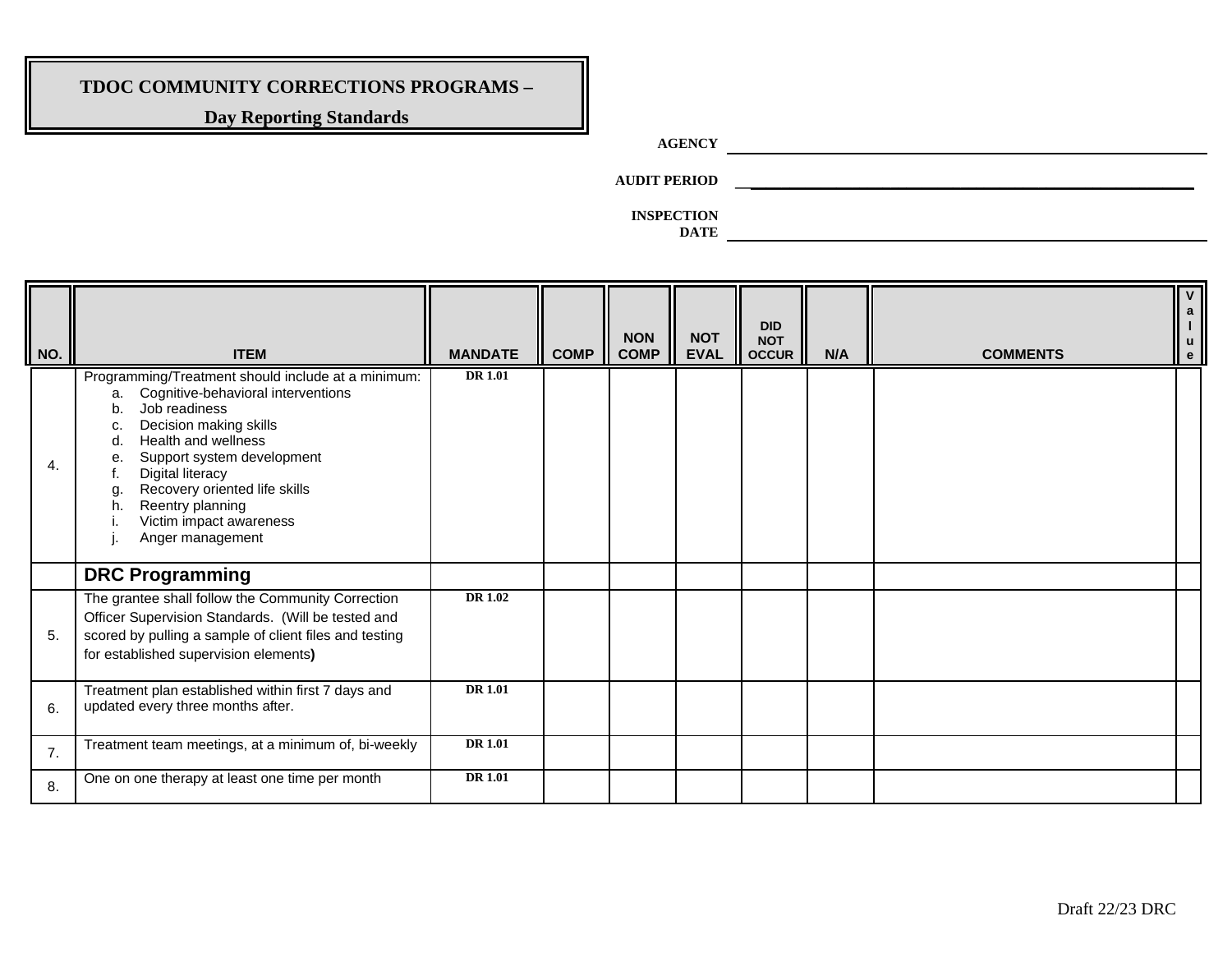## **Day Reporting Standards**

# **AGENCY**

**AUDIT PERIOD \_\_\_\_\_\_\_\_\_\_\_\_\_\_\_\_\_\_\_\_\_\_\_\_\_\_\_\_\_\_\_\_\_\_\_\_\_\_\_\_\_\_\_\_\_\_\_\_\_\_\_\_\_\_\_\_\_\_\_**

| NO. | <b>ITEM</b>                                                                                                                                                                                                                                                                                                                                                                | <b>MANDATE</b> | <b>COMP</b> | <b>NON</b><br><b>COMP</b> | <b>NOT</b><br><b>EVAL</b> | <b>DID</b><br><b>NOT</b><br><b>OCCUR</b> | N/A | <b>COMMENTS</b> |  |
|-----|----------------------------------------------------------------------------------------------------------------------------------------------------------------------------------------------------------------------------------------------------------------------------------------------------------------------------------------------------------------------------|----------------|-------------|---------------------------|---------------------------|------------------------------------------|-----|-----------------|--|
| 4.  | Programming/Treatment should include at a minimum:<br>Cognitive-behavioral interventions<br>a.<br>Job readiness<br>b.<br>Decision making skills<br>c.<br>Health and wellness<br>d.<br>Support system development<br>$\mathbf{e}$<br>Digital literacy<br>t.<br>Recovery oriented life skills<br>g.<br>Reentry planning<br>h.<br>Victim impact awareness<br>Anger management | <b>DR</b> 1.01 |             |                           |                           |                                          |     |                 |  |
|     | <b>DRC Programming</b>                                                                                                                                                                                                                                                                                                                                                     |                |             |                           |                           |                                          |     |                 |  |
| 5.  | The grantee shall follow the Community Correction<br>Officer Supervision Standards. (Will be tested and<br>scored by pulling a sample of client files and testing<br>for established supervision elements)                                                                                                                                                                 | <b>DR</b> 1.02 |             |                           |                           |                                          |     |                 |  |
| 6.  | Treatment plan established within first 7 days and<br>updated every three months after.                                                                                                                                                                                                                                                                                    | <b>DR</b> 1.01 |             |                           |                           |                                          |     |                 |  |
| 7.  | Treatment team meetings, at a minimum of, bi-weekly                                                                                                                                                                                                                                                                                                                        | <b>DR</b> 1.01 |             |                           |                           |                                          |     |                 |  |
| 8.  | One on one therapy at least one time per month                                                                                                                                                                                                                                                                                                                             | <b>DR</b> 1.01 |             |                           |                           |                                          |     |                 |  |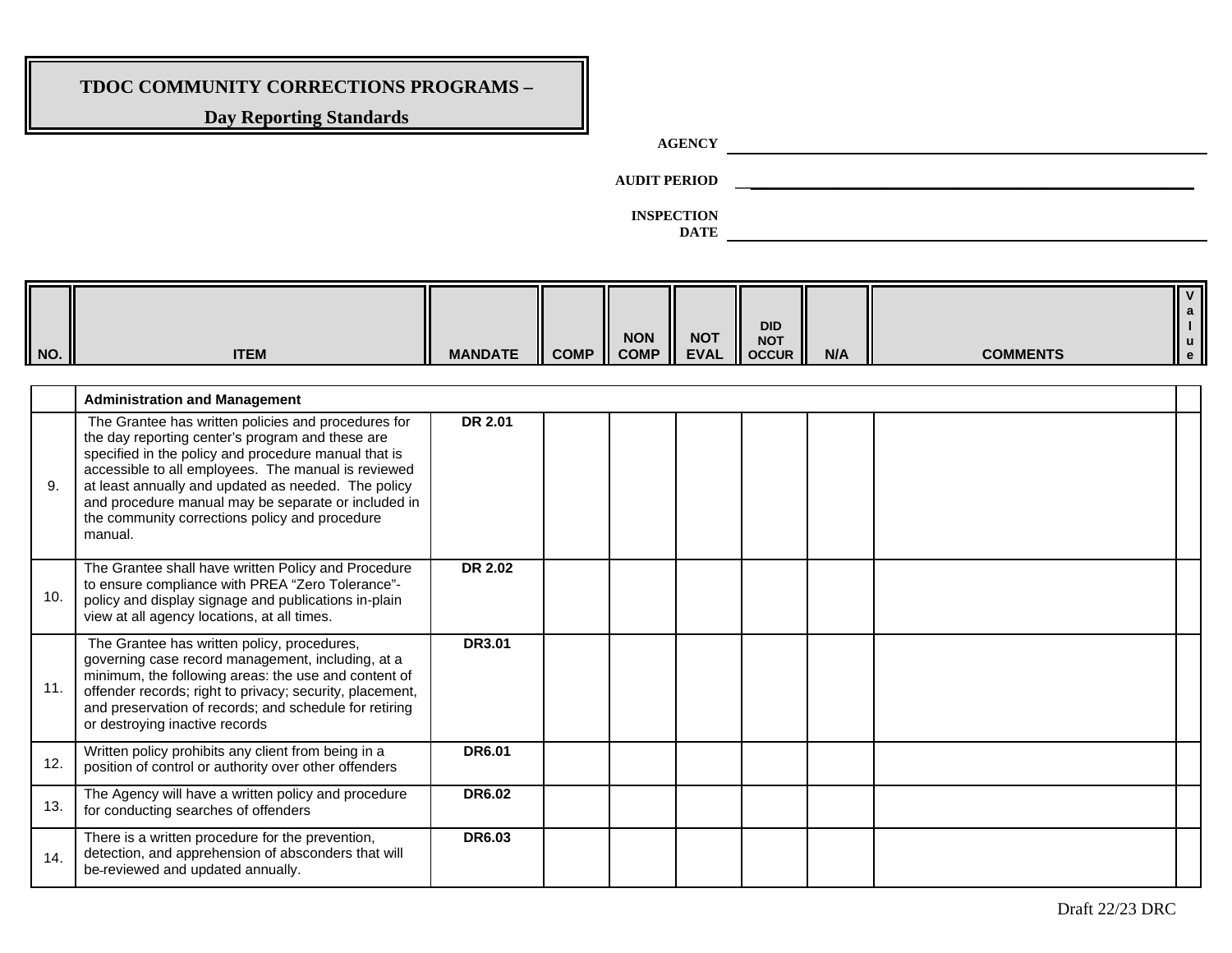## **Day Reporting Standards**

**AGENCY** 

**AUDIT PERIOD \_\_\_\_\_\_\_\_\_\_\_\_\_\_\_\_\_\_\_\_\_\_\_\_\_\_\_\_\_\_\_\_\_\_\_\_\_\_\_\_\_\_\_\_\_\_\_\_\_\_\_\_\_\_\_\_\_\_\_**

| NO. | <b>ITEM</b>                                                                                                                                                                                                                                                                                                                                                                                       | <b>MANDATE</b> | <b>COMP</b> | <b>NON</b><br><b>COMP</b> | <b>NOT</b><br><b>EVAL</b> | <b>DID</b><br><b>NOT</b><br><b>OCCUR</b> | N/A | <b>COMMENTS</b> | $\mathbf V$<br>$\frac{a}{l}$<br>$\mathbf u$<br>$\mathbf{e}$ |
|-----|---------------------------------------------------------------------------------------------------------------------------------------------------------------------------------------------------------------------------------------------------------------------------------------------------------------------------------------------------------------------------------------------------|----------------|-------------|---------------------------|---------------------------|------------------------------------------|-----|-----------------|-------------------------------------------------------------|
|     |                                                                                                                                                                                                                                                                                                                                                                                                   |                |             |                           |                           |                                          |     |                 |                                                             |
|     | <b>Administration and Management</b>                                                                                                                                                                                                                                                                                                                                                              |                |             |                           |                           |                                          |     |                 |                                                             |
| 9.  | The Grantee has written policies and procedures for<br>the day reporting center's program and these are<br>specified in the policy and procedure manual that is<br>accessible to all employees. The manual is reviewed<br>at least annually and updated as needed. The policy<br>and procedure manual may be separate or included in<br>the community corrections policy and procedure<br>manual. | <b>DR 2.01</b> |             |                           |                           |                                          |     |                 |                                                             |
| 10. | The Grantee shall have written Policy and Procedure<br>to ensure compliance with PREA "Zero Tolerance"-<br>policy and display signage and publications in-plain<br>view at all agency locations, at all times.                                                                                                                                                                                    | DR 2.02        |             |                           |                           |                                          |     |                 |                                                             |
| 11. | The Grantee has written policy, procedures,<br>governing case record management, including, at a<br>minimum, the following areas: the use and content of<br>offender records; right to privacy; security, placement,<br>and preservation of records; and schedule for retiring<br>or destroying inactive records                                                                                  | <b>DR3.01</b>  |             |                           |                           |                                          |     |                 |                                                             |
| 12. | Written policy prohibits any client from being in a<br>position of control or authority over other offenders                                                                                                                                                                                                                                                                                      | <b>DR6.01</b>  |             |                           |                           |                                          |     |                 |                                                             |
| 13. | The Agency will have a written policy and procedure<br>for conducting searches of offenders                                                                                                                                                                                                                                                                                                       | <b>DR6.02</b>  |             |                           |                           |                                          |     |                 |                                                             |
| 14. | There is a written procedure for the prevention,<br>detection, and apprehension of absconders that will<br>be-reviewed and updated annually.                                                                                                                                                                                                                                                      | <b>DR6.03</b>  |             |                           |                           |                                          |     |                 |                                                             |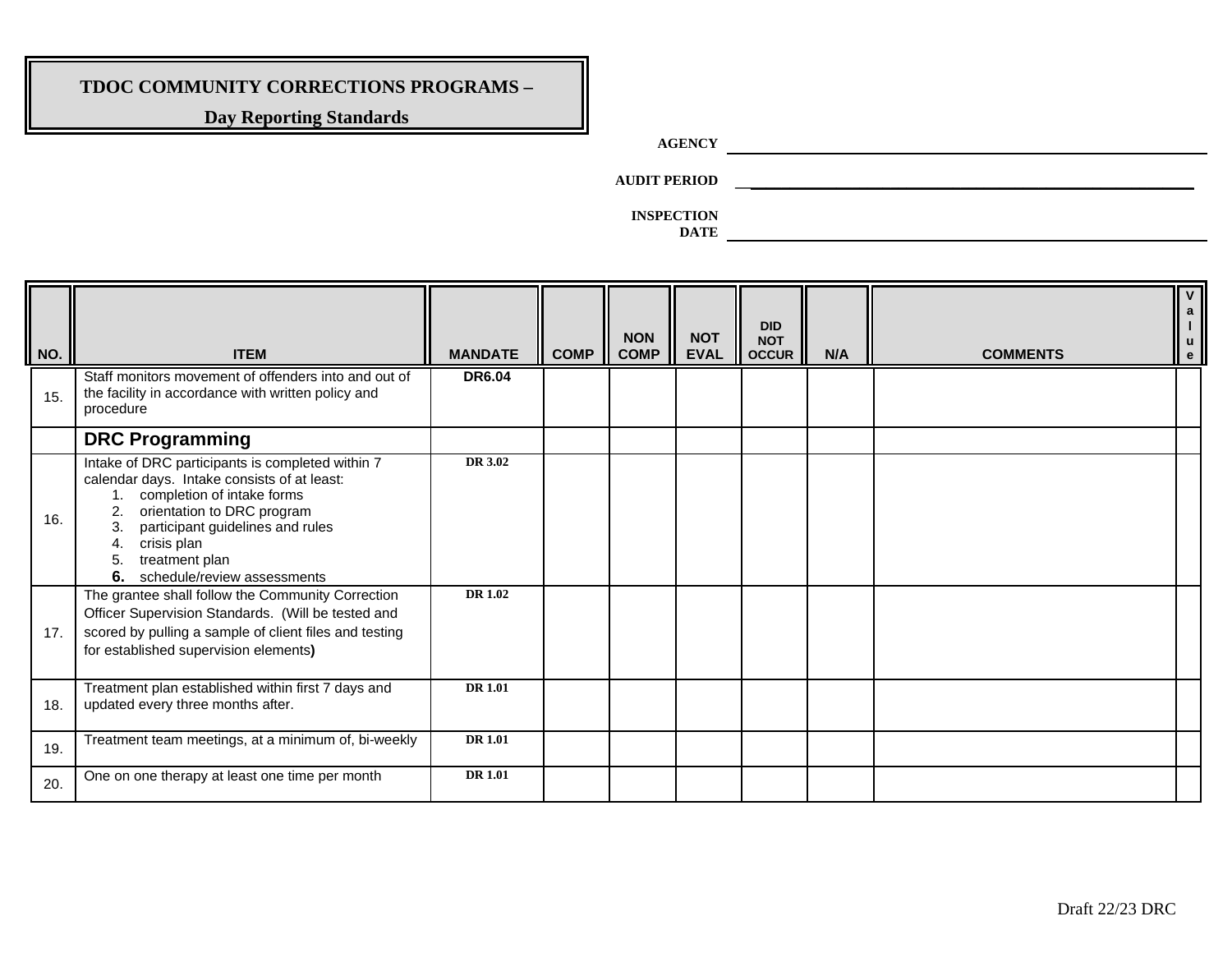## **Day Reporting Standards**

# **AGENCY**

**AUDIT PERIOD \_\_\_\_\_\_\_\_\_\_\_\_\_\_\_\_\_\_\_\_\_\_\_\_\_\_\_\_\_\_\_\_\_\_\_\_\_\_\_\_\_\_\_\_\_\_\_\_\_\_\_\_\_\_\_\_\_\_\_**

**INSPECTION** 

| NO. | <b>ITEM</b>                                                                                                                                                                                                                                                                             | <b>MANDATE</b> | <b>COMP</b> | <b>NON</b><br><b>COMP</b> | <b>NOT</b><br><b>EVAL</b> | <b>DID</b><br><b>NOT</b><br><b>OCCUR</b> | N/A | <b>COMMENTS</b> |  |
|-----|-----------------------------------------------------------------------------------------------------------------------------------------------------------------------------------------------------------------------------------------------------------------------------------------|----------------|-------------|---------------------------|---------------------------|------------------------------------------|-----|-----------------|--|
| 15. | Staff monitors movement of offenders into and out of<br>the facility in accordance with written policy and<br>procedure                                                                                                                                                                 | <b>DR6.04</b>  |             |                           |                           |                                          |     |                 |  |
|     | <b>DRC Programming</b>                                                                                                                                                                                                                                                                  |                |             |                           |                           |                                          |     |                 |  |
| 16. | Intake of DRC participants is completed within 7<br>calendar days. Intake consists of at least:<br>completion of intake forms<br>orientation to DRC program<br>participant guidelines and rules<br>3.<br>crisis plan<br>4.<br>5.<br>treatment plan<br>6.<br>schedule/review assessments | DR 3.02        |             |                           |                           |                                          |     |                 |  |
| 17. | The grantee shall follow the Community Correction<br>Officer Supervision Standards. (Will be tested and<br>scored by pulling a sample of client files and testing<br>for established supervision elements)                                                                              | <b>DR 1.02</b> |             |                           |                           |                                          |     |                 |  |
| 18. | Treatment plan established within first 7 days and<br>updated every three months after.                                                                                                                                                                                                 | <b>DR</b> 1.01 |             |                           |                           |                                          |     |                 |  |
| 19. | Treatment team meetings, at a minimum of, bi-weekly                                                                                                                                                                                                                                     | <b>DR</b> 1.01 |             |                           |                           |                                          |     |                 |  |
| 20. | One on one therapy at least one time per month                                                                                                                                                                                                                                          | <b>DR</b> 1.01 |             |                           |                           |                                          |     |                 |  |